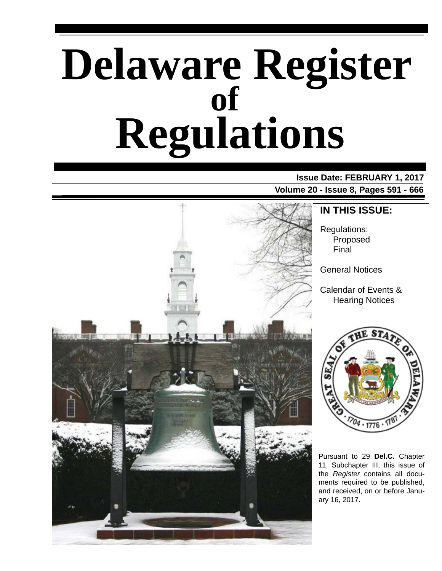# **Delaware Register Regulations of**

# **Issue Date: FEBRUARY 1, 2017**

**Volume 20 - Issue 8, Pages 591 - 666**



# **IN THIS ISSUE:**

Regulations: Proposed Final

General Notices

Calendar of Events & Hearing Notices



Pursuant to 29 **Del.C.** Chapter 11, Subchapter III, this issue of the *Register* contains all documents required to be published, and received, on or before January 16, 2017.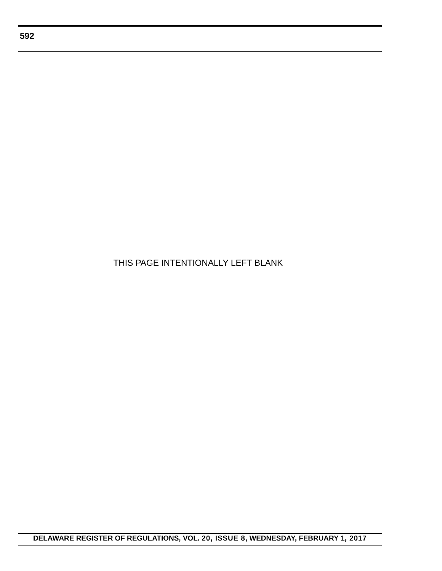THIS PAGE INTENTIONALLY LEFT BLANK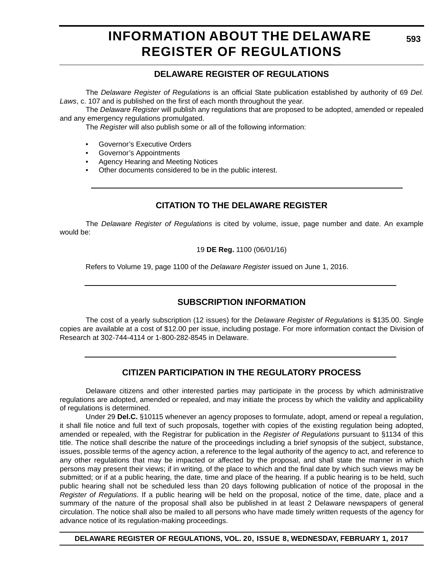# **INFORMATION ABOUT THE DELAWARE REGISTER OF REGULATIONS**

# **DELAWARE REGISTER OF REGULATIONS**

The *Delaware Register of Regulations* is an official State publication established by authority of 69 *Del. Laws*, c. 107 and is published on the first of each month throughout the year.

The *Delaware Register* will publish any regulations that are proposed to be adopted, amended or repealed and any emergency regulations promulgated.

The *Register* will also publish some or all of the following information:

- Governor's Executive Orders
- Governor's Appointments
- Agency Hearing and Meeting Notices
- Other documents considered to be in the public interest.

# **CITATION TO THE DELAWARE REGISTER**

The *Delaware Register of Regulations* is cited by volume, issue, page number and date. An example would be:

19 **DE Reg.** 1100 (06/01/16)

Refers to Volume 19, page 1100 of the *Delaware Register* issued on June 1, 2016.

# **SUBSCRIPTION INFORMATION**

The cost of a yearly subscription (12 issues) for the *Delaware Register of Regulations* is \$135.00. Single copies are available at a cost of \$12.00 per issue, including postage. For more information contact the Division of Research at 302-744-4114 or 1-800-282-8545 in Delaware.

# **CITIZEN PARTICIPATION IN THE REGULATORY PROCESS**

Delaware citizens and other interested parties may participate in the process by which administrative regulations are adopted, amended or repealed, and may initiate the process by which the validity and applicability of regulations is determined.

Under 29 **Del.C.** §10115 whenever an agency proposes to formulate, adopt, amend or repeal a regulation, it shall file notice and full text of such proposals, together with copies of the existing regulation being adopted, amended or repealed, with the Registrar for publication in the *Register of Regulations* pursuant to §1134 of this title. The notice shall describe the nature of the proceedings including a brief synopsis of the subject, substance, issues, possible terms of the agency action, a reference to the legal authority of the agency to act, and reference to any other regulations that may be impacted or affected by the proposal, and shall state the manner in which persons may present their views; if in writing, of the place to which and the final date by which such views may be submitted; or if at a public hearing, the date, time and place of the hearing. If a public hearing is to be held, such public hearing shall not be scheduled less than 20 days following publication of notice of the proposal in the *Register of Regulations*. If a public hearing will be held on the proposal, notice of the time, date, place and a summary of the nature of the proposal shall also be published in at least 2 Delaware newspapers of general circulation. The notice shall also be mailed to all persons who have made timely written requests of the agency for advance notice of its regulation-making proceedings.

**DELAWARE REGISTER OF REGULATIONS, VOL. 20, ISSUE 8, WEDNESDAY, FEBRUARY 1, 2017**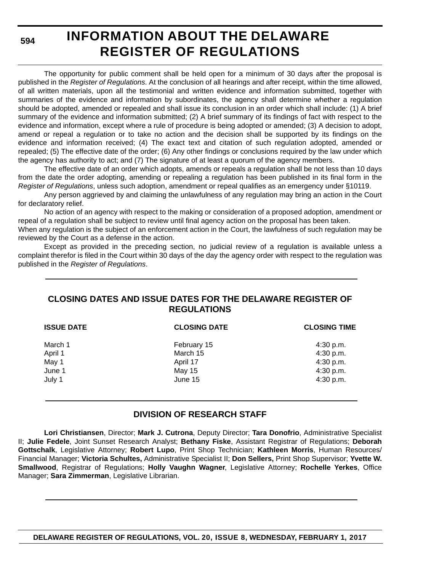**594**

# **INFORMATION ABOUT THE DELAWARE REGISTER OF REGULATIONS**

The opportunity for public comment shall be held open for a minimum of 30 days after the proposal is published in the *Register of Regulations*. At the conclusion of all hearings and after receipt, within the time allowed, of all written materials, upon all the testimonial and written evidence and information submitted, together with summaries of the evidence and information by subordinates, the agency shall determine whether a regulation should be adopted, amended or repealed and shall issue its conclusion in an order which shall include: (1) A brief summary of the evidence and information submitted; (2) A brief summary of its findings of fact with respect to the evidence and information, except where a rule of procedure is being adopted or amended; (3) A decision to adopt, amend or repeal a regulation or to take no action and the decision shall be supported by its findings on the evidence and information received; (4) The exact text and citation of such regulation adopted, amended or repealed; (5) The effective date of the order; (6) Any other findings or conclusions required by the law under which the agency has authority to act; and (7) The signature of at least a quorum of the agency members.

The effective date of an order which adopts, amends or repeals a regulation shall be not less than 10 days from the date the order adopting, amending or repealing a regulation has been published in its final form in the *Register of Regulations*, unless such adoption, amendment or repeal qualifies as an emergency under §10119.

Any person aggrieved by and claiming the unlawfulness of any regulation may bring an action in the Court for declaratory relief.

No action of an agency with respect to the making or consideration of a proposed adoption, amendment or repeal of a regulation shall be subject to review until final agency action on the proposal has been taken.

When any regulation is the subject of an enforcement action in the Court, the lawfulness of such regulation may be reviewed by the Court as a defense in the action.

Except as provided in the preceding section, no judicial review of a regulation is available unless a complaint therefor is filed in the Court within 30 days of the day the agency order with respect to the regulation was published in the *Register of Regulations*.

# **CLOSING DATES AND ISSUE DATES FOR THE DELAWARE REGISTER OF REGULATIONS**

| <b>ISSUE DATE</b> | <b>CLOSING DATE</b> | <b>CLOSING TIME</b> |
|-------------------|---------------------|---------------------|
| March 1           | February 15         | $4:30$ p.m.         |
| April 1           | March 15            | 4:30 p.m.           |
| May 1             | April 17            | 4:30 p.m.           |
| June 1            | May 15              | 4:30 p.m.           |
| July 1            | June 15             | 4:30 p.m.           |

# **DIVISION OF RESEARCH STAFF**

**Lori Christiansen**, Director; **Mark J. Cutrona**, Deputy Director; **Tara Donofrio**, Administrative Specialist II; **Julie Fedele**, Joint Sunset Research Analyst; **Bethany Fiske**, Assistant Registrar of Regulations; **Deborah Gottschalk**, Legislative Attorney; **Robert Lupo**, Print Shop Technician; **Kathleen Morris**, Human Resources/ Financial Manager; **Victoria Schultes,** Administrative Specialist II; **Don Sellers,** Print Shop Supervisor; **Yvette W. Smallwood**, Registrar of Regulations; **Holly Vaughn Wagner**, Legislative Attorney; **Rochelle Yerkes**, Office Manager; **Sara Zimmerman**, Legislative Librarian.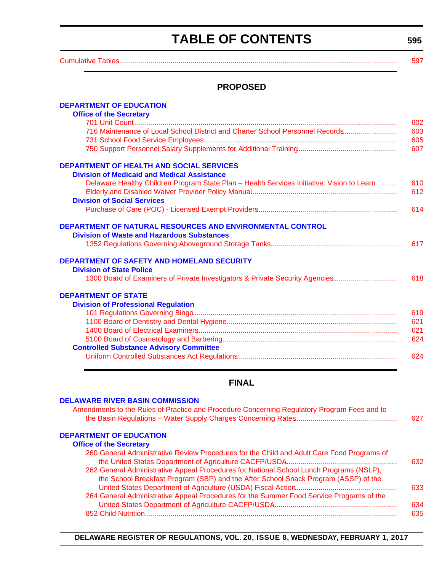# **TABLE OF CONTENTS**

**595**

<span id="page-4-0"></span>[Cumulative Tables............................................................................................................................. ............ 597](#page-6-0)

# **PROPOSED**

| <b>DEPARTMENT OF EDUCATION</b>                                                                                 |            |
|----------------------------------------------------------------------------------------------------------------|------------|
| <b>Office of the Secretary</b>                                                                                 |            |
|                                                                                                                | 602        |
| 716 Maintenance of Local School District and Charter School Personnel Records                                  | 603        |
|                                                                                                                | 605        |
|                                                                                                                | 607        |
| <b>DEPARTMENT OF HEALTH AND SOCIAL SERVICES</b>                                                                |            |
| <b>Division of Medicaid and Medical Assistance</b>                                                             |            |
| Delaware Healthy Children Program State Plan - Health Services Initiative: Vision to Learn                     | 610<br>612 |
| <b>Division of Social Services</b>                                                                             |            |
|                                                                                                                | 614        |
|                                                                                                                |            |
| DEPARTMENT OF NATURAL RESOURCES AND ENVIRONMENTAL CONTROL<br><b>Division of Waste and Hazardous Substances</b> |            |
|                                                                                                                | 617        |
| <b>DEPARTMENT OF SAFETY AND HOMELAND SECURITY</b>                                                              |            |
| <b>Division of State Police</b>                                                                                |            |
| 1300 Board of Examiners of Private Investigators & Private Security Agencies                                   | 618        |
| <b>DEPARTMENT OF STATE</b>                                                                                     |            |
| <b>Division of Professional Regulation</b>                                                                     |            |
|                                                                                                                | 619        |
|                                                                                                                | 621        |
|                                                                                                                | 621        |
|                                                                                                                | 624        |
| <b>Controlled Substance Advisory Committee</b>                                                                 |            |
|                                                                                                                | 624        |

# **FINAL**

| <b>DELAWARE RIVER BASIN COMMISSION</b>        |
|-----------------------------------------------|
| Amondmonte to the Pulse of Practice and Proce |

| Amendments to the Rules of Practice and Procedure Concerning Regulatory Program Fees and to                                                                                    | 627 |
|--------------------------------------------------------------------------------------------------------------------------------------------------------------------------------|-----|
| <b>DEPARTMENT OF EDUCATION</b>                                                                                                                                                 |     |
| <b>Office of the Secretary</b>                                                                                                                                                 |     |
| 260 General Administrative Review Procedures for the Child and Adult Care Food Programs of                                                                                     | 632 |
| 262 General Administrative Appeal Procedures for National School Lunch Programs (NSLP),<br>the School Breakfast Program (SBP) and the After School Snack Program (ASSP) of the |     |
|                                                                                                                                                                                | 633 |
| 264 General Administrative Appeal Procedures for the Summer Food Service Programs of the                                                                                       |     |
|                                                                                                                                                                                | 634 |
|                                                                                                                                                                                | 635 |
|                                                                                                                                                                                |     |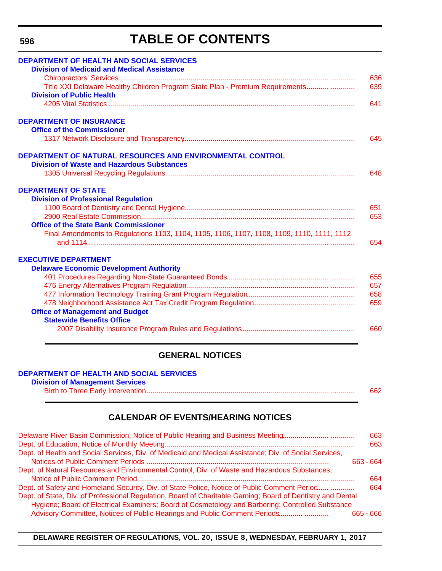#### **596**

# **TABLE OF CONTENTS**

| <b>DEPARTMENT OF HEALTH AND SOCIAL SERVICES</b><br><b>Division of Medicaid and Medical Assistance</b>             | 636        |
|-------------------------------------------------------------------------------------------------------------------|------------|
| Title XXI Delaware Healthy Children Program State Plan - Premium Requirements<br><b>Division of Public Health</b> | 639<br>641 |
| <b>DEPARTMENT OF INSURANCE</b>                                                                                    |            |
| <b>Office of the Commissioner</b>                                                                                 |            |
|                                                                                                                   | 645        |
| DEPARTMENT OF NATURAL RESOURCES AND ENVIRONMENTAL CONTROL<br><b>Division of Waste and Hazardous Substances</b>    |            |
|                                                                                                                   | 648        |
| <b>DEPARTMENT OF STATE</b>                                                                                        |            |
| <b>Division of Professional Regulation</b>                                                                        |            |
|                                                                                                                   | 651        |
|                                                                                                                   | 653        |
| <b>Office of the State Bank Commissioner</b>                                                                      |            |
| Final Amendments to Regulations 1103, 1104, 1105, 1106, 1107, 1108, 1109, 1110, 1111, 1112                        | 654        |
| <b>EXECUTIVE DEPARTMENT</b>                                                                                       |            |
| <b>Delaware Economic Development Authority</b>                                                                    |            |
|                                                                                                                   | 655        |
|                                                                                                                   | 657        |
|                                                                                                                   | 658        |
|                                                                                                                   | 659        |
| <b>Office of Management and Budget</b><br><b>Statewide Benefits Office</b>                                        |            |
|                                                                                                                   | 660        |
|                                                                                                                   |            |

# **GENERAL NOTICES**

**[DEPARTMENT OF HEALTH AND SOCIAL SERVICES](http://www.dhss.delaware.gov/dhss/dms/index.html)**

| <b>Division of Management Services</b>                                                                                                                                                                                                                                                      | 662         |
|---------------------------------------------------------------------------------------------------------------------------------------------------------------------------------------------------------------------------------------------------------------------------------------------|-------------|
| <b>CALENDAR OF EVENTS/HEARING NOTICES</b>                                                                                                                                                                                                                                                   |             |
| Delaware River Basin Commission, Notice of Public Hearing and Business Meeting                                                                                                                                                                                                              | 663<br>663  |
| Dept. of Health and Social Services, Div. of Medicaid and Medical Assistance; Div. of Social Services,                                                                                                                                                                                      | 663 - 664   |
| Dept. of Natural Resources and Environmental Control, Div. of Waste and Hazardous Substances,<br>Dept. of Safety and Homeland Security, Div. of State Police, Notice of Public Comment Period                                                                                               | 664<br>664  |
| Dept. of State, Div. of Professional Regulation, Board of Charitable Gaming; Board of Dentistry and Dental<br>Hygiene; Board of Electrical Examiners; Board of Cosmetology and Barbering; Controlled Substance<br>Advisory Committee, Notices of Public Hearings and Public Comment Periods | $665 - 666$ |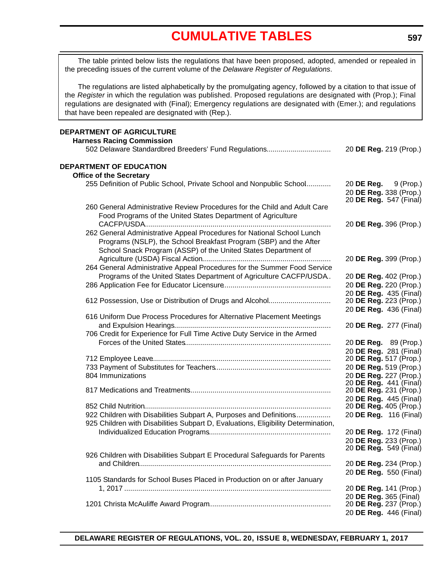<span id="page-6-0"></span>The table printed below lists the regulations that have been proposed, adopted, amended or repealed in the preceding issues of the current volume of the *Delaware Register of Regulations*.

The regulations are listed alphabetically by the promulgating agency, followed by a citation to that issue of the *Register* in which the regulation was published. Proposed regulations are designated with (Prop.); Final regulations are designated with (Final); Emergency regulations are designated with (Emer.); and regulations that have been repealed are designated with (Rep.).

#### **DEPARTMENT OF AGRICULTURE Harness Racing Commission**

| 502 Delaware Standardbred Breeders' Fund Regulations                                                                                                                                                          | 20 DE Reg. 219 (Prop.)                                                               |
|---------------------------------------------------------------------------------------------------------------------------------------------------------------------------------------------------------------|--------------------------------------------------------------------------------------|
| <b>DEPARTMENT OF EDUCATION</b>                                                                                                                                                                                |                                                                                      |
| <b>Office of the Secretary</b>                                                                                                                                                                                |                                                                                      |
| 255 Definition of Public School, Private School and Nonpublic School                                                                                                                                          | 20 DE Reg.<br>$9$ (Prop.)<br>20 DE Reg. 338 (Prop.)<br>20 <b>DE Reg.</b> 547 (Final) |
| 260 General Administrative Review Procedures for the Child and Adult Care<br>Food Programs of the United States Department of Agriculture                                                                     |                                                                                      |
| 262 General Administrative Appeal Procedures for National School Lunch<br>Programs (NSLP), the School Breakfast Program (SBP) and the After<br>School Snack Program (ASSP) of the United States Department of | 20 DE Reg. 396 (Prop.)                                                               |
| 264 General Administrative Appeal Procedures for the Summer Food Service                                                                                                                                      | 20 DE Reg. 399 (Prop.)                                                               |
| Programs of the United States Department of Agriculture CACFP/USDA.                                                                                                                                           | 20 DE Reg. 402 (Prop.)                                                               |
|                                                                                                                                                                                                               | 20 DE Reg. 220 (Prop.)                                                               |
|                                                                                                                                                                                                               | 20 DE Reg. 435 (Final)                                                               |
| 612 Possession, Use or Distribution of Drugs and Alcohol                                                                                                                                                      | 20 <b>DE Reg.</b> 223 (Prop.)                                                        |
| 616 Uniform Due Process Procedures for Alternative Placement Meetings                                                                                                                                         | 20 DE Reg. 436 (Final)                                                               |
|                                                                                                                                                                                                               | 20 DE Reg. 277 (Final)                                                               |
| 706 Credit for Experience for Full Time Active Duty Service in the Armed                                                                                                                                      |                                                                                      |
|                                                                                                                                                                                                               | 20 DE Reg. 89 (Prop.)                                                                |
|                                                                                                                                                                                                               | 20 DE Reg. 281 (Final)                                                               |
|                                                                                                                                                                                                               | 20 DE Reg. 517 (Prop.)                                                               |
|                                                                                                                                                                                                               | 20 DE Reg. 519 (Prop.)                                                               |
| 804 Immunizations                                                                                                                                                                                             | 20 DE Reg. 227 (Prop.)                                                               |
|                                                                                                                                                                                                               | 20 <b>DE Reg.</b> 441 (Final)                                                        |
|                                                                                                                                                                                                               | 20 DE Reg. 231 (Prop.)                                                               |
|                                                                                                                                                                                                               | 20 DE Reg. 445 (Final)                                                               |
|                                                                                                                                                                                                               | 20 DE Reg. 405 (Prop.)                                                               |
| 922 Children with Disabilities Subpart A, Purposes and Definitions<br>925 Children with Disabilities Subpart D, Evaluations, Eligibility Determination,                                                       | 20 DE Reg. 116 (Final)                                                               |
|                                                                                                                                                                                                               | 20 DE Reg. 172 (Final)                                                               |
|                                                                                                                                                                                                               | 20 DE Reg. 233 (Prop.)                                                               |
|                                                                                                                                                                                                               | 20 <b>DE Reg.</b> 549 (Final)                                                        |
| 926 Children with Disabilities Subpart E Procedural Safeguards for Parents                                                                                                                                    |                                                                                      |
|                                                                                                                                                                                                               | 20 DE Reg. 234 (Prop.)                                                               |
|                                                                                                                                                                                                               | 20 DE Reg. 550 (Final)                                                               |
| 1105 Standards for School Buses Placed in Production on or after January                                                                                                                                      |                                                                                      |
|                                                                                                                                                                                                               | 20 DE Reg. 141 (Prop.)                                                               |
|                                                                                                                                                                                                               | 20 DE Reg. 365 (Final)                                                               |
|                                                                                                                                                                                                               | 20 DE Reg. 237 (Prop.)                                                               |
|                                                                                                                                                                                                               | 20 DE Reg. 446 (Final)                                                               |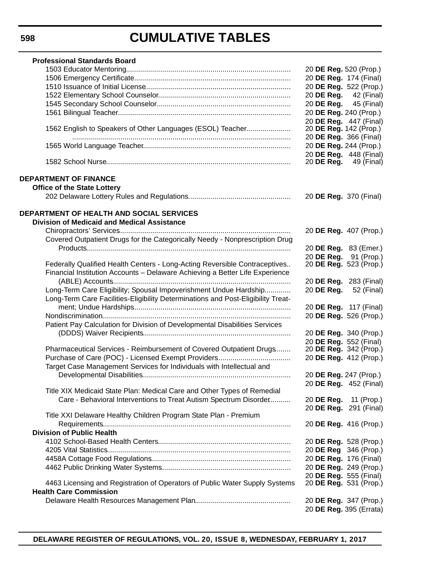| <b>Professional Standards Board</b>                                              |                        |                                                   |
|----------------------------------------------------------------------------------|------------------------|---------------------------------------------------|
|                                                                                  | 20 DE Reg. 520 (Prop.) |                                                   |
|                                                                                  |                        | 20 DE Reg. 174 (Final)                            |
|                                                                                  |                        | 20 DE Reg. 522 (Prop.)                            |
|                                                                                  |                        | 20 <b>DE Reg.</b> 42 (Final)                      |
|                                                                                  |                        | 20 <b>DE Reg.</b> 45 (Final)                      |
|                                                                                  | 20 DE Reg. 240 (Prop.) |                                                   |
|                                                                                  |                        | 20 DE Reg. 447 (Final)                            |
| 1562 English to Speakers of Other Languages (ESOL) Teacher                       | 20 DE Reg. 142 (Prop.) |                                                   |
|                                                                                  |                        | 20 DE Reg. 366 (Final)                            |
|                                                                                  | 20 DE Reg. 244 (Prop.) |                                                   |
|                                                                                  |                        | 20 DE Reg. 448 (Final)<br>20 DE Reg. $49$ (Final) |
|                                                                                  |                        |                                                   |
| <b>DEPARTMENT OF FINANCE</b>                                                     |                        |                                                   |
| <b>Office of the State Lottery</b>                                               |                        |                                                   |
|                                                                                  | 20 DE Reg. 370 (Final) |                                                   |
|                                                                                  |                        |                                                   |
| DEPARTMENT OF HEALTH AND SOCIAL SERVICES                                         |                        |                                                   |
| <b>Division of Medicaid and Medical Assistance</b>                               |                        |                                                   |
|                                                                                  |                        | 20 DE Reg. 407 (Prop.)                            |
| Covered Outpatient Drugs for the Categorically Needy - Nonprescription Drug      |                        |                                                   |
|                                                                                  |                        | 20 DE Reg. 83 (Emer.)                             |
| Federally Qualified Health Centers - Long-Acting Reversible Contraceptives       |                        | 20 DE Reg. 91 (Prop.)<br>20 DE Reg. 523 (Prop.)   |
| Financial Institution Accounts - Delaware Achieving a Better Life Experience     |                        |                                                   |
|                                                                                  |                        | 20 DE Reg. 283 (Final)                            |
| Long-Term Care Eligibility; Spousal Impoverishment Undue Hardship                | 20 DE Reg.             | 52 (Final)                                        |
| Long-Term Care Facilities-Eligibility Determinations and Post-Eligibility Treat- |                        |                                                   |
|                                                                                  |                        | 20 DE Reg. 117 (Final)                            |
|                                                                                  |                        | 20 DE Reg. 526 (Prop.)                            |
| Patient Pay Calculation for Division of Developmental Disabilities Services      |                        |                                                   |
|                                                                                  |                        | 20 DE Reg. 340 (Prop.)                            |
|                                                                                  |                        | 20 DE Reg. 552 (Final)                            |
| Pharmaceutical Services - Reimbursement of Covered Outpatient Drugs              |                        | 20 <b>DE Reg.</b> 342 (Prop.)                     |
|                                                                                  |                        | 20 DE Reg. 412 (Prop.)                            |
| Target Case Management Services for Individuals with Intellectual and            |                        |                                                   |
|                                                                                  | 20 DE Reg. 247 (Prop.) |                                                   |
|                                                                                  |                        | 20 DE Reg. 452 (Final)                            |
| Title XIX Medicaid State Plan: Medical Care and Other Types of Remedial          |                        |                                                   |
| Care - Behavioral Interventions to Treat Autism Spectrum Disorder                | 20 DE Reg.             | 11 (Prop.)                                        |
| Title XXI Delaware Healthy Children Program State Plan - Premium                 |                        | 20 DE Reg. 291 (Final)                            |
|                                                                                  |                        | 20 DE Reg. 416 (Prop.)                            |
| <b>Division of Public Health</b>                                                 |                        |                                                   |
|                                                                                  |                        | 20 DE Reg. 528 (Prop.)                            |
|                                                                                  |                        | 20 DE Reg 346 (Prop.)                             |
|                                                                                  | 20 DE Reg. 176 (Final) |                                                   |
|                                                                                  |                        | 20 DE Reg. 249 (Prop.)                            |
|                                                                                  | 20 DE Reg. 555 (Final) |                                                   |
| 4463 Licensing and Registration of Operators of Public Water Supply Systems      |                        | 20 <b>DE Reg.</b> 531 (Prop.)                     |
| <b>Health Care Commission</b>                                                    |                        |                                                   |
|                                                                                  |                        | 20 DE Reg. 347 (Prop.)                            |
|                                                                                  |                        | 20 DE Reg. 395 (Errata)                           |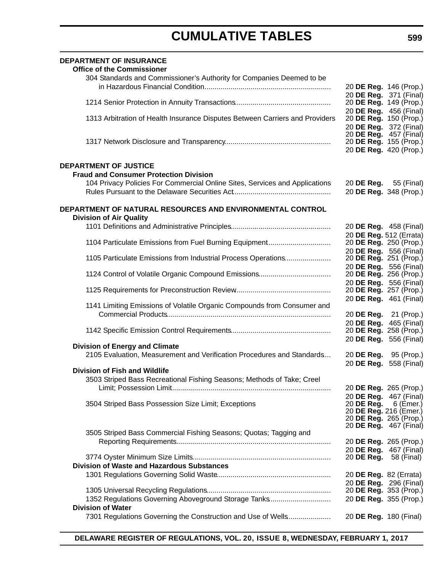| <b>DEPARTMENT OF INSURANCE</b><br><b>Office of the Commissioner</b>                         |                                                  |                                                  |
|---------------------------------------------------------------------------------------------|--------------------------------------------------|--------------------------------------------------|
| 304 Standards and Commissioner's Authority for Companies Deemed to be                       |                                                  |                                                  |
|                                                                                             | 20 DE Reg. 146 (Prop.)                           |                                                  |
|                                                                                             | 20 DE Reg. 371 (Final)<br>20 DE Reg. 149 (Prop.) |                                                  |
|                                                                                             | 20 DE Reg. 456 (Final)                           |                                                  |
| 1313 Arbitration of Health Insurance Disputes Between Carriers and Providers                | 20 DE Reg. 150 (Prop.)                           |                                                  |
|                                                                                             | 20 DE Reg. 372 (Final)                           |                                                  |
|                                                                                             | 20 <b>DE Reg.</b> 457 (Final)                    |                                                  |
|                                                                                             | 20 DE Reg. 155 (Prop.)                           |                                                  |
|                                                                                             |                                                  | 20 DE Reg. 420 (Prop.)                           |
| <b>DEPARTMENT OF JUSTICE</b>                                                                |                                                  |                                                  |
| <b>Fraud and Consumer Protection Division</b>                                               |                                                  |                                                  |
| 104 Privacy Policies For Commercial Online Sites, Services and Applications                 | 20 DE Reg. 55 (Final)                            |                                                  |
|                                                                                             | 20 DE Reg. 348 (Prop.)                           |                                                  |
|                                                                                             |                                                  |                                                  |
| DEPARTMENT OF NATURAL RESOURCES AND ENVIRONMENTAL CONTROL<br><b>Division of Air Quality</b> |                                                  |                                                  |
|                                                                                             | 20 DE Reg. 458 (Final)                           |                                                  |
|                                                                                             | 20 DE Reg. 512 (Errata)                          |                                                  |
| 1104 Particulate Emissions from Fuel Burning Equipment                                      | 20 DE Reg. 250 (Prop.)                           |                                                  |
| 1105 Particulate Emissions from Industrial Process Operations                               | 20 DE Reg. 556 (Final)<br>20 DE Reg. 251 (Prop.) |                                                  |
|                                                                                             | 20 DE Reg. 556 (Final)                           |                                                  |
|                                                                                             |                                                  | 20 DE Reg. 256 (Prop.)                           |
|                                                                                             | 20 DE Reg. 556 (Final)                           |                                                  |
|                                                                                             | 20 DE Reg. 257 (Prop.)                           |                                                  |
|                                                                                             | 20 DE Reg. 461 (Final)                           |                                                  |
| 1141 Limiting Emissions of Volatile Organic Compounds from Consumer and                     |                                                  |                                                  |
|                                                                                             | 20 DE Reg. 21 (Prop.)                            |                                                  |
|                                                                                             | 20 DE Reg. 465 (Final)<br>20 DE Reg. 258 (Prop.) |                                                  |
|                                                                                             | 20 DE Reg. 556 (Final)                           |                                                  |
| <b>Division of Energy and Climate</b>                                                       |                                                  |                                                  |
| 2105 Evaluation, Measurement and Verification Procedures and Standards                      |                                                  | 20 DE Reg. 95 (Prop.)                            |
|                                                                                             |                                                  | 20 DE Reg. 558 (Final)                           |
| <b>Division of Fish and Wildlife</b>                                                        |                                                  |                                                  |
| 3503 Striped Bass Recreational Fishing Seasons; Methods of Take; Creel                      |                                                  |                                                  |
|                                                                                             | 20 DE Reg. 265 (Prop.)                           |                                                  |
|                                                                                             |                                                  | 20 DE Reg. 467 (Final)                           |
| 3504 Striped Bass Possession Size Limit; Exceptions                                         | 20 DE Reg.                                       | $6$ (Emer.)                                      |
|                                                                                             |                                                  | 20 DE Reg. 216 (Emer.)<br>20 DE Reg. 265 (Prop.) |
|                                                                                             | 20 <b>DE Reg.</b> 467 (Final)                    |                                                  |
| 3505 Striped Bass Commercial Fishing Seasons; Quotas; Tagging and                           |                                                  |                                                  |
|                                                                                             | 20 DE Reg. 265 (Prop.)                           |                                                  |
|                                                                                             |                                                  | 20 DE Reg. 467 (Final)                           |
|                                                                                             | 20 <b>DE Reg.</b> 58 (Final)                     |                                                  |
| <b>Division of Waste and Hazardous Substances</b>                                           |                                                  |                                                  |
|                                                                                             | 20 DE Reg. 82 (Errata)                           |                                                  |
|                                                                                             | 20 DE Reg. 296 (Final)<br>20 DE Reg. 353 (Prop.) |                                                  |
| 1352 Regulations Governing Aboveground Storage Tanks                                        | 20 DE Reg. 355 (Prop.)                           |                                                  |
| <b>Division of Water</b>                                                                    |                                                  |                                                  |
| 7301 Regulations Governing the Construction and Use of Wells                                | 20 DE Reg. 180 (Final)                           |                                                  |
|                                                                                             |                                                  |                                                  |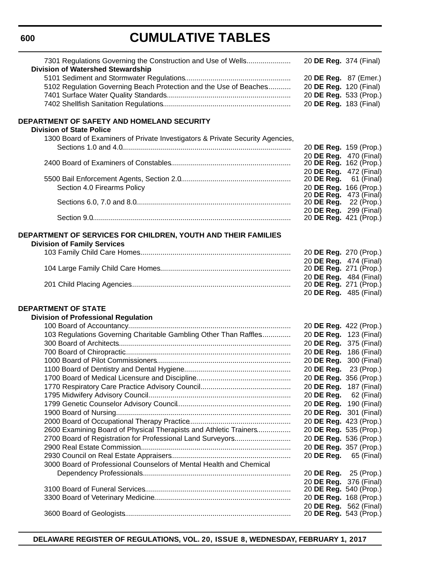# **600**

# **CUMULATIVE TABLES**

| 7301 Regulations Governing the Construction and Use of Wells<br><b>Division of Watershed Stewardship</b> | 20 DE Reg. 374 (Final)                           |             |
|----------------------------------------------------------------------------------------------------------|--------------------------------------------------|-------------|
|                                                                                                          | 20 DE Reg. 87 (Emer.)                            |             |
| 5102 Regulation Governing Beach Protection and the Use of Beaches                                        | 20 DE Reg. 120 (Final)                           |             |
|                                                                                                          | 20 DE Reg. 533 (Prop.)                           |             |
|                                                                                                          | 20 DE Reg. 183 (Final)                           |             |
| DEPARTMENT OF SAFETY AND HOMELAND SECURITY<br><b>Division of State Police</b>                            |                                                  |             |
| 1300 Board of Examiners of Private Investigators & Private Security Agencies,                            |                                                  |             |
|                                                                                                          | 20 DE Reg. 159 (Prop.)                           |             |
|                                                                                                          | 20 DE Reg. 470 (Final)                           |             |
|                                                                                                          | 20 DE Reg. 162 (Prop.)                           |             |
|                                                                                                          | 20 DE Reg. 472 (Final)                           |             |
|                                                                                                          | 20 DE Reg.                                       | 61 (Final)  |
| Section 4.0 Firearms Policy                                                                              | 20 DE Reg. 166 (Prop.)<br>20 DE Reg.             | 473 (Final) |
|                                                                                                          | 20 DE Reg.                                       | 22 (Prop.)  |
|                                                                                                          | 20 DE Reg. 299 (Final)                           |             |
|                                                                                                          | 20 DE Reg. 421 (Prop.)                           |             |
| DEPARTMENT OF SERVICES FOR CHILDREN, YOUTH AND THEIR FAMILIES<br><b>Division of Family Services</b>      |                                                  |             |
|                                                                                                          | 20 DE Reg. 270 (Prop.)                           |             |
|                                                                                                          | 20 DE Reg. 474 (Final)                           |             |
|                                                                                                          | 20 DE Reg. 271 (Prop.)                           |             |
|                                                                                                          | 20 DE Reg. 484 (Final)<br>20 DE Reg. 271 (Prop.) |             |
|                                                                                                          | 20 DE Reg. 485 (Final)                           |             |
| <b>DEPARTMENT OF STATE</b>                                                                               |                                                  |             |
| <b>Division of Professional Regulation</b>                                                               |                                                  |             |
|                                                                                                          | 20 DE Reg. 422 (Prop.)                           |             |
| 103 Regulations Governing Charitable Gambling Other Than Raffles                                         | 20 DE Reg. 123 (Final)                           |             |
|                                                                                                          | 20 DE Reg. 375 (Final)                           |             |
|                                                                                                          | 20 DE Reg.                                       | 186 (Final) |
|                                                                                                          | 20 DE Reg.                                       | 300 (Final) |
|                                                                                                          | 20 DE Reg.                                       | 23 (Prop.)  |
|                                                                                                          | 20 DE Reg. 356 (Prop.)                           |             |
|                                                                                                          | 20 <b>DE Reg.</b> 187 (Final)                    |             |
|                                                                                                          | 20 DE Reg.                                       | 62 (Final)  |
|                                                                                                          | 20 DE Reg. 190 (Final)                           |             |
|                                                                                                          | 20 DE Reg. 301 (Final)                           |             |
|                                                                                                          | 20 DE Reg. 423 (Prop.)                           |             |
| 2600 Examining Board of Physical Therapists and Athletic Trainers                                        | 20 DE Reg. 535 (Prop.)                           |             |
| 2700 Board of Registration for Professional Land Surveyors                                               | 20 DE Reg. 536 (Prop.)                           |             |
|                                                                                                          | 20 DE Reg. 357 (Prop.)                           |             |
|                                                                                                          | 20 DE Reg. 65 (Final)                            |             |
| 3000 Board of Professional Counselors of Mental Health and Chemical                                      |                                                  |             |
|                                                                                                          | 20 DE Reg.                                       | 25 (Prop.)  |
|                                                                                                          | 20 DE Reg. 376 (Final)<br>20 DE Reg. 540 (Prop.) |             |
|                                                                                                          | 20 DE Reg. 168 (Prop.)                           |             |
|                                                                                                          | 20 DE Reg. 562 (Final)                           |             |
|                                                                                                          | 20 DE Reg. 543 (Prop.)                           |             |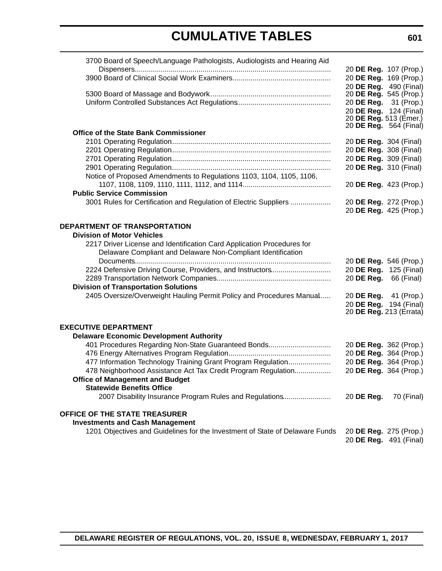3700 Board of Speech/Language Pathologists, Audiologists and Hearing Aid

|                                                                              | 20 DE Reg. 107 (Prop.)  |            |
|------------------------------------------------------------------------------|-------------------------|------------|
|                                                                              | 20 DE Reg. 169 (Prop.)  |            |
|                                                                              | 20 DE Reg. 490 (Final)  |            |
|                                                                              | 20 DE Reg. 545 (Prop.)  |            |
|                                                                              | 20 DE Reg.              | 31 (Prop.) |
|                                                                              | 20 DE Reg. 124 (Final)  |            |
|                                                                              | 20 DE Reg. 513 (Emer.)  |            |
|                                                                              | 20 DE Reg. 564 (Final)  |            |
| Office of the State Bank Commissioner                                        |                         |            |
|                                                                              | 20 DE Reg. 304 (Final)  |            |
|                                                                              | 20 DE Reg. 308 (Final)  |            |
|                                                                              | 20 DE Reg. 309 (Final)  |            |
|                                                                              | 20 DE Reg. 310 (Final)  |            |
| Notice of Proposed Amendments to Regulations 1103, 1104, 1105, 1106,         |                         |            |
|                                                                              | 20 DE Reg. 423 (Prop.)  |            |
| <b>Public Service Commission</b>                                             |                         |            |
| 3001 Rules for Certification and Regulation of Electric Suppliers            | 20 DE Reg. 272 (Prop.)  |            |
|                                                                              | 20 DE Reg. 425 (Prop.)  |            |
|                                                                              |                         |            |
| <b>DEPARTMENT OF TRANSPORTATION</b>                                          |                         |            |
| <b>Division of Motor Vehicles</b>                                            |                         |            |
| 2217 Driver License and Identification Card Application Procedures for       |                         |            |
| Delaware Compliant and Delaware Non-Compliant Identification                 |                         |            |
|                                                                              | 20 DE Reg. 546 (Prop.)  |            |
| 2224 Defensive Driving Course, Providers, and Instructors                    | 20 DE Reg. 125 (Final)  |            |
|                                                                              | 20 DE Reg.              | 66 (Final) |
| <b>Division of Transportation Solutions</b>                                  |                         |            |
| 2405 Oversize/Overweight Hauling Permit Policy and Procedures Manual         | 20 DE Reg.              | 41 (Prop.) |
|                                                                              | 20 DE Reg. 194 (Final)  |            |
|                                                                              | 20 DE Reg. 213 (Errata) |            |
|                                                                              |                         |            |
| <b>EXECUTIVE DEPARTMENT</b>                                                  |                         |            |
| <b>Delaware Economic Development Authority</b>                               |                         |            |
| 401 Procedures Regarding Non-State Guaranteed Bonds                          | 20 DE Reg. 362 (Prop.)  |            |
|                                                                              | 20 DE Reg. 364 (Prop.)  |            |
| 477 Information Technology Training Grant Program Regulation                 | 20 DE Reg. 364 (Prop.)  |            |
| 478 Neighborhood Assistance Act Tax Credit Program Regulation                | 20 DE Reg. 364 (Prop.)  |            |
| <b>Office of Management and Budget</b>                                       |                         |            |
| <b>Statewide Benefits Office</b>                                             |                         |            |
| 2007 Disability Insurance Program Rules and Regulations                      | 20 DE Reg.              | 70 (Final) |
|                                                                              |                         |            |
| OFFICE OF THE STATE TREASURER                                                |                         |            |
| <b>Investments and Cash Management</b>                                       |                         |            |
| 1201 Objectives and Guidelines for the Investment of State of Delaware Funds | 20 DE Reg. 275 (Prop.)  |            |
|                                                                              | 20 DE Reg. 491 (Final)  |            |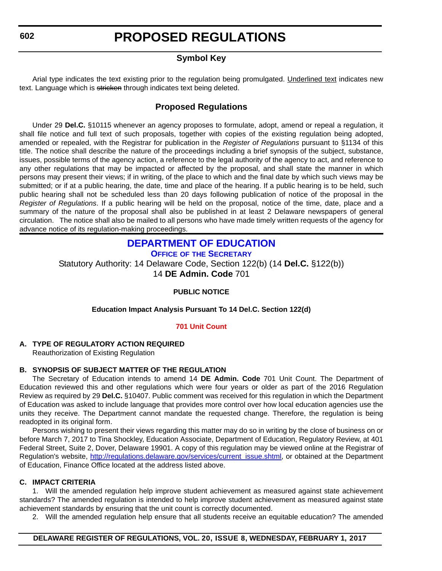<span id="page-11-0"></span>**602**

# **PROPOSED REGULATIONS**

# **Symbol Key**

Arial type indicates the text existing prior to the regulation being promulgated. Underlined text indicates new text. Language which is stricken through indicates text being deleted.

# **Proposed Regulations**

Under 29 **Del.C.** §10115 whenever an agency proposes to formulate, adopt, amend or repeal a regulation, it shall file notice and full text of such proposals, together with copies of the existing regulation being adopted, amended or repealed, with the Registrar for publication in the *Register of Regulations* pursuant to §1134 of this title. The notice shall describe the nature of the proceedings including a brief synopsis of the subject, substance, issues, possible terms of the agency action, a reference to the legal authority of the agency to act, and reference to any other regulations that may be impacted or affected by the proposal, and shall state the manner in which persons may present their views; if in writing, of the place to which and the final date by which such views may be submitted; or if at a public hearing, the date, time and place of the hearing. If a public hearing is to be held, such public hearing shall not be scheduled less than 20 days following publication of notice of the proposal in the *Register of Regulations*. If a public hearing will be held on the proposal, notice of the time, date, place and a summary of the nature of the proposal shall also be published in at least 2 Delaware newspapers of general circulation. The notice shall also be mailed to all persons who have made timely written requests of the agency for advance notice of its regulation-making proceedings.

# **[DEPARTMENT OF EDUCATION](http://www.doe.k12.de.us/)**

**OFFICE OF [THE SECRETARY](https://pubapps.doe.k12.de.us/EducationalDirectoryPublic/pages/DDOE/Branches.aspx?page=branches&BID=1)**

Statutory Authority: 14 Delaware Code, Section 122(b) (14 **Del.C.** §122(b)) 14 **DE Admin. Code** 701

# **PUBLIC NOTICE**

# **Education Impact Analysis Pursuant To 14 Del.C. Section 122(d)**

# **[701 Unit Count](#page-4-0)**

# **A. TYPE OF REGULATORY ACTION REQUIRED**

Reauthorization of Existing Regulation

# **B. SYNOPSIS OF SUBJECT MATTER OF THE REGULATION**

The Secretary of Education intends to amend 14 **DE Admin. Code** 701 Unit Count. The Department of Education reviewed this and other regulations which were four years or older as part of the 2016 Regulation Review as required by 29 **Del.C.** §10407. Public comment was received for this regulation in which the Department of Education was asked to include language that provides more control over how local education agencies use the units they receive. The Department cannot mandate the requested change. Therefore, the regulation is being readopted in its original form.

Persons wishing to present their views regarding this matter may do so in writing by the close of business on or before March 7, 2017 to Tina Shockley, Education Associate, Department of Education, Regulatory Review, at 401 Federal Street, Suite 2, Dover, Delaware 19901. A copy of this regulation may be viewed online at the Registrar of Regulation's website, [http://regulations.delaware.gov/services/current\\_issue.shtml](http://regulations.delaware.gov/services/current_issue.shtml), or obtained at the Department of Education, Finance Office located at the address listed above.

# **C. IMPACT CRITERIA**

1. Will the amended regulation help improve student achievement as measured against state achievement standards? The amended regulation is intended to help improve student achievement as measured against state achievement standards by ensuring that the unit count is correctly documented.

2. Will the amended regulation help ensure that all students receive an equitable education? The amended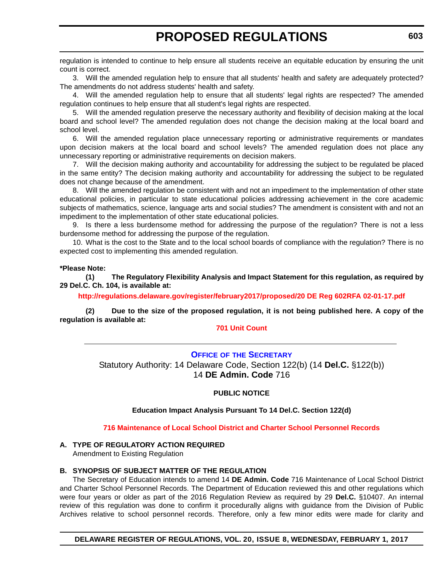<span id="page-12-0"></span>regulation is intended to continue to help ensure all students receive an equitable education by ensuring the unit count is correct.

3. Will the amended regulation help to ensure that all students' health and safety are adequately protected? The amendments do not address students' health and safety.

4. Will the amended regulation help to ensure that all students' legal rights are respected? The amended regulation continues to help ensure that all student's legal rights are respected.

5. Will the amended regulation preserve the necessary authority and flexibility of decision making at the local board and school level? The amended regulation does not change the decision making at the local board and school level.

6. Will the amended regulation place unnecessary reporting or administrative requirements or mandates upon decision makers at the local board and school levels? The amended regulation does not place any unnecessary reporting or administrative requirements on decision makers.

7. Will the decision making authority and accountability for addressing the subject to be regulated be placed in the same entity? The decision making authority and accountability for addressing the subject to be regulated does not change because of the amendment.

8. Will the amended regulation be consistent with and not an impediment to the implementation of other state educational policies, in particular to state educational policies addressing achievement in the core academic subjects of mathematics, science, language arts and social studies? The amendment is consistent with and not an impediment to the implementation of other state educational policies.

9. Is there a less burdensome method for addressing the purpose of the regulation? There is not a less burdensome method for addressing the purpose of the regulation.

10. What is the cost to the State and to the local school boards of compliance with the regulation? There is no expected cost to implementing this amended regulation.

# **\*Please Note:**

**(1) The Regulatory Flexibility Analysis and Impact Statement for this regulation, as required by 29 Del.C. Ch. 104, is available at:**

**<http://regulations.delaware.gov/register/february2017/proposed/20 DE Reg 602RFA 02-01-17.pdf>**

**(2) Due to the size of the proposed regulation, it is not being published here. A copy of the regulation is available at:**

# **[701 Unit Count](http://regulations.delaware.gov/register/february2017/proposed/20 DE Reg 602 02-01-17.htm)**

# **OFFICE OF [THE SECRETARY](https://pubapps.doe.k12.de.us/EducationalDirectoryPublic/pages/DDOE/Branches.aspx?page=branches&BID=1)**

Statutory Authority: 14 Delaware Code, Section 122(b) (14 **Del.C.** §122(b)) 14 **DE Admin. Code** 716

**PUBLIC NOTICE**

# **Education Impact Analysis Pursuant To 14 Del.C. Section 122(d)**

# **[716 Maintenance of Local School District and Charter School Personnel Records](#page-4-0)**

# **A. TYPE OF REGULATORY ACTION REQUIRED**

Amendment to Existing Regulation

# **B. SYNOPSIS OF SUBJECT MATTER OF THE REGULATION**

The Secretary of Education intends to amend 14 **DE Admin. Code** 716 Maintenance of Local School District and Charter School Personnel Records. The Department of Education reviewed this and other regulations which were four years or older as part of the 2016 Regulation Review as required by 29 **Del.C.** §10407. An internal review of this regulation was done to confirm it procedurally aligns with guidance from the Division of Public Archives relative to school personnel records. Therefore, only a few minor edits were made for clarity and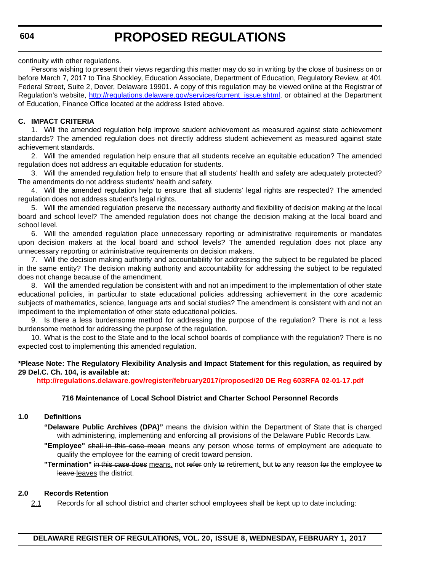```
604
```
continuity with other regulations.

Persons wishing to present their views regarding this matter may do so in writing by the close of business on or before March 7, 2017 to Tina Shockley, Education Associate, Department of Education, Regulatory Review, at 401 Federal Street, Suite 2, Dover, Delaware 19901. A copy of this regulation may be viewed online at the Registrar of Regulation's website, [http://regulations.delaware.gov/services/current\\_issue.shtml](http://regulations.delaware.gov/services/current_issue.shtml), or obtained at the Department of Education, Finance Office located at the address listed above.

# **C. IMPACT CRITERIA**

1. Will the amended regulation help improve student achievement as measured against state achievement standards? The amended regulation does not directly address student achievement as measured against state achievement standards.

2. Will the amended regulation help ensure that all students receive an equitable education? The amended regulation does not address an equitable education for students.

3. Will the amended regulation help to ensure that all students' health and safety are adequately protected? The amendments do not address students' health and safety.

4. Will the amended regulation help to ensure that all students' legal rights are respected? The amended regulation does not address student's legal rights.

5. Will the amended regulation preserve the necessary authority and flexibility of decision making at the local board and school level? The amended regulation does not change the decision making at the local board and school level.

6. Will the amended regulation place unnecessary reporting or administrative requirements or mandates upon decision makers at the local board and school levels? The amended regulation does not place any unnecessary reporting or administrative requirements on decision makers.

7. Will the decision making authority and accountability for addressing the subject to be regulated be placed in the same entity? The decision making authority and accountability for addressing the subject to be regulated does not change because of the amendment.

8. Will the amended regulation be consistent with and not an impediment to the implementation of other state educational policies, in particular to state educational policies addressing achievement in the core academic subjects of mathematics, science, language arts and social studies? The amendment is consistent with and not an impediment to the implementation of other state educational policies.

9. Is there a less burdensome method for addressing the purpose of the regulation? There is not a less burdensome method for addressing the purpose of the regulation.

10. What is the cost to the State and to the local school boards of compliance with the regulation? There is no expected cost to implementing this amended regulation.

# **\*Please Note: The Regulatory Flexibility Analysis and Impact Statement for this regulation, as required by 29 Del.C. Ch. 104, is available at:**

# **<http://regulations.delaware.gov/register/february2017/proposed/20 DE Reg 603RFA 02-01-17.pdf>**

# **716 Maintenance of Local School District and Charter School Personnel Records**

# **1.0 Definitions**

- **"Delaware Public Archives (DPA)"** means the division within the Department of State that is charged with administering, implementing and enforcing all provisions of the Delaware Public Records Law.
- **"Employee"** shall in this case mean means any person whose terms of employment are adequate to qualify the employee for the earning of credit toward pension.

**"Termination"** in this case does means, not refer only to retirement, but to any reason for the employee to leave leaves the district.

# **2.0 Records Retention**

2.1 Records for all school district and charter school employees shall be kept up to date including: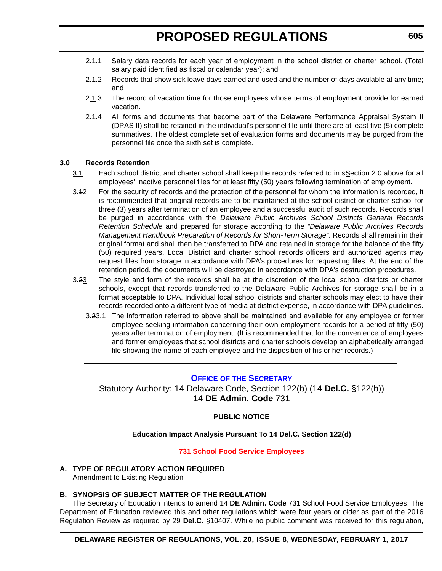- <span id="page-14-0"></span>2.1.1 Salary data records for each year of employment in the school district or charter school. (Total salary paid identified as fiscal or calendar year); and
- 2.1.2 Records that show sick leave days earned and used and the number of days available at any time; and
- 2.1.3 The record of vacation time for those employees whose terms of employment provide for earned vacation.
- 2.1.4 All forms and documents that become part of the Delaware Performance Appraisal System II (DPAS II) shall be retained in the individual's personnel file until there are at least five (5) complete summatives. The oldest complete set of evaluation forms and documents may be purged from the personnel file once the sixth set is complete.

# **3.0 Records Retention**

- 3.1 Each school district and charter school shall keep the records referred to in sSection 2.0 above for all employees' inactive personnel files for at least fifty (50) years following termination of employment.
- 3.12 For the security of records and the protection of the personnel for whom the information is recorded, it is recommended that original records are to be maintained at the school district or charter school for three (3) years after termination of an employee and a successful audit of such records. Records shall be purged in accordance with the *Delaware Public Archives School Districts General Records Retention Schedule* and prepared for storage according to the *"Delaware Public Archives Records Management Handbook Preparation of Records for Short-Term Storage"*. Records shall remain in their original format and shall then be transferred to DPA and retained in storage for the balance of the fifty (50) required years. Local District and charter school records officers and authorized agents may request files from storage in accordance with DPA's procedures for requesting files. At the end of the retention period, the documents will be destroyed in accordance with DPA's destruction procedures.
- 3.23 The style and form of the records shall be at the discretion of the local school districts or charter schools, except that records transferred to the Delaware Public Archives for storage shall be in a format acceptable to DPA. Individual local school districts and charter schools may elect to have their records recorded onto a different type of media at district expense, in accordance with DPA guidelines.
	- 3.23.1 The information referred to above shall be maintained and available for any employee or former employee seeking information concerning their own employment records for a period of fifty (50) years after termination of employment. (It is recommended that for the convenience of employees and former employees that school districts and charter schools develop an alphabetically arranged file showing the name of each employee and the disposition of his or her records.)

# **OFFICE OF [THE SECRETARY](https://pubapps.doe.k12.de.us/EducationalDirectoryPublic/pages/DDOE/Branches.aspx?page=branches&BID=1)**

Statutory Authority: 14 Delaware Code, Section 122(b) (14 **Del.C.** §122(b)) 14 **DE Admin. Code** 731

**PUBLIC NOTICE**

**Education Impact Analysis Pursuant To 14 Del.C. Section 122(d)**

# **[731 School Food Service Employees](#page-4-0)**

# **A. TYPE OF REGULATORY ACTION REQUIRED** Amendment to Existing Regulation

# **B. SYNOPSIS OF SUBJECT MATTER OF THE REGULATION**

The Secretary of Education intends to amend 14 **DE Admin. Code** 731 School Food Service Employees. The Department of Education reviewed this and other regulations which were four years or older as part of the 2016 Regulation Review as required by 29 **Del.C.** §10407. While no public comment was received for this regulation,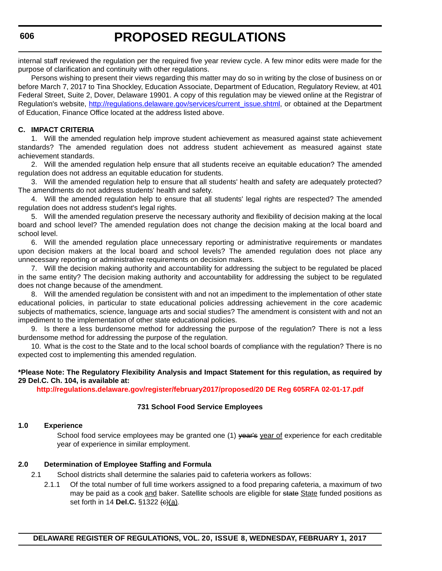**606**

# **PROPOSED REGULATIONS**

internal staff reviewed the regulation per the required five year review cycle. A few minor edits were made for the purpose of clarification and continuity with other regulations.

Persons wishing to present their views regarding this matter may do so in writing by the close of business on or before March 7, 2017 to Tina Shockley, Education Associate, Department of Education, Regulatory Review, at 401 Federal Street, Suite 2, Dover, Delaware 19901. A copy of this regulation may be viewed online at the Registrar of Regulation's website, [http://regulations.delaware.gov/services/current\\_issue.shtml](http://regulations.delaware.gov/services/current_issue.shtml), or obtained at the Department of Education, Finance Office located at the address listed above.

# **C. IMPACT CRITERIA**

1. Will the amended regulation help improve student achievement as measured against state achievement standards? The amended regulation does not address student achievement as measured against state achievement standards.

2. Will the amended regulation help ensure that all students receive an equitable education? The amended regulation does not address an equitable education for students.

3. Will the amended regulation help to ensure that all students' health and safety are adequately protected? The amendments do not address students' health and safety.

4. Will the amended regulation help to ensure that all students' legal rights are respected? The amended regulation does not address student's legal rights.

5. Will the amended regulation preserve the necessary authority and flexibility of decision making at the local board and school level? The amended regulation does not change the decision making at the local board and school level.

6. Will the amended regulation place unnecessary reporting or administrative requirements or mandates upon decision makers at the local board and school levels? The amended regulation does not place any unnecessary reporting or administrative requirements on decision makers.

7. Will the decision making authority and accountability for addressing the subject to be regulated be placed in the same entity? The decision making authority and accountability for addressing the subject to be regulated does not change because of the amendment.

8. Will the amended regulation be consistent with and not an impediment to the implementation of other state educational policies, in particular to state educational policies addressing achievement in the core academic subjects of mathematics, science, language arts and social studies? The amendment is consistent with and not an impediment to the implementation of other state educational policies.

9. Is there a less burdensome method for addressing the purpose of the regulation? There is not a less burdensome method for addressing the purpose of the regulation.

10. What is the cost to the State and to the local school boards of compliance with the regulation? There is no expected cost to implementing this amended regulation.

# **\*Please Note: The Regulatory Flexibility Analysis and Impact Statement for this regulation, as required by 29 Del.C. Ch. 104, is available at:**

**<http://regulations.delaware.gov/register/february2017/proposed/20 DE Reg 605RFA 02-01-17.pdf>**

# **731 School Food Service Employees**

# **1.0 Experience**

School food service employees may be granted one (1) year's year of experience for each creditable year of experience in similar employment.

# **2.0 Determination of Employee Staffing and Formula**

2.1 School districts shall determine the salaries paid to cafeteria workers as follows:

2.1.1 Of the total number of full time workers assigned to a food preparing cafeteria, a maximum of two may be paid as a cook and baker. Satellite schools are eligible for state State funded positions as set forth in 14 **Del.C.** §1322 (e)(a).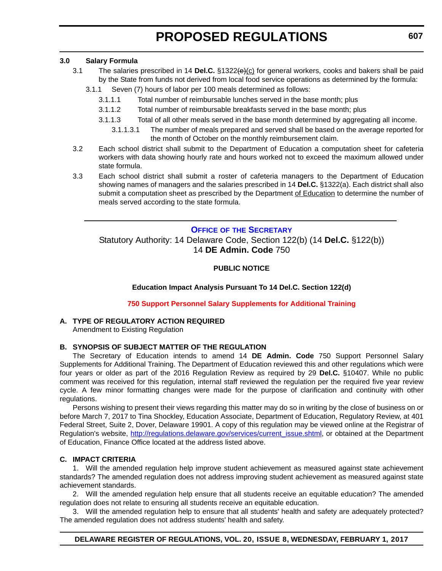# <span id="page-16-0"></span>**3.0 Salary Formula**

- 3.1 The salaries prescribed in 14 Del.C. §1322(e)(c) for general workers, cooks and bakers shall be paid by the State from funds not derived from local food service operations as determined by the formula:
	- 3.1.1 Seven (7) hours of labor per 100 meals determined as follows:
		- 3.1.1.1 Total number of reimbursable lunches served in the base month; plus
		- 3.1.1.2 Total number of reimbursable breakfasts served in the base month; plus
		- 3.1.1.3 Total of all other meals served in the base month determined by aggregating all income.
			- 3.1.1.3.1 The number of meals prepared and served shall be based on the average reported for the month of October on the monthly reimbursement claim.
- 3.2 Each school district shall submit to the Department of Education a computation sheet for cafeteria workers with data showing hourly rate and hours worked not to exceed the maximum allowed under state formula.
- 3.3 Each school district shall submit a roster of cafeteria managers to the Department of Education showing names of managers and the salaries prescribed in 14 **Del.C.** §1322(a). Each district shall also submit a computation sheet as prescribed by the Department of Education to determine the number of meals served according to the state formula.

# **OFFICE OF [THE SECRETARY](https://pubapps.doe.k12.de.us/EducationalDirectoryPublic/pages/DDOE/Branches.aspx?page=branches&BID=1)**

Statutory Authority: 14 Delaware Code, Section 122(b) (14 **Del.C.** §122(b)) 14 **DE Admin. Code** 750

**PUBLIC NOTICE**

**Education Impact Analysis Pursuant To 14 Del.C. Section 122(d)**

# **[750 Support Personnel Salary Supplements for Additional Training](#page-4-0)**

# **A. TYPE OF REGULATORY ACTION REQUIRED**

Amendment to Existing Regulation

# **B. SYNOPSIS OF SUBJECT MATTER OF THE REGULATION**

The Secretary of Education intends to amend 14 **DE Admin. Code** 750 Support Personnel Salary Supplements for Additional Training. The Department of Education reviewed this and other regulations which were four years or older as part of the 2016 Regulation Review as required by 29 **Del.C.** §10407. While no public comment was received for this regulation, internal staff reviewed the regulation per the required five year review cycle. A few minor formatting changes were made for the purpose of clarification and continuity with other regulations.

Persons wishing to present their views regarding this matter may do so in writing by the close of business on or before March 7, 2017 to Tina Shockley, Education Associate, Department of Education, Regulatory Review, at 401 Federal Street, Suite 2, Dover, Delaware 19901. A copy of this regulation may be viewed online at the Registrar of Regulation's website, [http://regulations.delaware.gov/services/current\\_issue.shtml,](http://regulations.delaware.gov/services/current_issue.shtml) or obtained at the Department of Education, Finance Office located at the address listed above.

# **C. IMPACT CRITERIA**

1. Will the amended regulation help improve student achievement as measured against state achievement standards? The amended regulation does not address improving student achievement as measured against state achievement standards.

2. Will the amended regulation help ensure that all students receive an equitable education? The amended regulation does not relate to ensuring all students receive an equitable education.

3. Will the amended regulation help to ensure that all students' health and safety are adequately protected? The amended regulation does not address students' health and safety.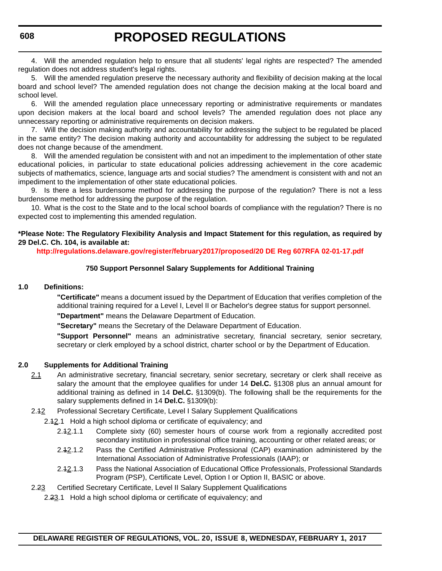4. Will the amended regulation help to ensure that all students' legal rights are respected? The amended regulation does not address student's legal rights.

5. Will the amended regulation preserve the necessary authority and flexibility of decision making at the local board and school level? The amended regulation does not change the decision making at the local board and school level.

6. Will the amended regulation place unnecessary reporting or administrative requirements or mandates upon decision makers at the local board and school levels? The amended regulation does not place any unnecessary reporting or administrative requirements on decision makers.

7. Will the decision making authority and accountability for addressing the subject to be regulated be placed in the same entity? The decision making authority and accountability for addressing the subject to be regulated does not change because of the amendment.

8. Will the amended regulation be consistent with and not an impediment to the implementation of other state educational policies, in particular to state educational policies addressing achievement in the core academic subjects of mathematics, science, language arts and social studies? The amendment is consistent with and not an impediment to the implementation of other state educational policies.

9. Is there a less burdensome method for addressing the purpose of the regulation? There is not a less burdensome method for addressing the purpose of the regulation.

10. What is the cost to the State and to the local school boards of compliance with the regulation? There is no expected cost to implementing this amended regulation.

#### **\*Please Note: The Regulatory Flexibility Analysis and Impact Statement for this regulation, as required by 29 Del.C. Ch. 104, is available at:**

**<http://regulations.delaware.gov/register/february2017/proposed/20 DE Reg 607RFA 02-01-17.pdf>**

# **750 Support Personnel Salary Supplements for Additional Training**

#### **1.0 Definitions:**

**"Certificate"** means a document issued by the Department of Education that verifies completion of the additional training required for a Level I, Level II or Bachelor's degree status for support personnel.

**"Department"** means the Delaware Department of Education.

**"Secretary"** means the Secretary of the Delaware Department of Education.

**"Support Personnel"** means an administrative secretary, financial secretary, senior secretary, secretary or clerk employed by a school district, charter school or by the Department of Education.

#### **2.0 Supplements for Additional Training**

- 2.1 An administrative secretary, financial secretary, senior secretary, secretary or clerk shall receive as salary the amount that the employee qualifies for under 14 **Del.C.** §1308 plus an annual amount for additional training as defined in 14 **Del.C.** §1309(b). The following shall be the requirements for the salary supplements defined in 14 **Del.C.** §1309(b):
- 2.42 Professional Secretary Certificate, Level I Salary Supplement Qualifications
	- 2.42.1 Hold a high school diploma or certificate of equivalency; and
		- 2.12.1.1 Complete sixty (60) semester hours of course work from a regionally accredited post secondary institution in professional office training, accounting or other related areas; or
		- 2.12.1.2 Pass the Certified Administrative Professional (CAP) examination administered by the International Association of Administrative Professionals (IAAP); or
		- 2.42.1.3 Pass the National Association of Educational Office Professionals, Professional Standards Program (PSP), Certificate Level, Option I or Option II, BASIC or above.
- 2.23 Certified Secretary Certificate, Level II Salary Supplement Qualifications

2.23.1 Hold a high school diploma or certificate of equivalency; and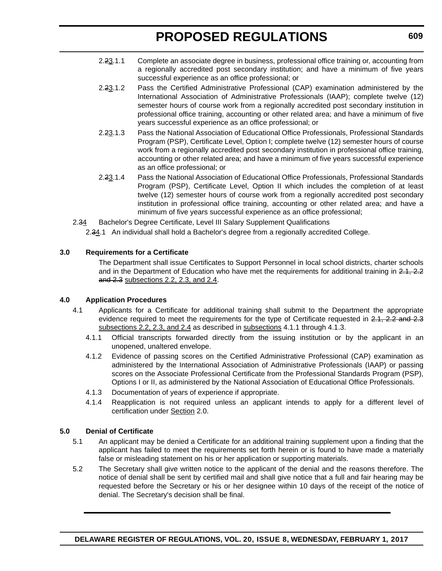- 2.23.1.1 Complete an associate degree in business, professional office training or, accounting from a regionally accredited post secondary institution; and have a minimum of five years successful experience as an office professional; or
- 2.23.1.2 Pass the Certified Administrative Professional (CAP) examination administered by the International Association of Administrative Professionals (IAAP); complete twelve (12) semester hours of course work from a regionally accredited post secondary institution in professional office training, accounting or other related area; and have a minimum of five years successful experience as an office professional; or
- 2.23.1.3 Pass the National Association of Educational Office Professionals, Professional Standards Program (PSP), Certificate Level, Option I; complete twelve (12) semester hours of course work from a regionally accredited post secondary institution in professional office training, accounting or other related area; and have a minimum of five years successful experience as an office professional; or
- 2.23.1.4 Pass the National Association of Educational Office Professionals, Professional Standards Program (PSP), Certificate Level, Option II which includes the completion of at least twelve (12) semester hours of course work from a regionally accredited post secondary institution in professional office training, accounting or other related area; and have a minimum of five years successful experience as an office professional;
- 2.34 Bachelor's Degree Certificate, Level III Salary Supplement Qualifications

2.34.1 An individual shall hold a Bachelor's degree from a regionally accredited College.

#### **3.0 Requirements for a Certificate**

The Department shall issue Certificates to Support Personnel in local school districts, charter schools and in the Department of Education who have met the requirements for additional training in 2.1, 2.2 and 2.3 subsections 2.2, 2.3, and 2.4.

#### **4.0 Application Procedures**

- 4.1 Applicants for a Certificate for additional training shall submit to the Department the appropriate evidence required to meet the requirements for the type of Certificate requested in 2.1, 2.2 and 2.3 subsections 2.2, 2.3, and 2.4 as described in subsections 4.1.1 through 4.1.3.
	- 4.1.1 Official transcripts forwarded directly from the issuing institution or by the applicant in an unopened, unaltered envelope.
	- 4.1.2 Evidence of passing scores on the Certified Administrative Professional (CAP) examination as administered by the International Association of Administrative Professionals (IAAP) or passing scores on the Associate Professional Certificate from the Professional Standards Program (PSP), Options I or II, as administered by the National Association of Educational Office Professionals.
	- 4.1.3 Documentation of years of experience if appropriate.
	- 4.1.4 Reapplication is not required unless an applicant intends to apply for a different level of certification under Section 2.0.

#### **5.0 Denial of Certificate**

- 5.1 An applicant may be denied a Certificate for an additional training supplement upon a finding that the applicant has failed to meet the requirements set forth herein or is found to have made a materially false or misleading statement on his or her application or supporting materials.
- 5.2 The Secretary shall give written notice to the applicant of the denial and the reasons therefore. The notice of denial shall be sent by certified mail and shall give notice that a full and fair hearing may be requested before the Secretary or his or her designee within 10 days of the receipt of the notice of denial. The Secretary's decision shall be final.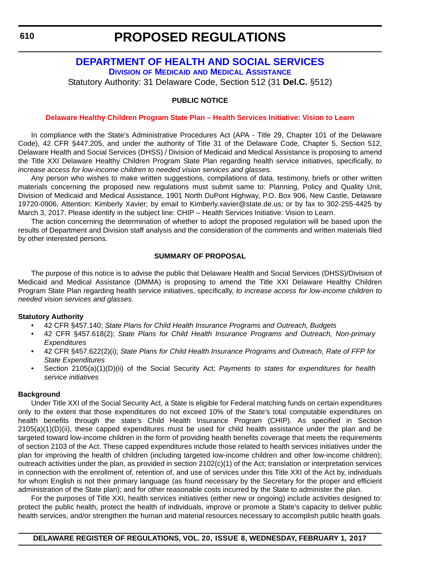# <span id="page-19-0"></span>**[DEPARTMENT OF HEALTH AND SOCIAL SERVICES](http://www.dhss.delaware.gov/dhss/index.html) DIVISION OF MEDICAID [AND MEDICAL ASSISTANCE](http://www.dhss.delaware.gov/dhss/dmma/)**

Statutory Authority: 31 Delaware Code, Section 512 (31 **Del.C.** §512)

### **PUBLIC NOTICE**

#### **[Delaware Healthy Children Program State Plan – Health Services Initiative: Vision to Learn](#page-4-0)**

In compliance with the State's Administrative Procedures Act (APA - Title 29, Chapter 101 of the Delaware Code), 42 CFR §447.205, and under the authority of Title 31 of the Delaware Code, Chapter 5, Section 512, Delaware Health and Social Services (DHSS) / Division of Medicaid and Medical Assistance is proposing to amend the Title XXI Delaware Healthy Children Program State Plan regarding health service initiatives, specifically, *to increase access for low-income children to needed vision services and glasses.*

Any person who wishes to make written suggestions, compilations of data, testimony, briefs or other written materials concerning the proposed new regulations must submit same to: Planning, Policy and Quality Unit, Division of Medicaid and Medical Assistance, 1901 North DuPont Highway, P.O. Box 906, New Castle, Delaware 19720-0906, Attention: Kimberly Xavier; by email to Kimberly.xavier@state.de.us; or by fax to 302-255-4425 by March 3, 2017. Please identify in the subject line: CHIP – Health Services Initiative: Vision to Learn.

The action concerning the determination of whether to adopt the proposed regulation will be based upon the results of Department and Division staff analysis and the consideration of the comments and written materials filed by other interested persons.

# **SUMMARY OF PROPOSAL**

The purpose of this notice is to advise the public that Delaware Health and Social Services (DHSS)/Division of Medicaid and Medical Assistance (DMMA) is proposing to amend the Title XXI Delaware Healthy Children Program State Plan regarding health service initiatives, specifically, *to increase access for low-income children to needed vision services and glasses.*

#### **Statutory Authority**

- 42 CFR §457.140; *State Plans for Child Health Insurance Programs and Outreach, Budgets*
- 42 CFR §457.618(2); *State Plans for Child Health Insurance Programs and Outreach, Non-primary Expenditures*
- 42 CFR §457.622(2)(i); *State Plans for Child Health Insurance Programs and Outreach, Rate of FFP for State Expenditures*
- Section 2105(a)(1)(D)(ii) of the Social Security Act; *Payments to states for expenditures for health service initiatives*

# **Background**

Under Title XXI of the Social Security Act, a State is eligible for Federal matching funds on certain expenditures only to the extent that those expenditures do not exceed 10% of the State's total computable expenditures on health benefits through the state's Child Health Insurance Program (CHIP). As specified in Section 2105(a)(1)(D)(ii), these capped expenditures must be used for child health assistance under the plan and be targeted toward low-income children in the form of providing health benefits coverage that meets the requirements of section 2103 of the Act. These capped expenditures include those related to health services initiatives under the plan for improving the health of children (including targeted low-income children and other low-income children); outreach activities under the plan, as provided in section 2102(c)(1) of the Act; translation or interpretation services in connection with the enrollment of, retention of, and use of services under this Title XXI of the Act by, individuals for whom English is not their primary language (as found necessary by the Secretary for the proper and efficient administration of the State plan); and for other reasonable costs incurred by the State to administer the plan.

For the purposes of Title XXI, health services initiatives (either new or ongoing) include activities designed to: protect the public health, protect the health of individuals, improve or promote a State's capacity to deliver public health services, and/or strengthen the human and material resources necessary to accomplish public health goals.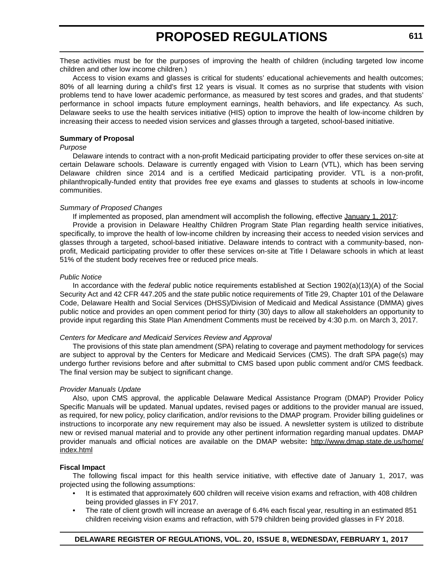These activities must be for the purposes of improving the health of children (including targeted low income children and other low income children.)

Access to vision exams and glasses is critical for students' educational achievements and health outcomes; 80% of all learning during a child's first 12 years is visual. It comes as no surprise that students with vision problems tend to have lower academic performance, as measured by test scores and grades, and that students' performance in school impacts future employment earnings, health behaviors, and life expectancy. As such, Delaware seeks to use the health services initiative (HIS) option to improve the health of low-income children by increasing their access to needed vision services and glasses through a targeted, school-based initiative.

### **Summary of Proposal**

#### *Purpose*

Delaware intends to contract with a non-profit Medicaid participating provider to offer these services on-site at certain Delaware schools. Delaware is currently engaged with Vision to Learn (VTL), which has been serving Delaware children since 2014 and is a certified Medicaid participating provider. VTL is a non-profit, philanthropically-funded entity that provides free eye exams and glasses to students at schools in low-income communities.

# *Summary of Proposed Changes*

If implemented as proposed, plan amendment will accomplish the following, effective January 1, 2017:

Provide a provision in Delaware Healthy Children Program State Plan regarding health service initiatives, specifically, to improve the health of low-income children by increasing their access to needed vision services and glasses through a targeted, school-based initiative. Delaware intends to contract with a community-based, nonprofit, Medicaid participating provider to offer these services on-site at Title I Delaware schools in which at least 51% of the student body receives free or reduced price meals.

# *Public Notice*

In accordance with the *federal* public notice requirements established at Section 1902(a)(13)(A) of the Social Security Act and 42 CFR 447.205 and the *state* public notice requirements of Title 29, Chapter 101 of the Delaware Code, Delaware Health and Social Services (DHSS)/Division of Medicaid and Medical Assistance (DMMA) gives public notice and provides an open comment period for thirty (30) days to allow all stakeholders an opportunity to provide input regarding this State Plan Amendment Comments must be received by 4:30 p.m. on March 3, 2017.

# *Centers for Medicare and Medicaid Services Review and Approval*

The provisions of this state plan amendment (SPA) relating to coverage and payment methodology for services are subject to approval by the Centers for Medicare and Medicaid Services (CMS). The draft SPA page(s) may undergo further revisions before and after submittal to CMS based upon public comment and/or CMS feedback. The final version may be subject to significant change.

# *Provider Manuals Update*

Also, upon CMS approval, the applicable Delaware Medical Assistance Program (DMAP) Provider Policy Specific Manuals will be updated. Manual updates, revised pages or additions to the provider manual are issued, as required, for new policy, policy clarification, and/or revisions to the DMAP program. Provider billing guidelines or instructions to incorporate any new requirement may also be issued. A newsletter system is utilized to distribute new or revised manual material and to provide any other pertinent information regarding manual updates. DMAP provider manuals and official notices are available on the DMAP website**:** http://www.dmap.state.de.us/home/ index.html

# **Fiscal Impact**

The following fiscal impact for this health service initiative, with effective date of January 1, 2017, was projected using the following assumptions:

- It is estimated that approximately 600 children will receive vision exams and refraction, with 408 children being provided glasses in FY 2017.
- The rate of client growth will increase an average of 6.4% each fiscal year, resulting in an estimated 851 children receiving vision exams and refraction, with 579 children being provided glasses in FY 2018.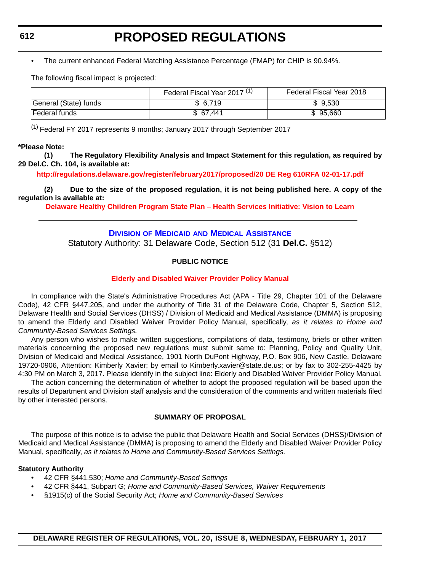<span id="page-21-0"></span>**612**

# **PROPOSED REGULATIONS**

• The current enhanced Federal Matching Assistance Percentage (FMAP) for CHIP is 90.94%.

The following fiscal impact is projected:

|                       | Federal Fiscal Year 2017 (1) | Federal Fiscal Year 2018 |
|-----------------------|------------------------------|--------------------------|
| General (State) funds | \$6.719                      | \$9,530                  |
| <b>IFederal funds</b> | \$ 67.441                    | \$95,660                 |

(1) Federal FY 2017 represents 9 months; January 2017 through September 2017

# **\*Please Note:**

**(1) The Regulatory Flexibility Analysis and Impact Statement for this regulation, as required by 29 Del.C. Ch. 104, is available at:**

**<http://regulations.delaware.gov/register/february2017/proposed/20 DE Reg 610RFA 02-01-17.pdf>**

**(2) Due to the size of the proposed regulation, it is not being published here. A copy of the regulation is available at:**

**[Delaware Healthy Children Program State Plan – Health Services Initiative: Vision to Learn](http://regulations.delaware.gov/register/february2017/proposed/20 DE Reg 610 02-01-17.htm)**

# **DIVISION OF MEDICAID [AND MEDICAL ASSISTANCE](http://www.dhss.delaware.gov/dhss/dmma/)**

Statutory Authority: 31 Delaware Code, Section 512 (31 **Del.C.** §512)

# **PUBLIC NOTICE**

# **[Elderly and Disabled Waiver Provider Policy Manual](#page-4-0)**

In compliance with the State's Administrative Procedures Act (APA - Title 29, Chapter 101 of the Delaware Code), 42 CFR §447.205, and under the authority of Title 31 of the Delaware Code, Chapter 5, Section 512, Delaware Health and Social Services (DHSS) / Division of Medicaid and Medical Assistance (DMMA) is proposing to amend the Elderly and Disabled Waiver Provider Policy Manual, specifically, *as it relates to Home and Community-Based Services Settings.*

Any person who wishes to make written suggestions, compilations of data, testimony, briefs or other written materials concerning the proposed new regulations must submit same to: Planning, Policy and Quality Unit, Division of Medicaid and Medical Assistance, 1901 North DuPont Highway, P.O. Box 906, New Castle, Delaware 19720-0906, Attention: Kimberly Xavier; by email to Kimberly.xavier@state.de.us; or by fax to 302-255-4425 by 4:30 PM on March 3, 2017. Please identify in the subject line: Elderly and Disabled Waiver Provider Policy Manual.

The action concerning the determination of whether to adopt the proposed regulation will be based upon the results of Department and Division staff analysis and the consideration of the comments and written materials filed by other interested persons.

# **SUMMARY OF PROPOSAL**

The purpose of this notice is to advise the public that Delaware Health and Social Services (DHSS)/Division of Medicaid and Medical Assistance (DMMA) is proposing to amend the Elderly and Disabled Waiver Provider Policy Manual, specifically, *as it relates to Home and Community-Based Services Settings.*

# **Statutory Authority**

- 42 CFR §441.530; *Home and Community-Based Settings*
- 42 CFR §441, Subpart G; *Home and Community-Based Services, Waiver Requirements*
- §1915(c) of the Social Security Act; *Home and Community-Based Services*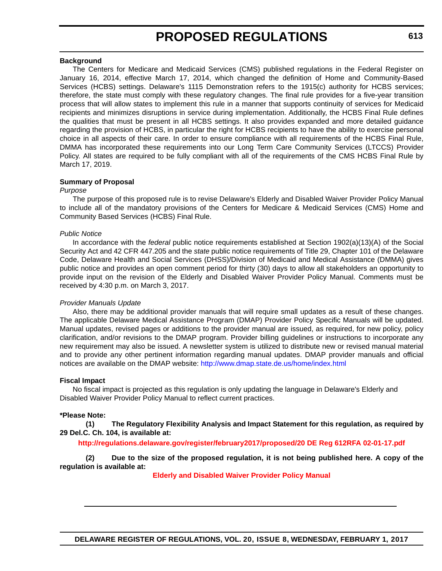#### **Background**

The Centers for Medicare and Medicaid Services (CMS) published regulations in the Federal Register on January 16, 2014, effective March 17, 2014, which changed the definition of Home and Community-Based Services (HCBS) settings. Delaware's 1115 Demonstration refers to the 1915(c) authority for HCBS services; therefore, the state must comply with these regulatory changes. The final rule provides for a five-year transition process that will allow states to implement this rule in a manner that supports continuity of services for Medicaid recipients and minimizes disruptions in service during implementation. Additionally, the HCBS Final Rule defines the qualities that must be present in all HCBS settings. It also provides expanded and more detailed guidance regarding the provision of HCBS, in particular the right for HCBS recipients to have the ability to exercise personal choice in all aspects of their care. In order to ensure compliance with all requirements of the HCBS Final Rule, DMMA has incorporated these requirements into our Long Term Care Community Services (LTCCS) Provider Policy. All states are required to be fully compliant with all of the requirements of the CMS HCBS Final Rule by March 17, 2019.

#### **Summary of Proposal**

#### *Purpose*

The purpose of this proposed rule is to revise Delaware's Elderly and Disabled Waiver Provider Policy Manual to include all of the mandatory provisions of the Centers for Medicare & Medicaid Services (CMS) Home and Community Based Services (HCBS) Final Rule.

#### *Public Notice*

In accordance with the *federal* public notice requirements established at Section 1902(a)(13)(A) of the Social Security Act and 42 CFR 447.205 and the *state* public notice requirements of Title 29, Chapter 101 of the Delaware Code, Delaware Health and Social Services (DHSS)/Division of Medicaid and Medical Assistance (DMMA) gives public notice and provides an open comment period for thirty (30) days to allow all stakeholders an opportunity to provide input on the revision of the Elderly and Disabled Waiver Provider Policy Manual. Comments must be received by 4:30 p.m. on March 3, 2017.

#### *Provider Manuals Update*

Also, there may be additional provider manuals that will require small updates as a result of these changes. The applicable Delaware Medical Assistance Program (DMAP) Provider Policy Specific Manuals will be updated. Manual updates, revised pages or additions to the provider manual are issued, as required, for new policy, policy clarification, and/or revisions to the DMAP program. Provider billing guidelines or instructions to incorporate any new requirement may also be issued. A newsletter system is utilized to distribute new or revised manual material and to provide any other pertinent information regarding manual updates. DMAP provider manuals and official notices are available on the DMAP website: http://www.dmap.state.de.us/home/index.html

#### **Fiscal Impact**

No fiscal impact is projected as this regulation is only updating the language in Delaware's Elderly and Disabled Waiver Provider Policy Manual to reflect current practices.

#### **\*Please Note:**

**(1) The Regulatory Flexibility Analysis and Impact Statement for this regulation, as required by 29 Del.C. Ch. 104, is available at:**

**<http://regulations.delaware.gov/register/february2017/proposed/20 DE Reg 612RFA 02-01-17.pdf>**

**(2) Due to the size of the proposed regulation, it is not being published here. A copy of the regulation is available at:**

**[Elderly and Disabled Waiver Provider Policy Manual](http://regulations.delaware.gov/register/february2017/proposed/20 DE Reg 612 02-01-17.htm)**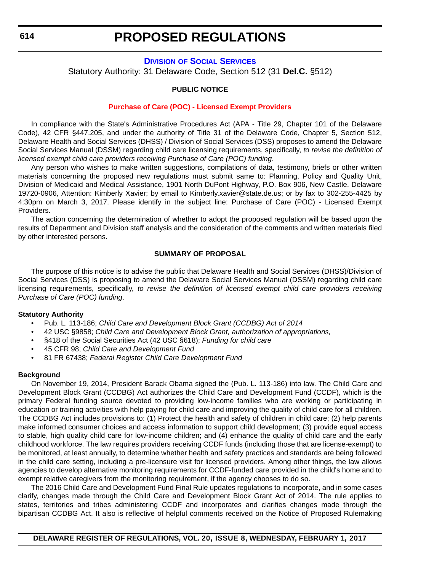# **DIVISION [OF SOCIAL SERVICES](http://www.dhss.delaware.gov/dhss/dss/)**

<span id="page-23-0"></span>Statutory Authority: 31 Delaware Code, Section 512 (31 **Del.C.** §512)

#### **PUBLIC NOTICE**

#### **[Purchase of Care \(POC\) - Licensed Exempt Providers](#page-4-0)**

In compliance with the State's Administrative Procedures Act (APA - Title 29, Chapter 101 of the Delaware Code), 42 CFR §447.205, and under the authority of Title 31 of the Delaware Code, Chapter 5, Section 512, Delaware Health and Social Services (DHSS) / Division of Social Services (DSS) proposes to amend the Delaware Social Services Manual (DSSM) regarding child care licensing requirements, specifically, *to revise the definition of licensed exempt child care providers receiving Purchase of Care (POC) funding*.

Any person who wishes to make written suggestions, compilations of data, testimony, briefs or other written materials concerning the proposed new regulations must submit same to: Planning, Policy and Quality Unit, Division of Medicaid and Medical Assistance, 1901 North DuPont Highway, P.O. Box 906, New Castle, Delaware 19720-0906, Attention: Kimberly Xavier; by email to Kimberly.xavier@state.de.us; or by fax to 302-255-4425 by 4:30pm on March 3, 2017. Please identify in the subject line: Purchase of Care (POC) - Licensed Exempt Providers.

The action concerning the determination of whether to adopt the proposed regulation will be based upon the results of Department and Division staff analysis and the consideration of the comments and written materials filed by other interested persons.

### **SUMMARY OF PROPOSAL**

The purpose of this notice is to advise the public that Delaware Health and Social Services (DHSS)/Division of Social Services (DSS) is proposing to amend the Delaware Social Services Manual (DSSM) regarding child care licensing requirements, specifically, *to revise the definition of licensed exempt child care providers receiving Purchase of Care (POC) funding*.

#### **Statutory Authority**

- Pub. L. 113-186; *Child Care and Development Block Grant (CCDBG) Act of 2014*
- 42 USC §9858; *Child Care and Development Block Grant, authorization of appropriations,*
- §418 of the Social Securities Act (42 USC §618); *Funding for child care*
- 45 CFR 98; *Child Care and Development Fund*
- 81 FR 67438; *Federal Register Child Care Development Fund*

#### **Background**

On November 19, 2014, President Barack Obama signed the (Pub. L. 113-186) into law. The Child Care and Development Block Grant (CCDBG) Act authorizes the Child Care and Development Fund (CCDF), which is the primary Federal funding source devoted to providing low-income families who are working or participating in education or training activities with help paying for child care and improving the quality of child care for all children. The CCDBG Act includes provisions to: (1) Protect the health and safety of children in child care; (2) help parents make informed consumer choices and access information to support child development; (3) provide equal access to stable, high quality child care for low-income children; and (4) enhance the quality of child care and the early childhood workforce. The law requires providers receiving CCDF funds (including those that are license-exempt) to be monitored, at least annually, to determine whether health and safety practices and standards are being followed in the child care setting, including a pre-licensure visit for licensed providers. Among other things, the law allows agencies to develop alternative monitoring requirements for CCDF-funded care provided in the child's home and to exempt relative caregivers from the monitoring requirement, if the agency chooses to do so.

The 2016 Child Care and Development Fund Final Rule updates regulations to incorporate, and in some cases clarify, changes made through the Child Care and Development Block Grant Act of 2014. The rule applies to states, territories and tribes administering CCDF and incorporates and clarifies changes made through the bipartisan CCDBG Act. It also is reflective of helpful comments received on the Notice of Proposed Rulemaking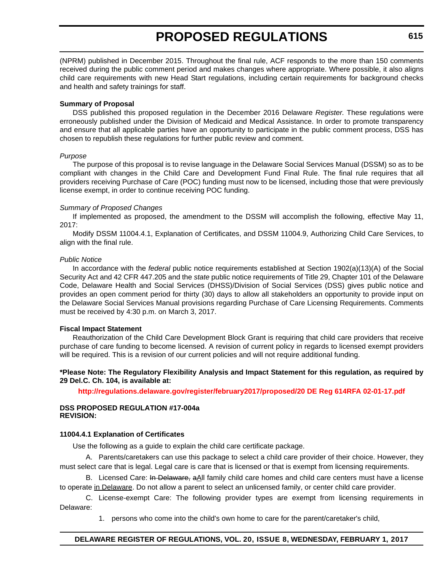(NPRM) published in December 2015. Throughout the final rule, ACF responds to the more than 150 comments received during the public comment period and makes changes where appropriate. Where possible, it also aligns child care requirements with new Head Start regulations, including certain requirements for background checks and health and safety trainings for staff.

#### **Summary of Proposal**

DSS published this proposed regulation in the December 2016 Delaware *Register*. These regulations were erroneously published under the Division of Medicaid and Medical Assistance. In order to promote transparency and ensure that all applicable parties have an opportunity to participate in the public comment process, DSS has chosen to republish these regulations for further public review and comment.

#### *Purpose*

The purpose of this proposal is to revise language in the Delaware Social Services Manual (DSSM) so as to be compliant with changes in the Child Care and Development Fund Final Rule. The final rule requires that all providers receiving Purchase of Care (POC) funding must now to be licensed, including those that were previously license exempt, in order to continue receiving POC funding.

#### *Summary of Proposed Changes*

If implemented as proposed, the amendment to the DSSM will accomplish the following, effective May 11, 2017:

Modify DSSM 11004.4.1, Explanation of Certificates, and DSSM 11004.9, Authorizing Child Care Services, to align with the final rule.

#### *Public Notice*

In accordance with the *federal* public notice requirements established at Section 1902(a)(13)(A) of the Social Security Act and 42 CFR 447.205 and the *state* public notice requirements of Title 29, Chapter 101 of the Delaware Code, Delaware Health and Social Services (DHSS)/Division of Social Services (DSS) gives public notice and provides an open comment period for thirty (30) days to allow all stakeholders an opportunity to provide input on the Delaware Social Services Manual provisions regarding Purchase of Care Licensing Requirements. Comments must be received by 4:30 p.m. on March 3, 2017.

#### **Fiscal Impact Statement**

Reauthorization of the Child Care Development Block Grant is requiring that child care providers that receive purchase of care funding to become licensed. A revision of current policy in regards to licensed exempt providers will be required. This is a revision of our current policies and will not require additional funding.

#### **\*Please Note: The Regulatory Flexibility Analysis and Impact Statement for this regulation, as required by 29 Del.C. Ch. 104, is available at:**

**<http://regulations.delaware.gov/register/february2017/proposed/20 DE Reg 614RFA 02-01-17.pdf>**

#### **DSS PROPOSED REGULATION #17-004a REVISION:**

#### **11004.4.1 Explanation of Certificates**

Use the following as a guide to explain the child care certificate package.

A. Parents/caretakers can use this package to select a child care provider of their choice. However, they must select care that is legal. Legal care is care that is licensed or that is exempt from licensing requirements.

B. Licensed Care: In Delaware, aAll family child care homes and child care centers must have a license to operate in Delaware. Do not allow a parent to select an unlicensed family, or center child care provider.

C. License-exempt Care: The following provider types are exempt from licensing requirements in Delaware:

1. persons who come into the child's own home to care for the parent/caretaker's child,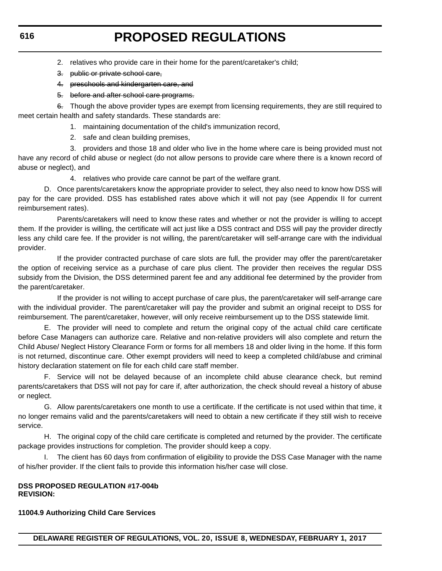- 2. relatives who provide care in their home for the parent/caretaker's child;
- 3. public or private school care,
- 4. preschools and kindergarten care, and
- 5. before and after school care programs.

6. Though the above provider types are exempt from licensing requirements, they are still required to meet certain health and safety standards. These standards are:

- 1. maintaining documentation of the child's immunization record,
- 2. safe and clean building premises,

3. providers and those 18 and older who live in the home where care is being provided must not have any record of child abuse or neglect (do not allow persons to provide care where there is a known record of abuse or neglect), and

4. relatives who provide care cannot be part of the welfare grant.

D. Once parents/caretakers know the appropriate provider to select, they also need to know how DSS will pay for the care provided. DSS has established rates above which it will not pay (see Appendix II for current reimbursement rates).

Parents/caretakers will need to know these rates and whether or not the provider is willing to accept them. If the provider is willing, the certificate will act just like a DSS contract and DSS will pay the provider directly less any child care fee. If the provider is not willing, the parent/caretaker will self-arrange care with the individual provider.

If the provider contracted purchase of care slots are full, the provider may offer the parent/caretaker the option of receiving service as a purchase of care plus client. The provider then receives the regular DSS subsidy from the Division, the DSS determined parent fee and any additional fee determined by the provider from the parent/caretaker.

If the provider is not willing to accept purchase of care plus, the parent/caretaker will self-arrange care with the individual provider. The parent/caretaker will pay the provider and submit an original receipt to DSS for reimbursement. The parent/caretaker, however, will only receive reimbursement up to the DSS statewide limit.

E. The provider will need to complete and return the original copy of the actual child care certificate before Case Managers can authorize care. Relative and non-relative providers will also complete and return the Child Abuse/ Neglect History Clearance Form or forms for all members 18 and older living in the home. If this form is not returned, discontinue care. Other exempt providers will need to keep a completed child/abuse and criminal history declaration statement on file for each child care staff member.

F. Service will not be delayed because of an incomplete child abuse clearance check, but remind parents/caretakers that DSS will not pay for care if, after authorization, the check should reveal a history of abuse or neglect.

G. Allow parents/caretakers one month to use a certificate. If the certificate is not used within that time, it no longer remains valid and the parents/caretakers will need to obtain a new certificate if they still wish to receive service.

H. The original copy of the child care certificate is completed and returned by the provider. The certificate package provides instructions for completion. The provider should keep a copy.

The client has 60 days from confirmation of eligibility to provide the DSS Case Manager with the name of his/her provider. If the client fails to provide this information his/her case will close.

### **DSS PROPOSED REGULATION #17-004b REVISION:**

# **11004.9 Authorizing Child Care Services**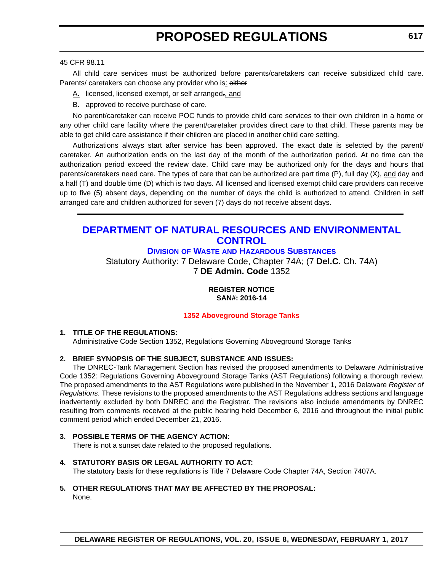#### <span id="page-26-0"></span>45 CFR 98.11

All child care services must be authorized before parents/caretakers can receive subsidized child care. Parents/ caretakers can choose any provider who is: either

- A. licensed, licensed exempt, or self arranged., and
- B. approved to receive purchase of care.

No parent/caretaker can receive POC funds to provide child care services to their own children in a home or any other child care facility where the parent/caretaker provides direct care to that child. These parents may be able to get child care assistance if their children are placed in another child care setting.

Authorizations always start after service has been approved. The exact date is selected by the parent/ caretaker. An authorization ends on the last day of the month of the authorization period. At no time can the authorization period exceed the review date. Child care may be authorized only for the days and hours that parents/caretakers need care. The types of care that can be authorized are part time (P), full day (X), and day and a half (T) and double time (D) which is two days. All licensed and licensed exempt child care providers can receive up to five (5) absent days, depending on the number of days the child is authorized to attend. Children in self arranged care and children authorized for seven (7) days do not receive absent days.

# **[DEPARTMENT OF NATURAL RESOURCES AND ENVIRONMENTAL](http://www.dnrec.delaware.gov/Pages/Portal.aspx)  CONTROL**

**DIVISION OF WASTE [AND HAZARDOUS SUBSTANCES](http://www.dnrec.delaware.gov/dwhs/Pages/default.aspx)**

Statutory Authority: 7 Delaware Code, Chapter 74A; (7 **Del.C.** Ch. 74A) 7 **DE Admin. Code** 1352

> **REGISTER NOTICE SAN#: 2016-14**

# **[1352 Aboveground Storage Tanks](#page-4-0)**

# **1. TITLE OF THE REGULATIONS:**

Administrative Code Section 1352, Regulations Governing Aboveground Storage Tanks

# **2. BRIEF SYNOPSIS OF THE SUBJECT, SUBSTANCE AND ISSUES:**

The DNREC-Tank Management Section has revised the proposed amendments to Delaware Administrative Code 1352: Regulations Governing Aboveground Storage Tanks (AST Regulations) following a thorough review. The proposed amendments to the AST Regulations were published in the November 1, 2016 Delaware *Register of Regulations*. These revisions to the proposed amendments to the AST Regulations address sections and language inadvertently excluded by both DNREC and the Registrar. The revisions also include amendments by DNREC resulting from comments received at the public hearing held December 6, 2016 and throughout the initial public comment period which ended December 21, 2016.

# **3. POSSIBLE TERMS OF THE AGENCY ACTION:**

There is not a sunset date related to the proposed regulations.

**4. STATUTORY BASIS OR LEGAL AUTHORITY TO ACT:**

The statutory basis for these regulations is Title 7 Delaware Code Chapter 74A, Section 7407A.

# **5. OTHER REGULATIONS THAT MAY BE AFFECTED BY THE PROPOSAL:**

None.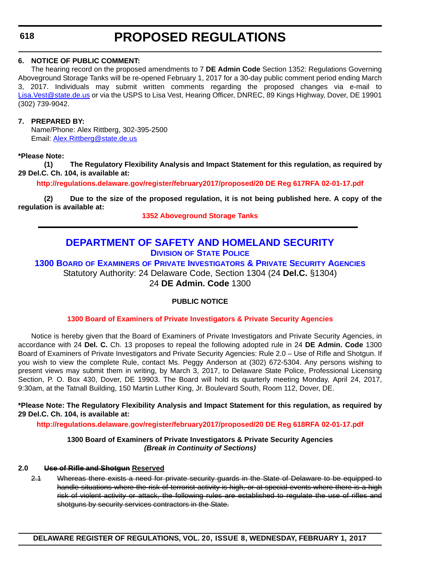<span id="page-27-0"></span>**618**

# **PROPOSED REGULATIONS**

# **6. NOTICE OF PUBLIC COMMENT:**

The hearing record on the proposed amendments to 7 **DE Admin Code** Section 1352: Regulations Governing Aboveground Storage Tanks will be re-opened February 1, 2017 for a 30-day public comment period ending March 3, 2017. Individuals may submit written comments regarding the proposed changes via e-mail to [Lisa.Vest@state.de.us](mailto:Lisa.Vest@state.de.us) or via the USPS to Lisa Vest, Hearing Officer, DNREC, 89 Kings Highway, Dover, DE 19901 (302) 739-9042.

# **7. PREPARED BY:**

Name/Phone: Alex Rittberg, 302-395-2500 Email: [Alex.Rittberg@state.de.us](mailto:Alex.Rittberg@state.de.us)

# **\*Please Note:**

**(1) The Regulatory Flexibility Analysis and Impact Statement for this regulation, as required by 29 Del.C. Ch. 104, is available at:**

**<http://regulations.delaware.gov/register/february2017/proposed/20 DE Reg 617RFA 02-01-17.pdf>**

**(2) Due to the size of the proposed regulation, it is not being published here. A copy of the regulation is available at:**

**[1352 Aboveground Storage Tanks](http://regulations.delaware.gov/register/february2017/proposed/20 DE Reg 617 02-01-17.htm)**

# **[DEPARTMENT OF SAFETY AND HOMELAND SECURITY](http://dshs.delaware.gov/) DIVISION [OF STATE POLICE](http://dsp.delaware.gov/)**

**1300 BOARD OF EXAMINERS OF PRIVATE INVESTIGATORS & PRIVATE SECURITY AGENCIES**

Statutory Authority: 24 Delaware Code, Section 1304 (24 **Del.C.** §1304)

24 **DE Admin. Code** 1300

# **PUBLIC NOTICE**

# **[1300 Board of Examiners of Private Investigators & Private Security Agencies](#page-4-0)**

Notice is hereby given that the Board of Examiners of Private Investigators and Private Security Agencies, in accordance with 24 **Del. C.** Ch. 13 proposes to repeal the following adopted rule in 24 **DE Admin. Code** 1300 Board of Examiners of Private Investigators and Private Security Agencies: Rule 2.0 – Use of Rifle and Shotgun. If you wish to view the complete Rule, contact Ms. Peggy Anderson at (302) 672-5304. Any persons wishing to present views may submit them in writing, by March 3, 2017, to Delaware State Police, Professional Licensing Section, P. O. Box 430, Dover, DE 19903. The Board will hold its quarterly meeting Monday, April 24, 2017, 9:30am, at the Tatnall Building, 150 Martin Luther King, Jr. Boulevard South, Room 112, Dover, DE.

#### **\*Please Note: The Regulatory Flexibility Analysis and Impact Statement for this regulation, as required by 29 Del.C. Ch. 104, is available at:**

**<http://regulations.delaware.gov/register/february2017/proposed/20 DE Reg 618RFA 02-01-17.pdf>**

# **1300 Board of Examiners of Private Investigators & Private Security Agencies** *(Break in Continuity of Sections)*

# **2.0 Use of Rifle and Shotgun Reserved**

2.1 Whereas there exists a need for private security guards in the State of Delaware to be equipped to handle situations where the risk of terrorist activity is high, or at special events where there is a high risk of violent activity or attack, the following rules are established to regulate the use of rifles and shotguns by security services contractors in the State.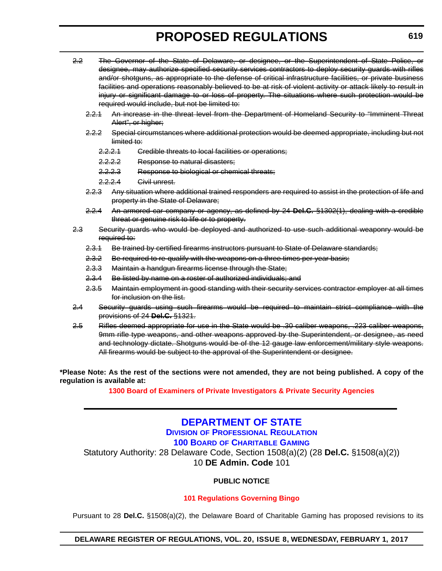- <span id="page-28-0"></span>2.2 The Governor of the State of Delaware, or designee, or the Superintendent of State Police, or designee, may authorize specified security services contractors to deploy security guards with rifles and/or shotguns, as appropriate to the defense of critical infrastructure facilities, or private business facilities and operations reasonably believed to be at risk of violent activity or attack likely to result in injury or significant damage to or loss of property. The situations where such protection would be required would include, but not be limited to:
	- 2.2.1 An increase in the threat level from the Department of Homeland Security to "Imminent Threat Alert", or higher;
	- 2.2.2 Special circumstances where additional protection would be deemed appropriate, including but not limited to:
		- 2.2.2.1 Credible threats to local facilities or operations;
		- 2.2.2.2 Response to natural disasters;
		- 2.2.2.3 Response to biological or chemical threats;
		- 2.2.2.4 Civil unrest.
	- 2.2.3 Any situation where additional trained responders are required to assist in the protection of life and property in the State of Delaware;
	- 2.2.4 An armored car company or agency, as defined by 24 **Del.C.** §1302(1), dealing with a credible threat or genuine risk to life or to property.
- 2.3 Security guards who would be deployed and authorized to use such additional weaponry would be required to:
	- 2.3.1 Be trained by certified firearms instructors pursuant to State of Delaware standards;
	- 2.3.2 Be required to re-qualify with the weapons on a three times per year basis;
	- 2.3.3 Maintain a handgun firearms license through the State;
	- 2.3.4 Be listed by name on a roster of authorized individuals; and
	- 2.3.5 Maintain employment in good standing with their security services contractor employer at all times for inclusion on the list.
- 2.4 Security guards using such firearms would be required to maintain strict compliance with the provisions of 24 **Del.C.** §1321.
- 2.5 Rifles deemed appropriate for use in the State would be .30 caliber weapons, .223 caliber weapons, 9mm rifle type weapons, and other weapons approved by the Superintendent, or designee, as need and technology dictate. Shotguns would be of the 12 gauge law enforcement/military style weapons. All firearms would be subject to the approval of the Superintendent or designee.

**\*Please Note: As the rest of the sections were not amended, they are not being published. A copy of the regulation is available at:**

**[1300 Board of Examiners of Private Investigators & Private Security Agencies](http://regulations.delaware.gov/register/february2017/proposed/20 DE Reg 618 02-01-17.htm)**

# **[DEPARTMENT OF STATE](http://sos.delaware.gov/) DIVISION [OF PROFESSIONAL REGULATION](http://dpr.delaware.gov/)**

# **100 BOARD [OF CHARITABLE GAMING](http://dpr.delaware.gov/boards/gaming/index.shtml)**

Statutory Authority: 28 Delaware Code, Section 1508(a)(2) (28 **Del.C.** §1508(a)(2)) 10 **DE Admin. Code** 101

# **PUBLIC NOTICE**

# **[101 Regulations Governing Bingo](#page-4-0)**

Pursuant to 28 **Del.C.** §1508(a)(2), the Delaware Board of Charitable Gaming has proposed revisions to its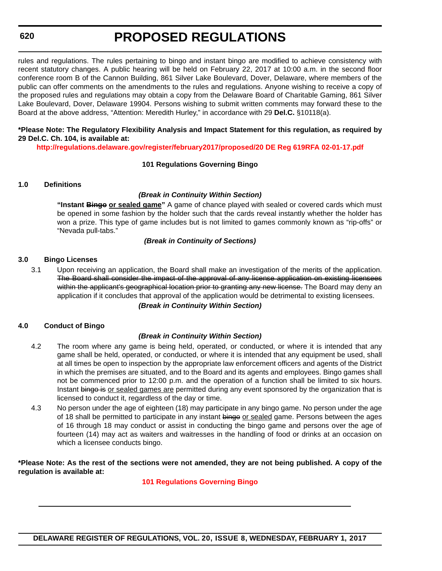rules and regulations. The rules pertaining to bingo and instant bingo are modified to achieve consistency with recent statutory changes. A public hearing will be held on February 22, 2017 at 10:00 a.m. in the second floor conference room B of the Cannon Building, 861 Silver Lake Boulevard, Dover, Delaware, where members of the public can offer comments on the amendments to the rules and regulations. Anyone wishing to receive a copy of the proposed rules and regulations may obtain a copy from the Delaware Board of Charitable Gaming, 861 Silver Lake Boulevard, Dover, Delaware 19904. Persons wishing to submit written comments may forward these to the Board at the above address, "Attention: Meredith Hurley," in accordance with 29 **Del.C.** §10118(a).

# **\*Please Note: The Regulatory Flexibility Analysis and Impact Statement for this regulation, as required by 29 Del.C. Ch. 104, is available at:**

**<http://regulations.delaware.gov/register/february2017/proposed/20 DE Reg 619RFA 02-01-17.pdf>**

# **101 Regulations Governing Bingo**

# **1.0 Definitions**

#### *(Break in Continuity Within Section)*

**"Instant Bingo or sealed game"** A game of chance played with sealed or covered cards which must be opened in some fashion by the holder such that the cards reveal instantly whether the holder has won a prize. This type of game includes but is not limited to games commonly known as "rip-offs" or "Nevada pull-tabs."

#### *(Break in Continuity of Sections)*

#### **3.0 Bingo Licenses**

3.1 Upon receiving an application, the Board shall make an investigation of the merits of the application. The Board shall consider the impact of the approval of any license application on existing licensees within the applicant's geographical location prior to granting any new license. The Board may deny an application if it concludes that approval of the application would be detrimental to existing licensees.

# *(Break in Continuity Within Section)*

# **4.0 Conduct of Bingo**

# *(Break in Continuity Within Section)*

- 4.2 The room where any game is being held, operated, or conducted, or where it is intended that any game shall be held, operated, or conducted, or where it is intended that any equipment be used, shall at all times be open to inspection by the appropriate law enforcement officers and agents of the District in which the premises are situated, and to the Board and its agents and employees. Bingo games shall not be commenced prior to 12:00 p.m. and the operation of a function shall be limited to six hours. Instant bingo is or sealed games are permitted during any event sponsored by the organization that is licensed to conduct it, regardless of the day or time.
- 4.3 No person under the age of eighteen (18) may participate in any bingo game. No person under the age of 18 shall be permitted to participate in any instant bingo or sealed game. Persons between the ages of 16 through 18 may conduct or assist in conducting the bingo game and persons over the age of fourteen (14) may act as waiters and waitresses in the handling of food or drinks at an occasion on which a licensee conducts bingo.

### **\*Please Note: As the rest of the sections were not amended, they are not being published. A copy of the regulation is available at:**

# **[101 Regulations Governing Bingo](http://regulations.delaware.gov/register/february2017/proposed/20 DE Reg 619 02-01-17.htm)**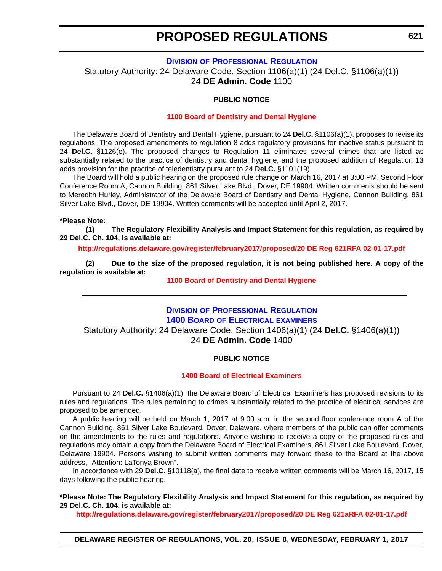# **DIVISION [OF PROFESSIONAL REGULATION](http://dpr.delaware.gov/)**

<span id="page-30-0"></span>Statutory Authority: 24 Delaware Code, Section 1106(a)(1) (24 Del.C. §1106(a)(1)) 24 **DE Admin. Code** 1100

### **PUBLIC NOTICE**

#### **[1100 Board of Dentistry and Dental Hygiene](#page-4-0)**

The Delaware Board of Dentistry and Dental Hygiene, pursuant to 24 **Del.C.** §1106(a)(1), proposes to revise its regulations. The proposed amendments to regulation 8 adds regulatory provisions for inactive status pursuant to 24 **Del.C.** §1126(e). The proposed changes to Regulation 11 eliminates several crimes that are listed as substantially related to the practice of dentistry and dental hygiene, and the proposed addition of Regulation 13 adds provision for the practice of teledentistry pursuant to 24 **Del.C.** §1101(19).

The Board will hold a public hearing on the proposed rule change on March 16, 2017 at 3:00 PM, Second Floor Conference Room A, Cannon Building, 861 Silver Lake Blvd., Dover, DE 19904. Written comments should be sent to Meredith Hurley, Administrator of the Delaware Board of Dentistry and Dental Hygiene, Cannon Building, 861 Silver Lake Blvd., Dover, DE 19904. Written comments will be accepted until April 2, 2017.

#### **\*Please Note:**

**(1) The Regulatory Flexibility Analysis and Impact Statement for this regulation, as required by 29 Del.C. Ch. 104, is available at:**

**<http://regulations.delaware.gov/register/february2017/proposed/20 DE Reg 621RFA 02-01-17.pdf>**

**(2) Due to the size of the proposed regulation, it is not being published here. A copy of the regulation is available at:**

**[1100 Board of Dentistry and Dental Hygiene](http://regulations.delaware.gov/register/february2017/proposed/20 DE Reg 621 02-01-17.htm)**

# **DIVISION [OF PROFESSIONAL REGULATION](http://dpr.delaware.gov/) 1400 BOARD [OF ELECTRICAL](http://dpr.delaware.gov/boards/electrician/index.shtml) EXAMINERS** Statutory Authority: 24 Delaware Code, Section 1406(a)(1) (24 **Del.C.** §1406(a)(1)) 24 **DE Admin. Code** 1400

# **PUBLIC NOTICE**

#### **[1400 Board of Electrical Examiners](#page-4-0)**

Pursuant to 24 **Del.C.** §1406(a)(1), the Delaware Board of Electrical Examiners has proposed revisions to its rules and regulations. The rules pertaining to crimes substantially related to the practice of electrical services are proposed to be amended.

A public hearing will be held on March 1, 2017 at 9:00 a.m. in the second floor conference room A of the Cannon Building, 861 Silver Lake Boulevard, Dover, Delaware, where members of the public can offer comments on the amendments to the rules and regulations. Anyone wishing to receive a copy of the proposed rules and regulations may obtain a copy from the Delaware Board of Electrical Examiners, 861 Silver Lake Boulevard, Dover, Delaware 19904. Persons wishing to submit written comments may forward these to the Board at the above address, "Attention: LaTonya Brown".

In accordance with 29 **Del.C.** §10118(a), the final date to receive written comments will be March 16, 2017, 15 days following the public hearing.

**\*Please Note: The Regulatory Flexibility Analysis and Impact Statement for this regulation, as required by 29 Del.C. Ch. 104, is available at:**

**<http://regulations.delaware.gov/register/february2017/proposed/20 DE Reg 621aRFA 02-01-17.pdf>**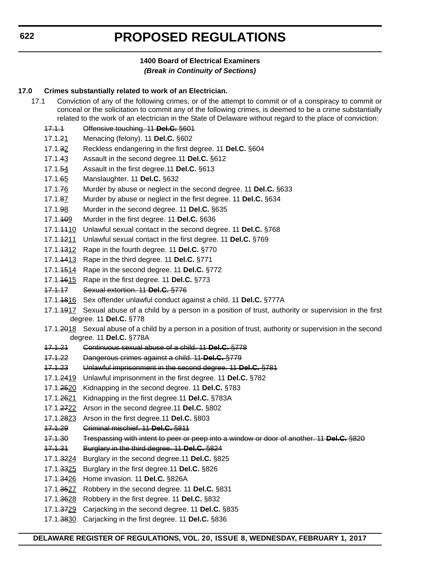# **1400 Board of Electrical Examiners** *(Break in Continuity of Sections)*

# **17.0 Crimes substantially related to work of an Electrician.**

- 17.1 Conviction of any of the following crimes, or of the attempt to commit or of a conspiracy to commit or conceal or the solicitation to commit any of the following crimes, is deemed to be a crime substantially related to the work of an electrician in the State of Delaware without regard to the place of conviction:
	- 17.1.1 Offensive touching. 11 **Del.C.** §601
	- 17.1.21 Menacing (felony). 11 **Del.C.** §602
	- 17.1.32 Reckless endangering in the first degree. 11 **Del.C.** §604
	- 17.1.43 Assault in the second degree.11 **Del.C.** §612
	- 17.1.54 Assault in the first degree.11 **Del.C.** §613
	- 17.1.65 Manslaughter. 11 **Del.C.** §632
	- 17.1.76 Murder by abuse or neglect in the second degree. 11 **Del.C.** §633
	- 17.1.87 Murder by abuse or neglect in the first degree. 11 **Del.C.** §634
	- 17.1.98 Murder in the second degree. 11 **Del.C.** §635
	- 17.1.109 Murder in the first degree. 11 **Del.C.** §636
	- 17.1.1110 Unlawful sexual contact in the second degree. 11 **Del.C.** §768
	- 17.1.1211 Unlawful sexual contact in the first degree. 11 **Del.C.** §769
	- 17.1.1312 Rape in the fourth degree. 11 **Del.C.** §770
	- 17.1.1413 Rape in the third degree. 11 **Del.C.** §771
	- 17.1.1514 Rape in the second degree. 11 **Del.C.** §772
	- 17.1.1615 Rape in the first degree. 11 **Del.C.** §773
	- 17.1.17 Sexual extortion. 11 **Del.C.** §776
	- 17.1.1816 Sex offender unlawful conduct against a child. 11 **Del.C.** §777A
	- 17.1.4917 Sexual abuse of a child by a person in a position of trust, authority or supervision in the first degree. 11 **Del.C.** §778
	- 17.1.2018 Sexual abuse of a child by a person in a position of trust, authority or supervision in the second degree. 11 **Del.C.** §778A
	- 17.1.21 Continuous sexual abuse of a child. 11 **Del.C.** §778
	- 17.1.22 Dangerous crimes against a child. 11 **Del.C.** §779
	- 17.1.23 Unlawful imprisonment in the second degree. 11 **Del.C.** §781
	- 17.1.2419 Unlawful imprisonment in the first degree. 11 **Del.C.** §782
	- 17.1.2520 Kidnapping in the second degree. 11 **Del.C.** §783
	- 17.1.2621 Kidnapping in the first degree.11 **Del.C.** §783A
	- 17.1.2722 Arson in the second degree.11 **Del.C.** §802
	- 17.1.2823 Arson in the first degree.11 **Del.C.** §803
	- 17.1.29 Criminal mischief. 11 **Del.C.** §811
	- 17.1.30 Trespassing with intent to peer or peep into a window or door of another. 11 **Del.C.** §820
	- 17.1.31 Burglary in the third degree. 11 **Del.C.** §824
	- 17.1.3224 Burglary in the second degree.11 **Del.C.** §825
	- 17.1.3325 Burglary in the first degree.11 **Del.C.** §826
	- 17.1.3426 Home invasion. 11 **Del.C.** §826A
	- 17.1.3527 Robbery in the second degree. 11 **Del.C.** §831
	- 17.1.3628 Robbery in the first degree. 11 **Del.C.** §832
	- 17.1.3729 Carjacking in the second degree. 11 **Del.C.** §835
	- 17.1.3830 Carjacking in the first degree. 11 **Del.C.** §836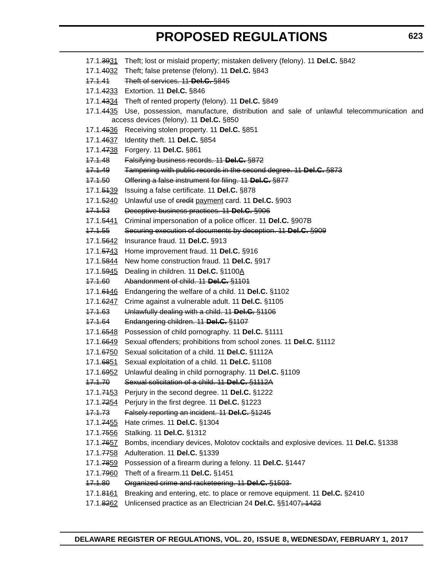|                                         | 17.1.3931 Theft; lost or mislaid property; mistaken delivery (felony). 11 Del.C. §842           |
|-----------------------------------------|-------------------------------------------------------------------------------------------------|
|                                         | 17.1.4032 Theft; false pretense (felony). 11 Del.C. §843                                        |
| <u>17.1.41</u>                          | Theft of services. 11-Del.C. §845                                                               |
|                                         | 17.1.4233 Extortion. 11 Del.C. §846                                                             |
|                                         | 17.1.4334 Theft of rented property (felony). 11 Del.C. §849                                     |
|                                         | 17.1.4435 Use, possession, manufacture, distribution and sale of unlawful telecommunication and |
| access devices (felony). 11 Del.C. §850 |                                                                                                 |
|                                         | 17.1.4536 Receiving stolen property. 11 Del.C. §851                                             |
|                                         | 17.1.4637 Identity theft. 11 Del.C. §854                                                        |
|                                         | 17.1.4738 Forgery. 11 Del.C. §861                                                               |
| <del>17.1.48</del>                      | Falsifying business records. 11 Del.C. §872                                                     |
| <del>17.1.49</del>                      | Tampering with public records in the second degree. 11 Del.C. §873                              |
| <u>17.1.50</u>                          | Offering a false instrument for filing. 11 Del.C. §877                                          |
| 17.1. <del>51</del> 39                  | Issuing a false certificate. 11 Del.C. §878                                                     |
| 17.1. <del>52</del> 40                  | Unlawful use of eredit payment card. 11 Del.C. §903                                             |
| 17.1.53                                 | Deceptive business practices. 11 Del.C. §906                                                    |
| 17.1. <del>54</del> 41                  | Criminal impersonation of a police officer. 11 Del.C. §907B                                     |
| <del>17.1.55</del>                      | Securing execution of documents by deception. 11 Del.C. §909                                    |
|                                         | 17.1.5642 Insurance fraud. 11 Del.C. §913                                                       |
|                                         | 17.1.5743 Home improvement fraud. 11 Del.C. §916                                                |
|                                         | 17.1.5844 New home construction fraud. 11 Del.C. §917                                           |
|                                         | 17.1.5945 Dealing in children. 11 Del.C. §1100A                                                 |
| <del>17.1.60</del>                      | Abandonment of child. 11 Del.C. §1101                                                           |
|                                         | 17.1.6446 Endangering the welfare of a child. 11 Del.C. §1102                                   |
|                                         | 17.1.6247 Crime against a vulnerable adult. 11 Del.C. §1105                                     |
| <del>17.1.63</del>                      | Unlawfully dealing with a child. 11 Del.C. §1106                                                |
| 17.1.64                                 | Endangering children. 11 Del.C. §1107                                                           |
|                                         | 17.1.6548 Possession of child pornography. 11 Del.C. §1111                                      |
| 17.1. <del>66</del> 49                  | Sexual offenders; prohibitions from school zones. 11 Del.C. §1112                               |
|                                         | 17.1.6750 Sexual solicitation of a child. 11 Del.C. §1112A                                      |
|                                         | 17.1.6851 Sexual exploitation of a child. 11 Del.C. §1108                                       |
|                                         | 17.1.6952 Unlawful dealing in child pornography. 11 Del.C. §1109                                |
| <del>17.1.70</del>                      | Sexual solicitation of a child. 11-Del.C. §1112A                                                |
| 17.1.7453                               | Perjury in the second degree. 11 Del.C. §1222                                                   |
|                                         | 17.1.7254 Perjury in the first degree. 11 Del.C. §1223                                          |
| 17.1.73                                 | Falsely reporting an incident. 11 Del.C. §1245                                                  |
|                                         | 17.1.7455 Hate crimes. 11 Del.C. §1304                                                          |
|                                         | 17.1.7556 Stalking. 11 Del.C. §1312                                                             |
| 17.1. <del>76</del> 57                  | Bombs, incendiary devices, Molotov cocktails and explosive devices. 11 Del.C. §1338             |
|                                         | 17.1.7758 Adulteration. 11 Del.C. §1339                                                         |
|                                         | 17.1.7859 Possession of a firearm during a felony. 11 Del.C. §1447                              |
| 17.1. <del>79</del> 60                  | Theft of a firearm.11 Del.C. §1451                                                              |
| 17.1.80                                 | Organized crime and racketeering. 11 Del.C. §1503                                               |
| 17.1. <del>81</del> 61                  | Breaking and entering, etc. to place or remove equipment. 11 Del.C. §2410                       |
|                                         |                                                                                                 |

17.1.8262 Unlicensed practice as an Electrician 24 **Del.C.** §§1407; 1422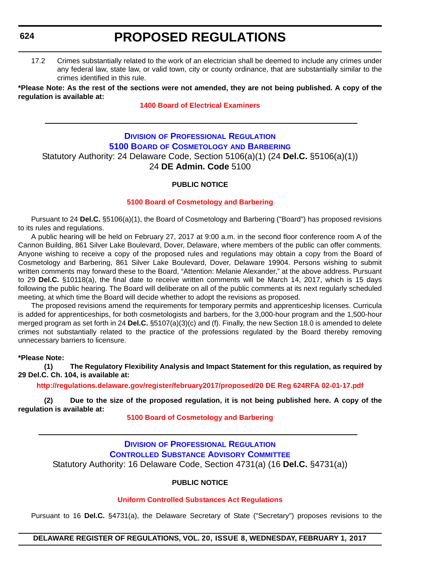<span id="page-33-0"></span>17.2 Crimes substantially related to the work of an electrician shall be deemed to include any crimes under any federal law, state law, or valid town, city or county ordinance, that are substantially similar to the crimes identified in this rule.

**\*Please Note: As the rest of the sections were not amended, they are not being published. A copy of the regulation is available at:**

#### **[1400 Board of Electrical Examiners](http://regulations.delaware.gov/register/february2017/proposed/20 DE Reg 621a 02-01-17.htm)**

# **DIVISION [OF PROFESSIONAL REGULATION](http://dpr.delaware.gov/) 5100 BOARD [OF COSMETOLOGY](http://dpr.delaware.gov/boards/cosmetology/index.shtml) AND BARBERING** Statutory Authority: 24 Delaware Code, Section 5106(a)(1) (24 **Del.C.** §5106(a)(1)) 24 **DE Admin. Code** 5100

#### **PUBLIC NOTICE**

#### **[5100 Board of Cosmetology and Barbering](#page-4-0)**

Pursuant to 24 **Del.C.** §5106(a)(1), the Board of Cosmetology and Barbering ("Board") has proposed revisions to its rules and regulations.

A public hearing will be held on February 27, 2017 at 9:00 a.m. in the second floor conference room A of the Cannon Building, 861 Silver Lake Boulevard, Dover, Delaware, where members of the public can offer comments. Anyone wishing to receive a copy of the proposed rules and regulations may obtain a copy from the Board of Cosmetology and Barbering, 861 Silver Lake Boulevard, Dover, Delaware 19904. Persons wishing to submit written comments may forward these to the Board, "Attention: Melanie Alexander," at the above address. Pursuant to 29 **Del.C.** §10118(a), the final date to receive written comments will be March 14, 2017, which is 15 days following the public hearing. The Board will deliberate on all of the public comments at its next regularly scheduled meeting, at which time the Board will decide whether to adopt the revisions as proposed.

The proposed revisions amend the requirements for temporary permits and apprenticeship licenses. Curricula is added for apprenticeships, for both cosmetologists and barbers, for the 3,000-hour program and the 1,500-hour merged program as set forth in 24 **Del.C.** §5107(a)(3)(c) and (f). Finally, the new Section 18.0 is amended to delete crimes not substantially related to the practice of the professions regulated by the Board thereby removing unnecessary barriers to licensure.

#### **\*Please Note:**

**(1) The Regulatory Flexibility Analysis and Impact Statement for this regulation, as required by 29 Del.C. Ch. 104, is available at:**

**<http://regulations.delaware.gov/register/february2017/proposed/20 DE Reg 624RFA 02-01-17.pdf>**

**(2) Due to the size of the proposed regulation, it is not being published here. A copy of the regulation is available at:**

**[5100 Board of Cosmetology and Barbering](http://regulations.delaware.gov/register/february2017/proposed/20 DE Reg 624 02-01-17.htm)**

# **DIVISION [OF PROFESSIONAL REGULATION](http://dpr.delaware.gov/) [CONTROLLED SUBSTANCE ADVISORY COMMITTEE](http://dpr.delaware.gov/boards/controlledsubstances/index.shtml)** Statutory Authority: 16 Delaware Code, Section 4731(a) (16 **Del.C.** §4731(a))

# **PUBLIC NOTICE**

#### **[Uniform Controlled Substances Act Regulations](#page-4-0)**

Pursuant to 16 **Del.C.** §4731(a), the Delaware Secretary of State ("Secretary") proposes revisions to the

# **DELAWARE REGISTER OF REGULATIONS, VOL. 20, ISSUE 8, WEDNESDAY, FEBRUARY 1, 2017**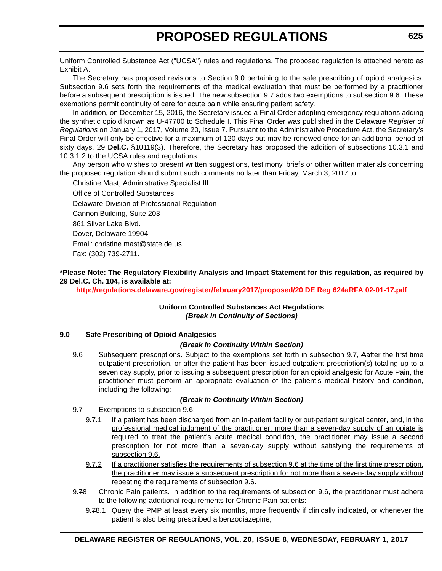Uniform Controlled Substance Act ("UCSA") rules and regulations. The proposed regulation is attached hereto as Exhibit A.

The Secretary has proposed revisions to Section 9.0 pertaining to the safe prescribing of opioid analgesics. Subsection 9.6 sets forth the requirements of the medical evaluation that must be performed by a practitioner before a subsequent prescription is issued. The new subsection 9.7 adds two exemptions to subsection 9.6. These exemptions permit continuity of care for acute pain while ensuring patient safety.

In addition, on December 15, 2016, the Secretary issued a Final Order adopting emergency regulations adding the synthetic opioid known as U-47700 to Schedule I. This Final Order was published in the Delaware *Register of Regulations* on January 1, 2017, Volume 20, Issue 7. Pursuant to the Administrative Procedure Act, the Secretary's Final Order will only be effective for a maximum of 120 days but may be renewed once for an additional period of sixty days. 29 **Del.C.** §10119(3). Therefore, the Secretary has proposed the addition of subsections 10.3.1 and 10.3.1.2 to the UCSA rules and regulations.

Any person who wishes to present written suggestions, testimony, briefs or other written materials concerning the proposed regulation should submit such comments no later than Friday, March 3, 2017 to:

Christine Mast, Administrative Specialist III Office of Controlled Substances Delaware Division of Professional Regulation Cannon Building, Suite 203 861 Silver Lake Blvd. Dover, Delaware 19904 Email: christine.mast@state.de.us Fax: (302) 739-2711.

**\*Please Note: The Regulatory Flexibility Analysis and Impact Statement for this regulation, as required by 29 Del.C. Ch. 104, is available at:**

**<http://regulations.delaware.gov/register/february2017/proposed/20 DE Reg 624aRFA 02-01-17.pdf>**

# **Uniform Controlled Substances Act Regulations** *(Break in Continuity of Sections)*

# **9.0 Safe Prescribing of Opioid Analgesics**

# *(Break in Continuity Within Section)*

9.6 Subsequent prescriptions. Subject to the exemptions set forth in subsection 9.7, Aafter the first time outpatient prescription, or after the patient has been issued outpatient prescription(s) totaling up to a seven day supply, prior to issuing a subsequent prescription for an opioid analgesic for Acute Pain, the practitioner must perform an appropriate evaluation of the patient's medical history and condition, including the following:

# *(Break in Continuity Within Section)*

- 9.7 Exemptions to subsection 9.6:
	- 9.7.1 If a patient has been discharged from an in-patient facility or out-patient surgical center, and, in the professional medical judgment of the practitioner, more than a seven-day supply of an opiate is required to treat the patient's acute medical condition, the practitioner may issue a second prescription for not more than a seven-day supply without satisfying the requirements of subsection 9.6.
	- 9.7.2 If a practitioner satisfies the requirements of subsection 9.6 at the time of the first time prescription, the practitioner may issue a subsequent prescription for not more than a seven-day supply without repeating the requirements of subsection 9.6.
- 9.78 Chronic Pain patients. In addition to the requirements of subsection 9.6, the practitioner must adhere to the following additional requirements for Chronic Pain patients:
	- 9.78.1 Query the PMP at least every six months, more frequently if clinically indicated, or whenever the patient is also being prescribed a benzodiazepine;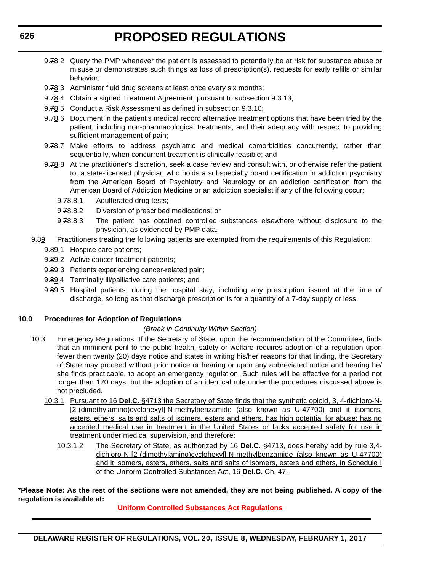- 9.78.2 Query the PMP whenever the patient is assessed to potentially be at risk for substance abuse or misuse or demonstrates such things as loss of prescription(s), requests for early refills or similar behavior;
- 9.78.3 Administer fluid drug screens at least once every six months;
- 9.78.4 Obtain a signed Treatment Agreement, pursuant to subsection 9.3.13;
- 9.78.5 Conduct a Risk Assessment as defined in subsection 9.3.10;
- 9.78.6 Document in the patient's medical record alternative treatment options that have been tried by the patient, including non-pharmacological treatments, and their adequacy with respect to providing sufficient management of pain;
- 9.78.7 Make efforts to address psychiatric and medical comorbidities concurrently, rather than sequentially, when concurrent treatment is clinically feasible; and
- 9.78.8 At the practitioner's discretion, seek a case review and consult with, or otherwise refer the patient to, a state-licensed physician who holds a subspecialty board certification in addiction psychiatry from the American Board of Psychiatry and Neurology or an addiction certification from the American Board of Addiction Medicine or an addiction specialist if any of the following occur:
	- 9.78.8.1 Adulterated drug tests;
	- 9.78.8.2 Diversion of prescribed medications; or
	- 9.78.8.3 The patient has obtained controlled substances elsewhere without disclosure to the physician, as evidenced by PMP data.
- 9.89 Practitioners treating the following patients are exempted from the requirements of this Regulation:
	- 9.89.1 Hospice care patients;
	- 9.89.2 Active cancer treatment patients;
	- 9.89.3 Patients experiencing cancer-related pain;
	- 9.89.4 Terminally ill/palliative care patients; and
	- 9.89.5 Hospital patients, during the hospital stay, including any prescription issued at the time of discharge, so long as that discharge prescription is for a quantity of a 7-day supply or less.

# **10.0 Procedures for Adoption of Regulations**

#### *(Break in Continuity Within Section)*

- 10.3 Emergency Regulations. If the Secretary of State, upon the recommendation of the Committee, finds that an imminent peril to the public health, safety or welfare requires adoption of a regulation upon fewer then twenty (20) days notice and states in writing his/her reasons for that finding, the Secretary of State may proceed without prior notice or hearing or upon any abbreviated notice and hearing he/ she finds practicable, to adopt an emergency regulation. Such rules will be effective for a period not longer than 120 days, but the adoption of an identical rule under the procedures discussed above is not precluded.
	- 10.3.1 Pursuant to 16 **Del.C.** §4713 the Secretary of State finds that the synthetic opioid, 3, 4-dichloro-N- [2-(dimethylamino)cyclohexyl]-N-methylbenzamide (also known as U-47700) and it isomers, esters, ethers, salts and salts of isomers, esters and ethers, has high potential for abuse; has no accepted medical use in treatment in the United States or lacks accepted safety for use in treatment under medical supervision, and therefore:
		- 10.3.1.2 The Secretary of State, as authorized by 16 **Del.C.** §4713, does hereby add by rule 3,4 dichloro-N-[2-(dimethylamino)cyclohexyl]-N-methylbenzamide (also known as U-47700) and it isomers, esters, ethers, salts and salts of isomers, esters and ethers, in Schedule I of the Uniform Controlled Substances Act, 16 **Del.C.** Ch. 47.

**\*Please Note: As the rest of the sections were not amended, they are not being published. A copy of the regulation is available at:**

# **[Uniform Controlled Substances Act Regulations](http://regulations.delaware.gov/register/february2017/proposed/20 DE Reg 624a 02-01-17.htm)**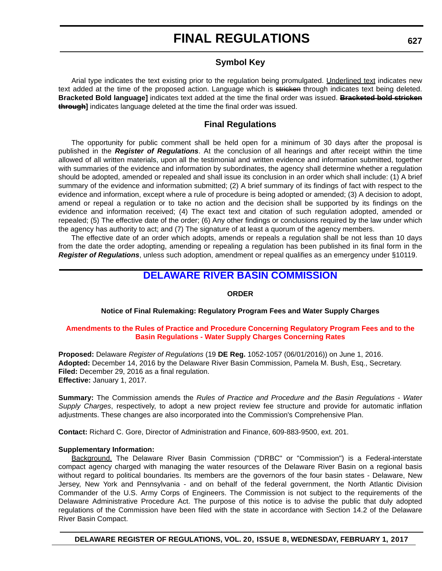### **Symbol Key**

Arial type indicates the text existing prior to the regulation being promulgated. Underlined text indicates new text added at the time of the proposed action. Language which is stricken through indicates text being deleted. **Bracketed Bold language]** indicates text added at the time the final order was issued. **Bracketed bold stricken through]** indicates language deleted at the time the final order was issued.

### **Final Regulations**

The opportunity for public comment shall be held open for a minimum of 30 days after the proposal is published in the *Register of Regulations*. At the conclusion of all hearings and after receipt within the time allowed of all written materials, upon all the testimonial and written evidence and information submitted, together with summaries of the evidence and information by subordinates, the agency shall determine whether a regulation should be adopted, amended or repealed and shall issue its conclusion in an order which shall include: (1) A brief summary of the evidence and information submitted; (2) A brief summary of its findings of fact with respect to the evidence and information, except where a rule of procedure is being adopted or amended; (3) A decision to adopt, amend or repeal a regulation or to take no action and the decision shall be supported by its findings on the evidence and information received; (4) The exact text and citation of such regulation adopted, amended or repealed; (5) The effective date of the order; (6) Any other findings or conclusions required by the law under which the agency has authority to act; and (7) The signature of at least a quorum of the agency members.

The effective date of an order which adopts, amends or repeals a regulation shall be not less than 10 days from the date the order adopting, amending or repealing a regulation has been published in its final form in the *Register of Regulations*, unless such adoption, amendment or repeal qualifies as an emergency under §10119.

## **[DELAWARE RIVER BASIN COMMISSION](http://www.state.nj.us/drbc/)**

#### **ORDER**

### **Notice of Final Rulemaking: Regulatory Program Fees and Water Supply Charges**

#### **[Amendments to the Rules of Practice and Procedure Concerning Regulatory Program Fees and to the](#page-4-0)  Basin Regulations - Water Supply Charges Concerning Rates**

**Proposed:** Delaware *Register of Regulations* (19 **DE Reg.** 1052-1057 (06/01/2016)) on June 1, 2016. **Adopted:** December 14, 2016 by the Delaware River Basin Commission, Pamela M. Bush, Esq., Secretary. **Filed:** December 29, 2016 as a final regulation. **Effective:** January 1, 2017.

**Summary:** The Commission amends the *Rules of Practice and Procedure and the Basin Regulations - Water Supply Charges*, respectively, to adopt a new project review fee structure and provide for automatic inflation adjustments. These changes are also incorporated into the Commission's Comprehensive Plan.

**Contact:** Richard C. Gore, Director of Administration and Finance, 609-883-9500, ext. 201.

#### **Supplementary Information:**

Background. The Delaware River Basin Commission ("DRBC" or "Commission") is a Federal-interstate compact agency charged with managing the water resources of the Delaware River Basin on a regional basis without regard to political boundaries. Its members are the governors of the four basin states - Delaware, New Jersey, New York and Pennsylvania - and on behalf of the federal government, the North Atlantic Division Commander of the U.S. Army Corps of Engineers. The Commission is not subject to the requirements of the Delaware Administrative Procedure Act. The purpose of this notice is to advise the public that duly adopted regulations of the Commission have been filed with the state in accordance with Section 14.2 of the Delaware River Basin Compact.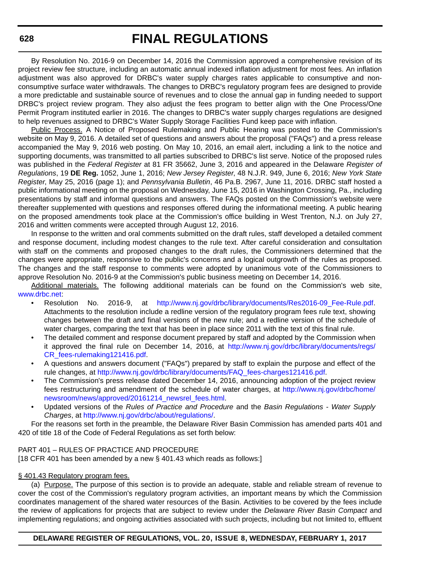By Resolution No. 2016-9 on December 14, 2016 the Commission approved a comprehensive revision of its project review fee structure, including an automatic annual indexed inflation adjustment for most fees. An inflation adjustment was also approved for DRBC's water supply charges rates applicable to consumptive and nonconsumptive surface water withdrawals. The changes to DRBC's regulatory program fees are designed to provide a more predictable and sustainable source of revenues and to close the annual gap in funding needed to support DRBC's project review program. They also adjust the fees program to better align with the One Process/One Permit Program instituted earlier in 2016. The changes to DRBC's water supply charges regulations are designed to help revenues assigned to DRBC's Water Supply Storage Facilities Fund keep pace with inflation.

Public Process. A Notice of Proposed Rulemaking and Public Hearing was posted to the Commission's website on May 9, 2016. A detailed set of questions and answers about the proposal ("FAQs") and a press release accompanied the May 9, 2016 web posting. On May 10, 2016, an email alert, including a link to the notice and supporting documents, was transmitted to all parties subscribed to DRBC's list serve. Notice of the proposed rules was published in the *Federal Register* at 81 FR 35662, June 3, 2016 and appeared in the Delaware *Register of Regulations*, 19 **DE Reg.** 1052, June 1, 2016; *New Jersey Register*, 48 N.J.R. 949, June 6, 2016; *New York State Register*, May 25, 2016 (page 1); and *Pennsylvania Bulletin*, 46 Pa.B. 2967, June 11, 2016. DRBC staff hosted a public informational meeting on the proposal on Wednesday, June 15, 2016 in Washington Crossing, Pa., including presentations by staff and informal questions and answers. The FAQs posted on the Commission's website were thereafter supplemented with questions and responses offered during the informational meeting. A public hearing on the proposed amendments took place at the Commission's office building in West Trenton, N.J. on July 27, 2016 and written comments were accepted through August 12, 2016.

In response to the written and oral comments submitted on the draft rules, staff developed a detailed comment and response document, including modest changes to the rule text. After careful consideration and consultation with staff on the comments and proposed changes to the draft rules, the Commissioners determined that the changes were appropriate, responsive to the public's concerns and a logical outgrowth of the rules as proposed. The changes and the staff response to comments were adopted by unanimous vote of the Commissioners to approve Resolution No. 2016-9 at the Commission's public business meeting on December 14, 2016.

Additional materials. The following additional materials can be found on the Commission's web site, www.drbc.net:

- Resolution No. 2016-9, at http://www.nj.gov/drbc/library/documents/Res2016-09 Fee-Rule.pdf. Attachments to the resolution include a redline version of the regulatory program fees rule text, showing changes between the draft and final versions of the new rule; and a redline version of the schedule of water charges, comparing the text that has been in place since 2011 with the text of this final rule.
- The detailed comment and response document prepared by staff and adopted by the Commission when it approved the final rule on December 14, 2016, at http://www.nj.gov/drbc/library/documents/regs/ CR\_fees-rulemaking121416.pdf.
- A questions and answers document ("FAQs") prepared by staff to explain the purpose and effect of the rule changes, at http://www.nj.gov/drbc/library/documents/FAQ\_fees-charges121416.pdf.
- The Commission's press release dated December 14, 2016, announcing adoption of the project review fees restructuring and amendment of the schedule of water charges, at http://www.nj.gov/drbc/home/ newsroom/news/approved/20161214\_newsrel\_fees.html.
- Updated versions of the *Rules of Practice and Procedure* and the *Basin Regulations Water Supply Charges*, at http://www.nj.gov/drbc/about/regulations/.

For the reasons set forth in the preamble, the Delaware River Basin Commission has amended parts 401 and 420 of title 18 of the Code of Federal Regulations as set forth below:

#### PART 401 – RULES OF PRACTICE AND PROCEDURE

[18 CFR 401 has been amended by a new § 401.43 which reads as follows:]

#### § 401.43 Regulatory program fees.

(a) Purpose. The purpose of this section is to provide an adequate, stable and reliable stream of revenue to cover the cost of the Commission's regulatory program activities, an important means by which the Commission coordinates management of the shared water resources of the Basin. Activities to be covered by the fees include the review of applications for projects that are subject to review under the *Delaware River Basin Compact* and implementing regulations; and ongoing activities associated with such projects, including but not limited to, effluent

### **DELAWARE REGISTER OF REGULATIONS, VOL. 20, ISSUE 8, WEDNESDAY, FEBRUARY 1, 2017**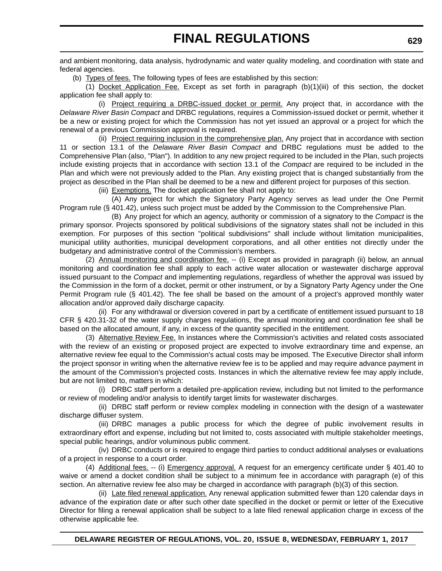and ambient monitoring, data analysis, hydrodynamic and water quality modeling, and coordination with state and federal agencies.

(b) Types of fees. The following types of fees are established by this section:

(1) Docket Application Fee. Except as set forth in paragraph (b)(1)(iii) of this section, the docket application fee shall apply to:

(i) Project requiring a DRBC-issued docket or permit. Any project that, in accordance with the *Delaware River Basin Compact* and DRBC regulations, requires a Commission-issued docket or permit, whether it be a new or existing project for which the Commission has not yet issued an approval or a project for which the renewal of a previous Commission approval is required.

(ii) Project requiring inclusion in the comprehensive plan. Any project that in accordance with section 11 or section 13.1 of the *Delaware River Basin Compact* and DRBC regulations must be added to the Comprehensive Plan (also, "Plan"). In addition to any new project required to be included in the Plan, such projects include existing projects that in accordance with section 13.1 of the *Compact* are required to be included in the Plan and which were not previously added to the Plan. Any existing project that is changed substantially from the project as described in the Plan shall be deemed to be a new and different project for purposes of this section.

(iii) Exemptions. The docket application fee shall not apply to:

(A) Any project for which the Signatory Party Agency serves as lead under the One Permit Program rule (§ 401.42), unless such project must be added by the Commission to the Comprehensive Plan.

(B) Any project for which an agency, authority or commission of a signatory to the *Compact* is the primary sponsor. Projects sponsored by political subdivisions of the signatory states shall not be included in this exemption. For purposes of this section "political subdivisions" shall include without limitation municipalities, municipal utility authorities, municipal development corporations, and all other entities not directly under the budgetary and administrative control of the Commission's members.

(2) Annual monitoring and coordination fee. -- (i) Except as provided in paragraph (ii) below, an annual monitoring and coordination fee shall apply to each active water allocation or wastewater discharge approval issued pursuant to the *Compact* and implementing regulations, regardless of whether the approval was issued by the Commission in the form of a docket, permit or other instrument, or by a Signatory Party Agency under the One Permit Program rule (§ 401.42). The fee shall be based on the amount of a project's approved monthly water allocation and/or approved daily discharge capacity.

(ii) For any withdrawal or diversion covered in part by a certificate of entitlement issued pursuant to 18 CFR § 420.31-32 of the water supply charges regulations, the annual monitoring and coordination fee shall be based on the allocated amount, if any, in excess of the quantity specified in the entitlement.

(3) Alternative Review Fee. In instances where the Commission's activities and related costs associated with the review of an existing or proposed project are expected to involve extraordinary time and expense, an alternative review fee equal to the Commission's actual costs may be imposed. The Executive Director shall inform the project sponsor in writing when the alternative review fee is to be applied and may require advance payment in the amount of the Commission's projected costs. Instances in which the alternative review fee may apply include, but are not limited to, matters in which:

(i) DRBC staff perform a detailed pre-application review, including but not limited to the performance or review of modeling and/or analysis to identify target limits for wastewater discharges.

(ii) DRBC staff perform or review complex modeling in connection with the design of a wastewater discharge diffuser system.

(iii) DRBC manages a public process for which the degree of public involvement results in extraordinary effort and expense, including but not limited to, costs associated with multiple stakeholder meetings, special public hearings, and/or voluminous public comment.

(iv) DRBC conducts or is required to engage third parties to conduct additional analyses or evaluations of a project in response to a court order.

(4) Additional fees. -- (i) Emergency approval. A request for an emergency certificate under § 401.40 to waive or amend a docket condition shall be subject to a minimum fee in accordance with paragraph (e) of this section. An alternative review fee also may be charged in accordance with paragraph (b)(3) of this section.

(ii) Late filed renewal application. Any renewal application submitted fewer than 120 calendar days in advance of the expiration date or after such other date specified in the docket or permit or letter of the Executive Director for filing a renewal application shall be subject to a late filed renewal application charge in excess of the otherwise applicable fee.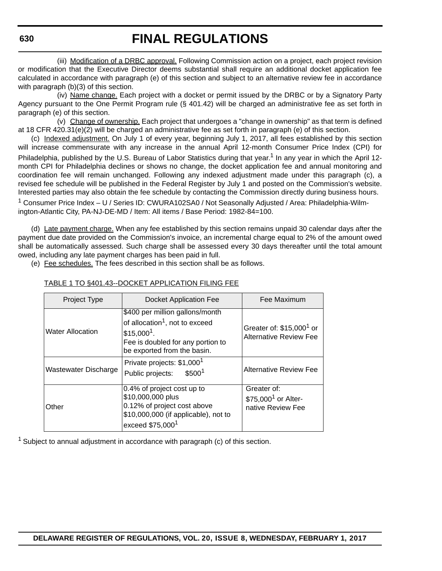# **FINAL REGULATIONS**

(iii) Modification of a DRBC approval. Following Commission action on a project, each project revision or modification that the Executive Director deems substantial shall require an additional docket application fee calculated in accordance with paragraph (e) of this section and subject to an alternative review fee in accordance with paragraph (b)(3) of this section.

(iv) Name change. Each project with a docket or permit issued by the DRBC or by a Signatory Party Agency pursuant to the One Permit Program rule (§ 401.42) will be charged an administrative fee as set forth in paragraph (e) of this section.

(v) Change of ownership. Each project that undergoes a "change in ownership" as that term is defined at 18 CFR 420.31(e)(2) will be charged an administrative fee as set forth in paragraph (e) of this section.

(c) Indexed adjustment. On July 1 of every year, beginning July 1, 2017, all fees established by this section will increase commensurate with any increase in the annual April 12-month Consumer Price Index (CPI) for Philadelphia, published by the U.S. Bureau of Labor Statistics during that year.<sup>1</sup> In any year in which the April 12month CPI for Philadelphia declines or shows no change, the docket application fee and annual monitoring and coordination fee will remain unchanged. Following any indexed adjustment made under this paragraph (c), a revised fee schedule will be published in the Federal Register by July 1 and posted on the Commission's website. Interested parties may also obtain the fee schedule by contacting the Commission directly during business hours.

<sup>1</sup> Consumer Price Index – U / Series ID: CWURA102SA0 / Not Seasonally Adjusted / Area: Philadelphia-Wilmington-Atlantic City, PA-NJ-DE-MD / Item: All items / Base Period: 1982-84=100.

(d) Late payment charge. When any fee established by this section remains unpaid 30 calendar days after the payment due date provided on the Commission's invoice, an incremental charge equal to 2% of the amount owed shall be automatically assessed. Such charge shall be assessed every 30 days thereafter until the total amount owed, including any late payment charges has been paid in full.

(e) Fee schedules. The fees described in this section shall be as follows.

| Project Type            | <b>Docket Application Fee</b>                                                                                                                                     | Fee Maximum                                                         |
|-------------------------|-------------------------------------------------------------------------------------------------------------------------------------------------------------------|---------------------------------------------------------------------|
| <b>Water Allocation</b> | \$400 per million gallons/month<br>of allocation <sup>1</sup> , not to exceed<br>$$15,0001$ .<br>Fee is doubled for any portion to<br>be exported from the basin. | Greater of: $$15,0001$ or<br><b>Alternative Review Fee</b>          |
| Wastewater Discharge    | Private projects: \$1,000 <sup>1</sup><br>\$500 <sup>1</sup><br>Public projects:                                                                                  | <b>Alternative Review Fee</b>                                       |
| Other                   | 0.4% of project cost up to<br>\$10,000,000 plus<br>0.12% of project cost above<br>\$10,000,000 (if applicable), not to<br>exceed \$75,000 <sup>1</sup>            | Greater of:<br>\$75,000 <sup>1</sup> or Alter-<br>native Review Fee |

### TABLE 1 TO §401.43--DOCKET APPLICATION FILING FEE

<sup>1</sup> Subject to annual adjustment in accordance with paragraph (c) of this section.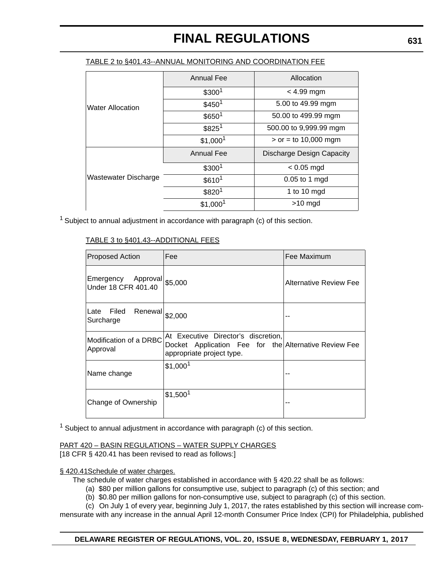| <b>Water Allocation</b> | Annual Fee           | Allocation                       |
|-------------------------|----------------------|----------------------------------|
|                         | \$300 <sup>1</sup>   | $< 4.99$ mgm                     |
|                         | \$450 <sup>1</sup>   | 5.00 to 49.99 mgm                |
|                         | \$650 <sup>1</sup>   | 50.00 to 499.99 mgm              |
|                         | $$825^1$             | 500.00 to 9,999.99 mgm           |
|                         | \$1,000 <sup>1</sup> | $>$ or = to 10,000 mgm           |
| Wastewater Discharge    | <b>Annual Fee</b>    | <b>Discharge Design Capacity</b> |
|                         | \$300 <sup>1</sup>   | $< 0.05$ mgd                     |
|                         | \$610 <sup>1</sup>   | 0.05 to 1 mgd                    |
|                         | \$820 <sup>1</sup>   | 1 to 10 $mgd$                    |
|                         | \$1,000 <sup>1</sup> | $>10$ mgd                        |
|                         |                      |                                  |

TABLE 2 to §401.43--ANNUAL MONITORING AND COORDINATION FEE

<sup>1</sup> Subject to annual adjustment in accordance with paragraph (c) of this section.

### TABLE 3 to §401.43--ADDITIONAL FEES

| <b>Proposed Action</b>                            | Fee                                                                                                                       | Fee Maximum                   |
|---------------------------------------------------|---------------------------------------------------------------------------------------------------------------------------|-------------------------------|
| Emergency Approval \$5,000<br>Under 18 CFR 401.40 |                                                                                                                           | <b>Alternative Review Fee</b> |
| Late Filed Renewal \$2,000<br>Surcharge           |                                                                                                                           |                               |
| Modification of a DRBC<br>Approval                | At Executive Director's discretion,<br>Docket Application Fee for the Alternative Review Fee<br>appropriate project type. |                               |
| Name change                                       | \$1,000 <sup>1</sup>                                                                                                      |                               |
| Change of Ownership                               | \$1,500 <sup>1</sup>                                                                                                      |                               |

 $1$  Subject to annual adjustment in accordance with paragraph (c) of this section.

PART 420 – BASIN REGULATIONS – WATER SUPPLY CHARGES

[18 CFR § 420.41 has been revised to read as follows:]

#### § 420.41Schedule of water charges.

The schedule of water charges established in accordance with § 420.22 shall be as follows:

(a) \$80 per million gallons for consumptive use, subject to paragraph (c) of this section; and

(b) \$0.80 per million gallons for non-consumptive use, subject to paragraph (c) of this section.

(c) On July 1 of every year, beginning July 1, 2017, the rates established by this section will increase commensurate with any increase in the annual April 12-month Consumer Price Index (CPI) for Philadelphia, published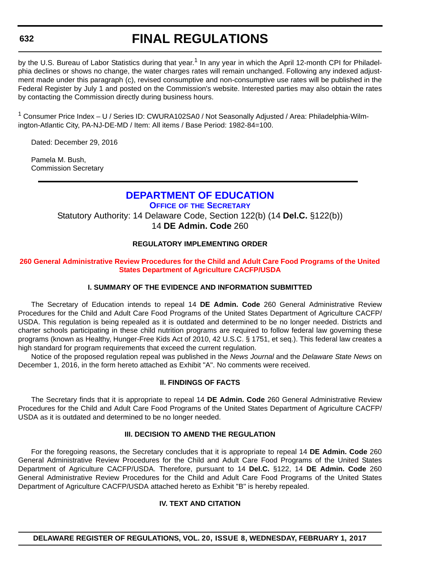# **FINAL REGULATIONS**

by the U.S. Bureau of Labor Statistics during that year.<sup>1</sup> In any year in which the April 12-month CPI for Philadelphia declines or shows no change, the water charges rates will remain unchanged. Following any indexed adjustment made under this paragraph (c), revised consumptive and non-consumptive use rates will be published in the Federal Register by July 1 and posted on the Commission's website. Interested parties may also obtain the rates by contacting the Commission directly during business hours.

<sup>1</sup> Consumer Price Index – U / Series ID: CWURA102SA0 / Not Seasonally Adjusted / Area: Philadelphia-Wilmington-Atlantic City, PA-NJ-DE-MD / Item: All items / Base Period: 1982-84=100.

Dated: December 29, 2016

Pamela M. Bush, Commission Secretary

## **[DEPARTMENT OF EDUCATION](http://www.doe.k12.de.us/)**

**OFFICE OF [THE SECRETARY](https://pubapps.doe.k12.de.us/EducationalDirectoryPublic/pages/DDOE/Branches.aspx?page=branches&BID=1)**

Statutory Authority: 14 Delaware Code, Section 122(b) (14 **Del.C.** §122(b))

14 **DE Admin. Code** 260

### **REGULATORY IMPLEMENTING ORDER**

### **[260 General Administrative Review Procedures for the Child and Adult Care Food Programs of the United](#page-4-0)  States Department of Agriculture CACFP/USDA**

### **I. SUMMARY OF THE EVIDENCE AND INFORMATION SUBMITTED**

The Secretary of Education intends to repeal 14 **DE Admin. Code** 260 General Administrative Review Procedures for the Child and Adult Care Food Programs of the United States Department of Agriculture CACFP/ USDA. This regulation is being repealed as it is outdated and determined to be no longer needed. Districts and charter schools participating in these child nutrition programs are required to follow federal law governing these programs (known as Healthy, Hunger-Free Kids Act of 2010, 42 U.S.C. § 1751, et seq.). This federal law creates a high standard for program requirements that exceed the current regulation.

Notice of the proposed regulation repeal was published in the *News Journal* and the *Delaware State News* on December 1, 2016, in the form hereto attached as Exhibit "A". No comments were received.

### **II. FINDINGS OF FACTS**

The Secretary finds that it is appropriate to repeal 14 **DE Admin. Code** 260 General Administrative Review Procedures for the Child and Adult Care Food Programs of the United States Department of Agriculture CACFP/ USDA as it is outdated and determined to be no longer needed.

### **III. DECISION TO AMEND THE REGULATION**

For the foregoing reasons, the Secretary concludes that it is appropriate to repeal 14 **DE Admin. Code** 260 General Administrative Review Procedures for the Child and Adult Care Food Programs of the United States Department of Agriculture CACFP/USDA. Therefore, pursuant to 14 **Del.C.** §122, 14 **DE Admin. Code** 260 General Administrative Review Procedures for the Child and Adult Care Food Programs of the United States Department of Agriculture CACFP/USDA attached hereto as Exhibit "B" is hereby repealed.

### **IV. TEXT AND CITATION**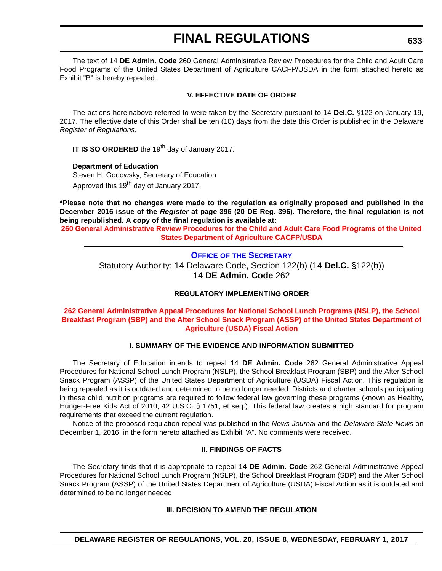The text of 14 **DE Admin. Code** 260 General Administrative Review Procedures for the Child and Adult Care Food Programs of the United States Department of Agriculture CACFP/USDA in the form attached hereto as Exhibit "B" is hereby repealed.

### **V. EFFECTIVE DATE OF ORDER**

The actions hereinabove referred to were taken by the Secretary pursuant to 14 **Del.C.** §122 on January 19, 2017. The effective date of this Order shall be ten (10) days from the date this Order is published in the Delaware *Register of Regulations*.

**IT IS SO ORDERED** the 19<sup>th</sup> day of January 2017.

**Department of Education** Steven H. Godowsky, Secretary of Education Approved this 19<sup>th</sup> day of January 2017.

**\*Please note that no changes were made to the regulation as originally proposed and published in the December 2016 issue of the** *Register* **at page 396 (20 DE Reg. 396). Therefore, the final regulation is not being republished. A copy of the final regulation is available at:**

**[260 General Administrative Review Procedures for the Child and Adult Care Food Programs of the United](http://regulations.delaware.gov/register/february2017/final/20 DE Reg 632 02-01-17.htm)  States Department of Agriculture CACFP/USDA**

> **OFFICE OF [THE SECRETARY](https://pubapps.doe.k12.de.us/EducationalDirectoryPublic/pages/DDOE/Branches.aspx?page=branches&BID=1)** Statutory Authority: 14 Delaware Code, Section 122(b) (14 **Del.C.** §122(b)) 14 **DE Admin. Code** 262

### **REGULATORY IMPLEMENTING ORDER**

### **262 General Administrative Appeal Procedures for National School Lunch Programs (NSLP), the School [Breakfast Program \(SBP\) and the After School Snack Program \(ASSP\) of the United States Department of](#page-4-0)  Agriculture (USDA) Fiscal Action**

### **I. SUMMARY OF THE EVIDENCE AND INFORMATION SUBMITTED**

The Secretary of Education intends to repeal 14 **DE Admin. Code** 262 General Administrative Appeal Procedures for National School Lunch Program (NSLP), the School Breakfast Program (SBP) and the After School Snack Program (ASSP) of the United States Department of Agriculture (USDA) Fiscal Action. This regulation is being repealed as it is outdated and determined to be no longer needed. Districts and charter schools participating in these child nutrition programs are required to follow federal law governing these programs (known as Healthy, Hunger-Free Kids Act of 2010, 42 U.S.C. § 1751, et seq.). This federal law creates a high standard for program requirements that exceed the current regulation.

Notice of the proposed regulation repeal was published in the *News Journal* and the *Delaware State News* on December 1, 2016, in the form hereto attached as Exhibit "A". No comments were received.

### **II. FINDINGS OF FACTS**

The Secretary finds that it is appropriate to repeal 14 **DE Admin. Code** 262 General Administrative Appeal Procedures for National School Lunch Program (NSLP), the School Breakfast Program (SBP) and the After School Snack Program (ASSP) of the United States Department of Agriculture (USDA) Fiscal Action as it is outdated and determined to be no longer needed.

### **III. DECISION TO AMEND THE REGULATION**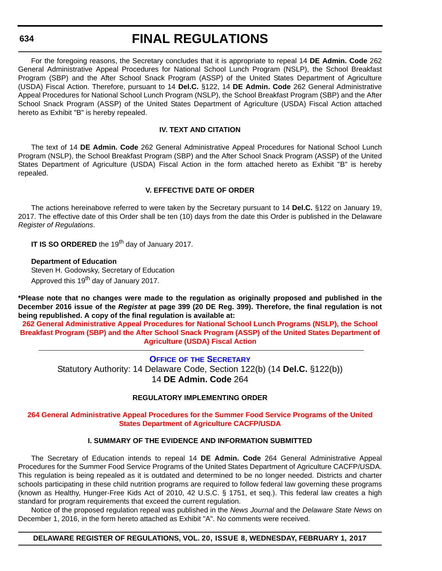## **FINAL REGULATIONS**

For the foregoing reasons, the Secretary concludes that it is appropriate to repeal 14 **DE Admin. Code** 262 General Administrative Appeal Procedures for National School Lunch Program (NSLP), the School Breakfast Program (SBP) and the After School Snack Program (ASSP) of the United States Department of Agriculture (USDA) Fiscal Action. Therefore, pursuant to 14 **Del.C.** §122, 14 **DE Admin. Code** 262 General Administrative Appeal Procedures for National School Lunch Program (NSLP), the School Breakfast Program (SBP) and the After School Snack Program (ASSP) of the United States Department of Agriculture (USDA) Fiscal Action attached hereto as Exhibit "B" is hereby repealed.

#### **IV. TEXT AND CITATION**

The text of 14 **DE Admin. Code** 262 General Administrative Appeal Procedures for National School Lunch Program (NSLP), the School Breakfast Program (SBP) and the After School Snack Program (ASSP) of the United States Department of Agriculture (USDA) Fiscal Action in the form attached hereto as Exhibit "B" is hereby repealed.

### **V. EFFECTIVE DATE OF ORDER**

The actions hereinabove referred to were taken by the Secretary pursuant to 14 **Del.C.** §122 on January 19, 2017. The effective date of this Order shall be ten (10) days from the date this Order is published in the Delaware *Register of Regulations*.

**IT IS SO ORDERED** the 19<sup>th</sup> day of January 2017.

**Department of Education** Steven H. Godowsky, Secretary of Education Approved this 19<sup>th</sup> day of January 2017.

**\*Please note that no changes were made to the regulation as originally proposed and published in the December 2016 issue of the** *Register* **at page 399 (20 DE Reg. 399). Therefore, the final regulation is not being republished. A copy of the final regulation is available at:**

**262 General Administrative Appeal Procedures for National School Lunch Programs (NSLP), the School [Breakfast Program \(SBP\) and the After School Snack Program \(ASSP\) of the United States Department of](http://regulations.delaware.gov/register/february2017/final/20 DE Reg 633 02-01-17.htm)  Agriculture (USDA) Fiscal Action**

> **OFFICE OF [THE SECRETARY](https://pubapps.doe.k12.de.us/EducationalDirectoryPublic/pages/DDOE/Branches.aspx?page=branches&BID=1)** Statutory Authority: 14 Delaware Code, Section 122(b) (14 **Del.C.** §122(b)) 14 **DE Admin. Code** 264

### **REGULATORY IMPLEMENTING ORDER**

**[264 General Administrative Appeal Procedures for the Summer Food Service Programs of the United](#page-4-0)  States Department of Agriculture CACFP/USDA**

#### **I. SUMMARY OF THE EVIDENCE AND INFORMATION SUBMITTED**

The Secretary of Education intends to repeal 14 **DE Admin. Code** 264 General Administrative Appeal Procedures for the Summer Food Service Programs of the United States Department of Agriculture CACFP/USDA. This regulation is being repealed as it is outdated and determined to be no longer needed. Districts and charter schools participating in these child nutrition programs are required to follow federal law governing these programs (known as Healthy, Hunger-Free Kids Act of 2010, 42 U.S.C. § 1751, et seq.). This federal law creates a high standard for program requirements that exceed the current regulation.

Notice of the proposed regulation repeal was published in the *News Journal* and the *Delaware State News* on December 1, 2016, in the form hereto attached as Exhibit "A". No comments were received.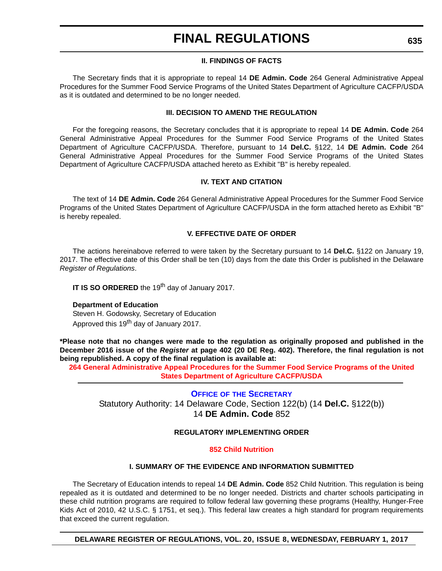### **II. FINDINGS OF FACTS**

The Secretary finds that it is appropriate to repeal 14 **DE Admin. Code** 264 General Administrative Appeal Procedures for the Summer Food Service Programs of the United States Department of Agriculture CACFP/USDA as it is outdated and determined to be no longer needed.

#### **III. DECISION TO AMEND THE REGULATION**

For the foregoing reasons, the Secretary concludes that it is appropriate to repeal 14 **DE Admin. Code** 264 General Administrative Appeal Procedures for the Summer Food Service Programs of the United States Department of Agriculture CACFP/USDA. Therefore, pursuant to 14 **Del.C.** §122, 14 **DE Admin. Code** 264 General Administrative Appeal Procedures for the Summer Food Service Programs of the United States Department of Agriculture CACFP/USDA attached hereto as Exhibit "B" is hereby repealed.

#### **IV. TEXT AND CITATION**

The text of 14 **DE Admin. Code** 264 General Administrative Appeal Procedures for the Summer Food Service Programs of the United States Department of Agriculture CACFP/USDA in the form attached hereto as Exhibit "B" is hereby repealed.

### **V. EFFECTIVE DATE OF ORDER**

The actions hereinabove referred to were taken by the Secretary pursuant to 14 **Del.C.** §122 on January 19, 2017. The effective date of this Order shall be ten (10) days from the date this Order is published in the Delaware *Register of Regulations*.

**IT IS SO ORDERED** the 19<sup>th</sup> day of January 2017.

#### **Department of Education**

Steven H. Godowsky, Secretary of Education Approved this 19<sup>th</sup> day of January 2017.

**\*Please note that no changes were made to the regulation as originally proposed and published in the December 2016 issue of the** *Register* **at page 402 (20 DE Reg. 402). Therefore, the final regulation is not being republished. A copy of the final regulation is available at:**

**[264 General Administrative Appeal Procedures for the Summer Food Service Programs of the United](http://regulations.delaware.gov/register/february2017/final/20 DE Reg 634 02-01-17.htm)  States Department of Agriculture CACFP/USDA**

## **OFFICE OF [THE SECRETARY](https://pubapps.doe.k12.de.us/EducationalDirectoryPublic/pages/DDOE/Branches.aspx?page=branches&BID=1)** Statutory Authority: 14 Delaware Code, Section 122(b) (14 **Del.C.** §122(b)) 14 **DE Admin. Code** 852

### **REGULATORY IMPLEMENTING ORDER**

### **[852 Child Nutrition](#page-4-0)**

### **I. SUMMARY OF THE EVIDENCE AND INFORMATION SUBMITTED**

The Secretary of Education intends to repeal 14 **DE Admin. Code** 852 Child Nutrition. This regulation is being repealed as it is outdated and determined to be no longer needed. Districts and charter schools participating in these child nutrition programs are required to follow federal law governing these programs (Healthy, Hunger-Free Kids Act of 2010, 42 U.S.C. § 1751, et seq.). This federal law creates a high standard for program requirements that exceed the current regulation.

**DELAWARE REGISTER OF REGULATIONS, VOL. 20, ISSUE 8, WEDNESDAY, FEBRUARY 1, 2017**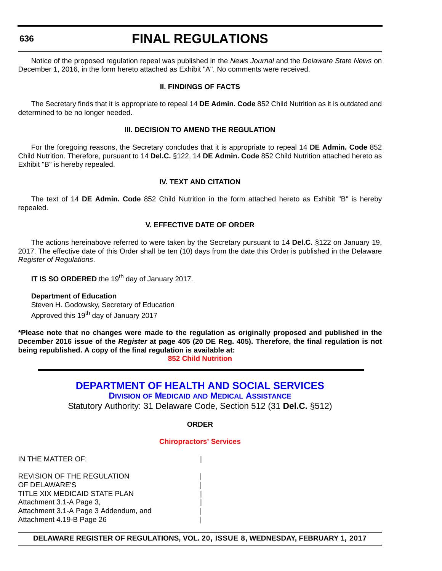## **FINAL REGULATIONS**

Notice of the proposed regulation repeal was published in the *News Journal* and the *Delaware State News* on December 1, 2016, in the form hereto attached as Exhibit "A". No comments were received.

#### **II. FINDINGS OF FACTS**

The Secretary finds that it is appropriate to repeal 14 **DE Admin. Code** 852 Child Nutrition as it is outdated and determined to be no longer needed.

#### **III. DECISION TO AMEND THE REGULATION**

For the foregoing reasons, the Secretary concludes that it is appropriate to repeal 14 **DE Admin. Code** 852 Child Nutrition. Therefore, pursuant to 14 **Del.C.** §122, 14 **DE Admin. Code** 852 Child Nutrition attached hereto as Exhibit "B" is hereby repealed.

### **IV. TEXT AND CITATION**

The text of 14 **DE Admin. Code** 852 Child Nutrition in the form attached hereto as Exhibit "B" is hereby repealed.

#### **V. EFFECTIVE DATE OF ORDER**

The actions hereinabove referred to were taken by the Secretary pursuant to 14 **Del.C.** §122 on January 19, 2017. The effective date of this Order shall be ten (10) days from the date this Order is published in the Delaware *Register of Regulations*.

**IT IS SO ORDERED** the 19<sup>th</sup> day of January 2017.

**Department of Education** Steven H. Godowsky, Secretary of Education Approved this 19<sup>th</sup> day of January 2017

**\*Please note that no changes were made to the regulation as originally proposed and published in the December 2016 issue of the** *Register* **at page 405 (20 DE Reg. 405). Therefore, the final regulation is not being republished. A copy of the final regulation is available at:**

**[852 Child Nutrition](http://regulations.delaware.gov/register/february2017/final/20 DE Reg 635 02-01-17.htm)**

## **[DEPARTMENT OF HEALTH AND SOCIAL SERVICES](http://www.dhss.delaware.gov/dhss/index.html)**

**DIVISION OF MEDICAID [AND MEDICAL ASSISTANCE](http://www.dhss.delaware.gov/dhss/dmma/)**

Statutory Authority: 31 Delaware Code, Section 512 (31 **Del.C.** §512)

**ORDER**

#### **[Chiropractors' Services](#page-5-0)**

IN THE MATTER OF:  $\blacksquare$ 

REVISION OF THE REGULATION | OF DELAWARE'S TITLE XIX MEDICAID STATE PLAN Attachment 3.1-A Page 3, | Attachment 3.1-A Page 3 Addendum, and | Attachment 4.19-B Page 26 |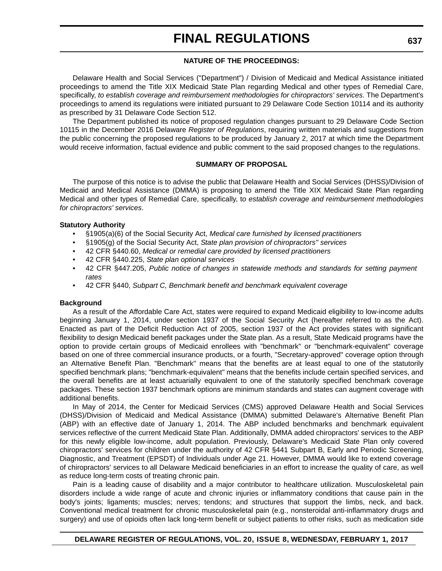#### **NATURE OF THE PROCEEDINGS:**

Delaware Health and Social Services ("Department") / Division of Medicaid and Medical Assistance initiated proceedings to amend the Title XIX Medicaid State Plan regarding Medical and other types of Remedial Care, specifically, *to establish coverage and reimbursement methodologies for chiropractors' services*. The Department's proceedings to amend its regulations were initiated pursuant to 29 Delaware Code Section 10114 and its authority as prescribed by 31 Delaware Code Section 512.

The Department published its notice of proposed regulation changes pursuant to 29 Delaware Code Section 10115 in the December 2016 Delaware *Register of Regulations*, requiring written materials and suggestions from the public concerning the proposed regulations to be produced by January 2, 2017 at which time the Department would receive information, factual evidence and public comment to the said proposed changes to the regulations.

#### **SUMMARY OF PROPOSAL**

The purpose of this notice is to advise the public that Delaware Health and Social Services (DHSS)/Division of Medicaid and Medical Assistance (DMMA) is proposing to amend the Title XIX Medicaid State Plan regarding Medical and other types of Remedial Care, specifically, t*o establish coverage and reimbursement methodologies for chiropractors' services*.

#### **Statutory Authority**

- §1905(a)(6) of the Social Security Act, *Medical care furnished by licensed practitioners*
- §1905(g) of the Social Security Act, *State plan provision of chiropractors'' services*
- 42 CFR §440.60, *Medical or remedial care provided by licensed practitioners*
- 42 CFR §440.225, *State plan optional services*
- 42 CFR §447.205, *Public notice of changes in statewide methods and standards for setting payment rates*
- 42 CFR §440, *Subpart C, Benchmark benefit and benchmark equivalent coverage*

#### **Background**

As a result of the Affordable Care Act, states were required to expand Medicaid eligibility to low-income adults beginning January 1, 2014, under section 1937 of the Social Security Act (hereafter referred to as the Act). Enacted as part of the Deficit Reduction Act of 2005, section 1937 of the Act provides states with significant flexibility to design Medicaid benefit packages under the State plan. As a result, State Medicaid programs have the option to provide certain groups of Medicaid enrollees with "benchmark" or "benchmark-equivalent" coverage based on one of three commercial insurance products, or a fourth, "Secretary-approved" coverage option through an Alternative Benefit Plan. "Benchmark" means that the benefits are at least equal to one of the statutorily specified benchmark plans; "benchmark-equivalent" means that the benefits include certain specified services, and the overall benefits are at least actuarially equivalent to one of the statutorily specified benchmark coverage packages. These section 1937 benchmark options are minimum standards and states can augment coverage with additional benefits.

In May of 2014, the Center for Medicaid Services (CMS) approved Delaware Health and Social Services (DHSS)/Division of Medicaid and Medical Assistance (DMMA) submitted Delaware's Alternative Benefit Plan (ABP) with an effective date of January 1, 2014. The ABP included benchmarks and benchmark equivalent services reflective of the current Medicaid State Plan. Additionally, DMMA added chiropractors' services to the ABP for this newly eligible low-income, adult population. Previously, Delaware's Medicaid State Plan only covered chiropractors' services for children under the authority of 42 CFR §441 Subpart B, Early and Periodic Screening, Diagnostic, and Treatment (EPSDT) of Individuals under Age 21. However, DMMA would like to extend coverage of chiropractors' services to all Delaware Medicaid beneficiaries in an effort to increase the quality of care, as well as reduce long-term costs of treating chronic pain.

Pain is a leading cause of disability and a major contributor to healthcare utilization. Musculoskeletal pain disorders include a wide range of acute and chronic injuries or inflammatory conditions that cause pain in the body's joints; ligaments; muscles; nerves; tendons; and structures that support the limbs, neck, and back. Conventional medical treatment for chronic musculoskeletal pain (e.g., nonsteroidal anti-inflammatory drugs and surgery) and use of opioids often lack long-term benefit or subject patients to other risks, such as medication side

### **DELAWARE REGISTER OF REGULATIONS, VOL. 20, ISSUE 8, WEDNESDAY, FEBRUARY 1, 2017**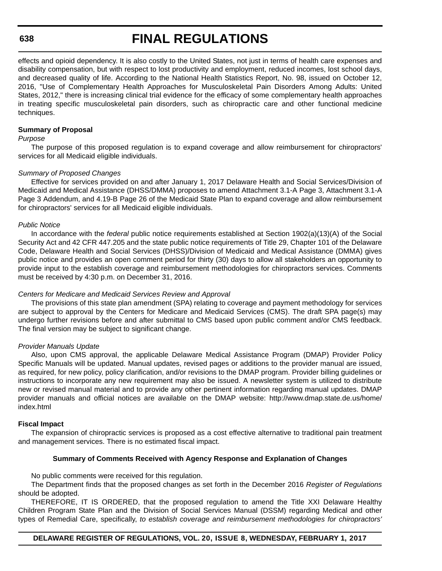## **FINAL REGULATIONS**

effects and opioid dependency. It is also costly to the United States, not just in terms of health care expenses and disability compensation, but with respect to lost productivity and employment, reduced incomes, lost school days, and decreased quality of life. According to the National Health Statistics Report, No. 98, issued on October 12, 2016, "Use of Complementary Health Approaches for Musculoskeletal Pain Disorders Among Adults: United States, 2012," there is increasing clinical trial evidence for the efficacy of some complementary health approaches in treating specific musculoskeletal pain disorders, such as chiropractic care and other functional medicine techniques.

#### **Summary of Proposal**

#### *Purpose*

The purpose of this proposed regulation is to expand coverage and allow reimbursement for chiropractors' services for all Medicaid eligible individuals.

#### *Summary of Proposed Changes*

Effective for services provided on and after January 1, 2017 Delaware Health and Social Services/Division of Medicaid and Medical Assistance (DHSS/DMMA) proposes to amend Attachment 3.1-A Page 3, Attachment 3.1-A Page 3 Addendum, and 4.19-B Page 26 of the Medicaid State Plan to expand coverage and allow reimbursement for chiropractors' services for all Medicaid eligible individuals.

#### *Public Notice*

In accordance with the *federal* public notice requirements established at Section 1902(a)(13)(A) of the Social Security Act and 42 CFR 447.205 and the state public notice requirements of Title 29, Chapter 101 of the Delaware Code, Delaware Health and Social Services (DHSS)/Division of Medicaid and Medical Assistance (DMMA) gives public notice and provides an open comment period for thirty (30) days to allow all stakeholders an opportunity to provide input to the establish coverage and reimbursement methodologies for chiropractors services. Comments must be received by 4:30 p.m. on December 31, 2016.

#### *Centers for Medicare and Medicaid Services Review and Approval*

The provisions of this state plan amendment (SPA) relating to coverage and payment methodology for services are subject to approval by the Centers for Medicare and Medicaid Services (CMS). The draft SPA page(s) may undergo further revisions before and after submittal to CMS based upon public comment and/or CMS feedback. The final version may be subject to significant change.

#### *Provider Manuals Update*

Also, upon CMS approval, the applicable Delaware Medical Assistance Program (DMAP) Provider Policy Specific Manuals will be updated. Manual updates, revised pages or additions to the provider manual are issued, [as required, for new policy, policy clarification, and/or revisions to the DMAP program. Provider billing guidelines or](http://www.dmap.state.de.us/home/index.html) instructions to incorporate any new requirement may also be issued. A newsletter system is utilized to distribute new or revised manual material and to provide any other pertinent information regarding manual updates. DMAP provider manuals and official notices are available on the DMAP website: http://www.dmap.state.de.us/home/ index.html

#### **Fiscal Impact**

The expansion of chiropractic services is proposed as a cost effective alternative to traditional pain treatment and management services. There is no estimated fiscal impact.

#### **Summary of Comments Received with Agency Response and Explanation of Changes**

No public comments were received for this regulation.

The Department finds that the proposed changes as set forth in the December 2016 *Register of Regulations* should be adopted.

THEREFORE, IT IS ORDERED, that the proposed regulation to amend the Title XXI Delaware Healthy Children Program State Plan and the Division of Social Services Manual (DSSM) regarding Medical and other types of Remedial Care, specifically, *to establish coverage and reimbursement methodologies for chiropractors'*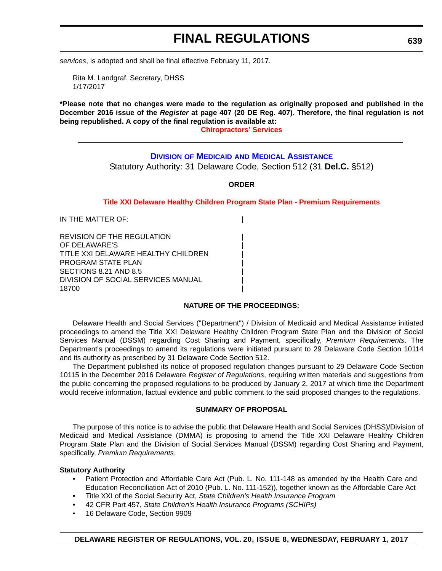*services*, is adopted and shall be final effective February 11, 2017.

Rita M. Landgraf, Secretary, DHSS 1/17/2017

**\*Please note that no changes were made to the regulation as originally proposed and published in the December 2016 issue of the** *Register* **at page 407 (20 DE Reg. 407). Therefore, the final regulation is not being republished. A copy of the final regulation is available at:**

**[Chiropractors' Services](http://regulations.delaware.gov/register/february2017/final/20 DE Reg 636 02-01-17.htm)**

### **DIVISION OF MEDICAID [AND MEDICAL ASSISTANCE](http://www.dhss.delaware.gov/dhss/dmma/)** Statutory Authority: 31 Delaware Code, Section 512 (31 **Del.C.** §512)

#### **ORDER**

**[Title XXI Delaware Healthy Children Program State Plan - Premium Requirements](#page-5-0)**

IN THE MATTER OF:  $\qquad \qquad \Box$ 

REVISION OF THE REGULATION | OF DELAWARE'S TITLE XXI DELAWARE HEALTHY CHILDREN | PROGRAM STATE PLAN SECTIONS 8.21 AND 8.5 DIVISION OF SOCIAL SERVICES MANUAL 18700 |

#### **NATURE OF THE PROCEEDINGS:**

Delaware Health and Social Services ("Department") / Division of Medicaid and Medical Assistance initiated proceedings to amend the Title XXI Delaware Healthy Children Program State Plan and the Division of Social Services Manual (DSSM) regarding Cost Sharing and Payment, specifically, *Premium Requirements*. The Department's proceedings to amend its regulations were initiated pursuant to 29 Delaware Code Section 10114 and its authority as prescribed by 31 Delaware Code Section 512.

The Department published its notice of proposed regulation changes pursuant to 29 Delaware Code Section 10115 in the December 2016 Delaware *Register of Regulations*, requiring written materials and suggestions from the public concerning the proposed regulations to be produced by January 2, 2017 at which time the Department would receive information, factual evidence and public comment to the said proposed changes to the regulations.

#### **SUMMARY OF PROPOSAL**

The purpose of this notice is to advise the public that Delaware Health and Social Services (DHSS)/Division of Medicaid and Medical Assistance (DMMA) is proposing to amend the Title XXI Delaware Healthy Children Program State Plan and the Division of Social Services Manual (DSSM) regarding Cost Sharing and Payment, specifically, *Premium Requirements*.

#### **Statutory Authority**

- Patient Protection and Affordable Care Act (Pub. L. No. 111-148 as amended by the Health Care and Education Reconciliation Act of 2010 (Pub. L. No. 111-152)), together known as the Affordable Care Act
- Title XXI of the Social Security Act, *State Children's Health Insurance Program*
- 42 CFR Part 457, *State Children's Health Insurance Programs (SCHIPs)*
- 16 Delaware Code, Section 9909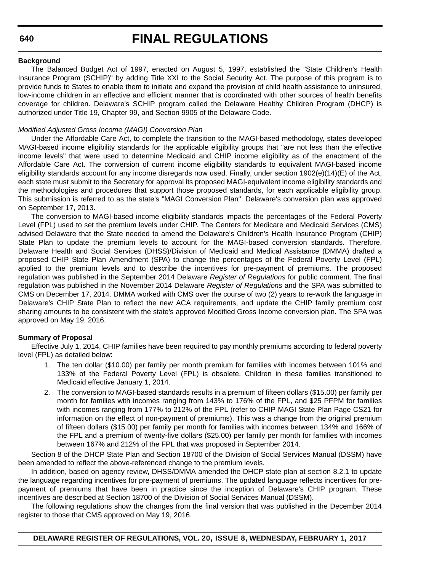#### **Background**

The Balanced Budget Act of 1997, enacted on August 5, 1997, established the "State Children's Health Insurance Program (SCHIP)" by adding Title XXI to the Social Security Act. The purpose of this program is to provide funds to States to enable them to initiate and expand the provision of child health assistance to uninsured, low-income children in an effective and efficient manner that is coordinated with other sources of health benefits coverage for children. Delaware's SCHIP program called the Delaware Healthy Children Program (DHCP) is authorized under Title 19, Chapter 99, and Section 9905 of the Delaware Code.

#### *Modified Adjusted Gross Income (MAGI) Conversion Plan*

Under the Affordable Care Act, to complete the transition to the MAGI-based methodology, states developed MAGI-based income eligibility standards for the applicable eligibility groups that "are not less than the effective income levels" that were used to determine Medicaid and CHIP income eligibility as of the enactment of the Affordable Care Act. The conversion of current income eligibility standards to equivalent MAGI-based income eligibility standards account for any income disregards now used. Finally, under section 1902(e)(14)(E) of the Act, each state must submit to the Secretary for approval its proposed MAGI-equivalent income eligibility standards and the methodologies and procedures that support those proposed standards, for each applicable eligibility group. This submission is referred to as the state's "MAGI Conversion Plan". Delaware's conversion plan was approved on September 17, 2013.

The conversion to MAGI-based income eligibility standards impacts the percentages of the Federal Poverty Level (FPL) used to set the premium levels under CHIP. The Centers for Medicare and Medicaid Services (CMS) advised Delaware that the State needed to amend the Delaware's Children's Health Insurance Program (CHIP) State Plan to update the premium levels to account for the MAGI-based conversion standards. Therefore, Delaware Health and Social Services (DHSS)/Division of Medicaid and Medical Assistance (DMMA) drafted a proposed CHIP State Plan Amendment (SPA) to change the percentages of the Federal Poverty Level (FPL) applied to the premium levels and to describe the incentives for pre-payment of premiums. The proposed regulation was published in the September 2014 Delaware *Register of Regulations* for public comment. The final regulation was published in the November 2014 Delaware *Register of Regulations* and the SPA was submitted to CMS on December 17, 2014. DMMA worked with CMS over the course of two (2) years to re-work the language in Delaware's CHIP State Plan to reflect the new ACA requirements, and update the CHIP family premium cost sharing amounts to be consistent with the state's approved Modified Gross Income conversion plan. The SPA was approved on May 19, 2016.

### **Summary of Proposal**

Effective July 1, 2014, CHIP families have been required to pay monthly premiums according to federal poverty level (FPL) as detailed below:

- 1. The ten dollar (\$10.00) per family per month premium for families with incomes between 101% and 133% of the Federal Poverty Level (FPL) is obsolete. Children in these families transitioned to Medicaid effective January 1, 2014.
- 2. The conversion to MAGI-based standards results in a premium of fifteen dollars (\$15.00) per family per month for families with incomes ranging from 143% to 176% of the FPL, and \$25 PFPM for families with incomes ranging from 177% to 212% of the FPL (refer to CHIP MAGI State Plan Page CS21 for information on the effect of non-payment of premiums). This was a change from the original premium of fifteen dollars (\$15.00) per family per month for families with incomes between 134% and 166% of the FPL and a premium of twenty-five dollars (\$25.00) per family per month for families with incomes between 167% and 212% of the FPL that was proposed in September 2014.

Section 8 of the DHCP State Plan and Section 18700 of the Division of Social Services Manual (DSSM) have been amended to reflect the above-referenced change to the premium levels.

In addition, based on agency review, DHSS/DMMA amended the DHCP state plan at section 8.2.1 to update the language regarding incentives for pre-payment of premiums. The updated language reflects incentives for prepayment of premiums that have been in practice since the inception of Delaware's CHIP program. These incentives are described at Section 18700 of the Division of Social Services Manual (DSSM).

The following regulations show the changes from the final version that was published in the December 2014 register to those that CMS approved on May 19, 2016.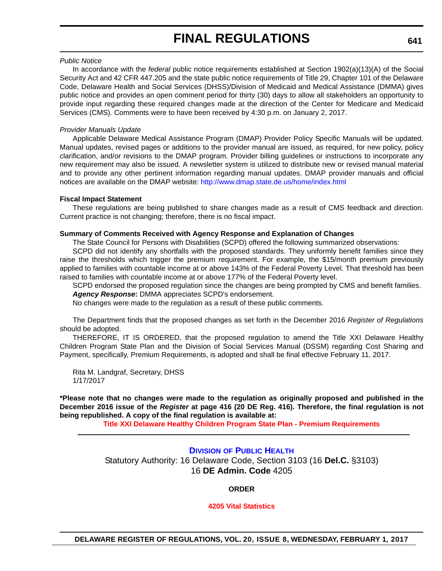#### *Public Notice*

In accordance with the *federal* public notice requirements established at Section 1902(a)(13)(A) of the Social Security Act and 42 CFR 447.205 and the state public notice requirements of Title 29, Chapter 101 of the Delaware Code, Delaware Health and Social Services (DHSS)/Division of Medicaid and Medical Assistance (DMMA) gives public notice and provides an open comment period for thirty (30) days to allow all stakeholders an opportunity to provide input regarding these required changes made at the direction of the Center for Medicare and Medicaid Services (CMS). Comments were to have been received by 4:30 p.m. on January 2, 2017.

#### *Provider Manuals Update*

Applicable Delaware Medical Assistance Program (DMAP) Provider Policy Specific Manuals will be updated. Manual updates, revised pages or additions to the provider manual are issued, as required, for new policy, policy clarification, and/or revisions to the DMAP program. Provider billing guidelines or instructions to incorporate any new requirement may also be issued. A newsletter system is utilized to distribute new or revised manual material and to provide any other pertinent information regarding manual updates. DMAP provider manuals and official notices are available on the DMAP website:<http://www.dmap.state.de.us/home/index.html>

#### **Fiscal Impact Statement**

These regulations are being published to share changes made as a result of CMS feedback and direction. Current practice is not changing; therefore, there is no fiscal impact.

#### **Summary of Comments Received with Agency Response and Explanation of Changes**

The State Council for Persons with Disabilities (SCPD) offered the following summarized observations:

SCPD did not identify any shortfalls with the proposed standards. They uniformly benefit families since they raise the thresholds which trigger the premium requirement. For example, the \$15/month premium previously applied to families with countable income at or above 143% of the Federal Poverty Level. That threshold has been raised to families with countable income at or above 177% of the Federal Poverty level.

SCPD endorsed the proposed regulation since the changes are being prompted by CMS and benefit families. *Agency Response***:** DMMA appreciates SCPD's endorsement.

No changes were made to the regulation as a result of these public comments.

The Department finds that the proposed changes as set forth in the December 2016 *Register of Regulations* should be adopted.

THEREFORE, IT IS ORDERED, that the proposed regulation to amend the Title XXI Delaware Healthy Children Program State Plan and the Division of Social Services Manual (DSSM) regarding Cost Sharing and Payment, specifically, Premium Requirements, is adopted and shall be final effective February 11, 2017.

Rita M. Landgraf, Secretary, DHSS 1/17/2017

**\*Please note that no changes were made to the regulation as originally proposed and published in the December 2016 issue of the** *Register* **at page 416 (20 DE Reg. 416). Therefore, the final regulation is not being republished. A copy of the final regulation is available at:**

**[Title XXI Delaware Healthy Children Program State Plan - Premium Requirements](http://regulations.delaware.gov/register/february2017/final/20 DE Reg 639 02-01-17.htm)**

### **DIVISION [OF PUBLIC HEALTH](http://www.dhss.delaware.gov/dhss/dph/index.html)**

Statutory Authority: 16 Delaware Code, Section 3103 (16 **Del.C.** §3103) 16 **DE Admin. Code** 4205

**ORDER**

### **[4205 Vital Statistics](#page-5-0)**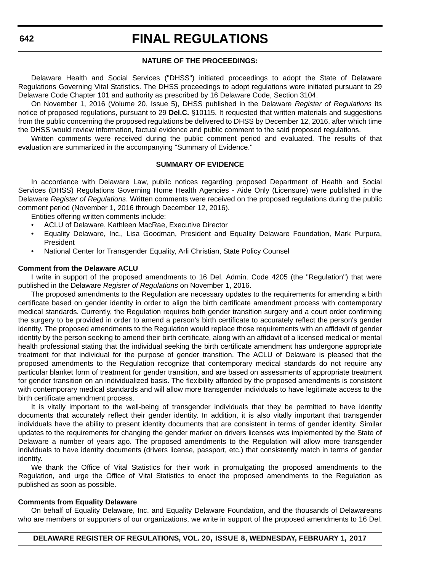#### **NATURE OF THE PROCEEDINGS:**

Delaware Health and Social Services ("DHSS") initiated proceedings to adopt the State of Delaware Regulations Governing Vital Statistics. The DHSS proceedings to adopt regulations were initiated pursuant to 29 Delaware Code Chapter 101 and authority as prescribed by 16 Delaware Code, Section 3104.

On November 1, 2016 (Volume 20, Issue 5), DHSS published in the Delaware *Register of Regulations* its notice of proposed regulations, pursuant to 29 **Del.C.** §10115. It requested that written materials and suggestions from the public concerning the proposed regulations be delivered to DHSS by December 12, 2016, after which time the DHSS would review information, factual evidence and public comment to the said proposed regulations.

Written comments were received during the public comment period and evaluated. The results of that evaluation are summarized in the accompanying "Summary of Evidence."

### **SUMMARY OF EVIDENCE**

In accordance with Delaware Law, public notices regarding proposed Department of Health and Social Services (DHSS) Regulations Governing Home Health Agencies - Aide Only (Licensure) were published in the Delaware *Register of Regulations*. Written comments were received on the proposed regulations during the public comment period (November 1, 2016 through December 12, 2016).

Entities offering written comments include:

- ACLU of Delaware, Kathleen MacRae, Executive Director
- Equality Delaware, Inc., Lisa Goodman, President and Equality Delaware Foundation, Mark Purpura, President
- National Center for Transgender Equality, Arli Christian, State Policy Counsel

#### **Comment from the Delaware ACLU**

I write in support of the proposed amendments to 16 Del. Admin. Code 4205 (the "Regulation") that were published in the Delaware *Register of Regulations* on November 1, 2016.

The proposed amendments to the Regulation are necessary updates to the requirements for amending a birth certificate based on gender identity in order to align the birth certificate amendment process with contemporary medical standards. Currently, the Regulation requires both gender transition surgery and a court order confirming the surgery to be provided in order to amend a person's birth certificate to accurately reflect the person's gender identity. The proposed amendments to the Regulation would replace those requirements with an affidavit of gender identity by the person seeking to amend their birth certificate, along with an affidavit of a licensed medical or mental health professional stating that the individual seeking the birth certificate amendment has undergone appropriate treatment for that individual for the purpose of gender transition. The ACLU of Delaware is pleased that the proposed amendments to the Regulation recognize that contemporary medical standards do not require any particular blanket form of treatment for gender transition, and are based on assessments of appropriate treatment for gender transition on an individualized basis. The flexibility afforded by the proposed amendments is consistent with contemporary medical standards and will allow more transgender individuals to have legitimate access to the birth certificate amendment process.

It is vitally important to the well-being of transgender individuals that they be permitted to have identity documents that accurately reflect their gender identity. In addition, it is also vitally important that transgender individuals have the ability to present identity documents that are consistent in terms of gender identity. Similar updates to the requirements for changing the gender marker on drivers licenses was implemented by the State of Delaware a number of years ago. The proposed amendments to the Regulation will allow more transgender individuals to have identity documents (drivers license, passport, etc.) that consistently match in terms of gender identity.

We thank the Office of Vital Statistics for their work in promulgating the proposed amendments to the Regulation, and urge the Office of Vital Statistics to enact the proposed amendments to the Regulation as published as soon as possible.

#### **Comments from Equality Delaware**

On behalf of Equality Delaware, Inc. and Equality Delaware Foundation, and the thousands of Delawareans who are members or supporters of our organizations, we write in support of the proposed amendments to 16 Del.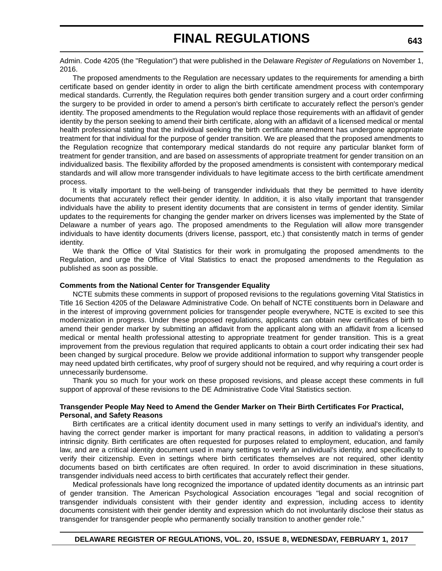Admin. Code 4205 (the "Regulation") that were published in the Delaware *Register of Regulations* on November 1, 2016.

The proposed amendments to the Regulation are necessary updates to the requirements for amending a birth certificate based on gender identity in order to align the birth certificate amendment process with contemporary medical standards. Currently, the Regulation requires both gender transition surgery and a court order confirming the surgery to be provided in order to amend a person's birth certificate to accurately reflect the person's gender identity. The proposed amendments to the Regulation would replace those requirements with an affidavit of gender identity by the person seeking to amend their birth certificate, along with an affidavit of a licensed medical or mental health professional stating that the individual seeking the birth certificate amendment has undergone appropriate treatment for that individual for the purpose of gender transition. We are pleased that the proposed amendments to the Regulation recognize that contemporary medical standards do not require any particular blanket form of treatment for gender transition, and are based on assessments of appropriate treatment for gender transition on an individualized basis. The flexibility afforded by the proposed amendments is consistent with contemporary medical standards and will allow more transgender individuals to have legitimate access to the birth certificate amendment process.

It is vitally important to the well-being of transgender individuals that they be permitted to have identity documents that accurately reflect their gender identity. In addition, it is also vitally important that transgender individuals have the ability to present identity documents that are consistent in terms of gender identity. Similar updates to the requirements for changing the gender marker on drivers licenses was implemented by the State of Delaware a number of years ago. The proposed amendments to the Regulation will allow more transgender individuals to have identity documents (drivers license, passport, etc.) that consistently match in terms of gender identity.

We thank the Office of Vital Statistics for their work in promulgating the proposed amendments to the Regulation, and urge the Office of Vital Statistics to enact the proposed amendments to the Regulation as published as soon as possible.

#### **Comments from the National Center for Transgender Equality**

NCTE submits these comments in support of proposed revisions to the regulations governing Vital Statistics in Title 16 Section 4205 of the Delaware Administrative Code. On behalf of NCTE constituents born in Delaware and in the interest of improving government policies for transgender people everywhere, NCTE is excited to see this modernization in progress. Under these proposed regulations, applicants can obtain new certificates of birth to amend their gender marker by submitting an affidavit from the applicant along with an affidavit from a licensed medical or mental health professional attesting to appropriate treatment for gender transition. This is a great improvement from the previous regulation that required applicants to obtain a court order indicating their sex had been changed by surgical procedure. Below we provide additional information to support why transgender people may need updated birth certificates, why proof of surgery should not be required, and why requiring a court order is unnecessarily burdensome.

Thank you so much for your work on these proposed revisions, and please accept these comments in full support of approval of these revisions to the DE Administrative Code Vital Statistics section.

#### **Transgender People May Need to Amend the Gender Marker on Their Birth Certificates For Practical, Personal, and Safety Reasons**

Birth certificates are a critical identity document used in many settings to verify an individual's identity, and having the correct gender marker is important for many practical reasons, in addition to validating a person's intrinsic dignity. Birth certificates are often requested for purposes related to employment, education, and family law, and are a critical identity document used in many settings to verify an individual's identity, and specifically to verify their citizenship. Even in settings where birth certificates themselves are not required, other identity documents based on birth certificates are often required. In order to avoid discrimination in these situations, transgender individuals need access to birth certificates that accurately reflect their gender.

Medical professionals have long recognized the importance of updated identity documents as an intrinsic part of gender transition. The American Psychological Association encourages "legal and social recognition of transgender individuals consistent with their gender identity and expression, including access to identity documents consistent with their gender identity and expression which do not involuntarily disclose their status as transgender for transgender people who permanently socially transition to another gender role."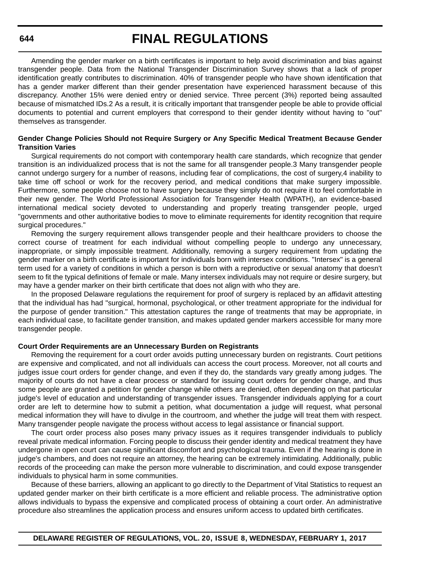## **FINAL REGULATIONS**

Amending the gender marker on a birth certificates is important to help avoid discrimination and bias against transgender people. Data from the National Transgender Discrimination Survey shows that a lack of proper identification greatly contributes to discrimination. 40% of transgender people who have shown identification that has a gender marker different than their gender presentation have experienced harassment because of this discrepancy. Another 15% were denied entry or denied service. Three percent (3%) reported being assaulted because of mismatched IDs.2 As a result, it is critically important that transgender people be able to provide official documents to potential and current employers that correspond to their gender identity without having to "out" themselves as transgender.

#### **Gender Change Policies Should not Require Surgery or Any Specific Medical Treatment Because Gender Transition Varies**

Surgical requirements do not comport with contemporary health care standards, which recognize that gender transition is an individualized process that is not the same for all transgender people.3 Many transgender people cannot undergo surgery for a number of reasons, including fear of complications, the cost of surgery,4 inability to take time off school or work for the recovery period, and medical conditions that make surgery impossible. Furthermore, some people choose not to have surgery because they simply do not require it to feel comfortable in their new gender. The World Professional Association for Transgender Health (WPATH), an evidence-based international medical society devoted to understanding and properly treating transgender people, urged "governments and other authoritative bodies to move to eliminate requirements for identity recognition that require surgical procedures."

Removing the surgery requirement allows transgender people and their healthcare providers to choose the correct course of treatment for each individual without compelling people to undergo any unnecessary, inappropriate, or simply impossible treatment. Additionally, removing a surgery requirement from updating the gender marker on a birth certificate is important for individuals born with intersex conditions. "Intersex" is a general term used for a variety of conditions in which a person is born with a reproductive or sexual anatomy that doesn't seem to fit the typical definitions of female or male. Many intersex individuals may not require or desire surgery, but may have a gender marker on their birth certificate that does not align with who they are.

In the proposed Delaware regulations the requirement for proof of surgery is replaced by an affidavit attesting that the individual has had "surgical, hormonal, psychological, or other treatment appropriate for the individual for the purpose of gender transition." This attestation captures the range of treatments that may be appropriate, in each individual case, to facilitate gender transition, and makes updated gender markers accessible for many more transgender people.

#### **Court Order Requirements are an Unnecessary Burden on Registrants**

Removing the requirement for a court order avoids putting unnecessary burden on registrants. Court petitions are expensive and complicated, and not all individuals can access the court process. Moreover, not all courts and judges issue court orders for gender change, and even if they do, the standards vary greatly among judges. The majority of courts do not have a clear process or standard for issuing court orders for gender change, and thus some people are granted a petition for gender change while others are denied, often depending on that particular judge's level of education and understanding of transgender issues. Transgender individuals applying for a court order are left to determine how to submit a petition, what documentation a judge will request, what personal medical information they will have to divulge in the courtroom, and whether the judge will treat them with respect. Many transgender people navigate the process without access to legal assistance or financial support.

The court order process also poses many privacy issues as it requires transgender individuals to publicly reveal private medical information. Forcing people to discuss their gender identity and medical treatment they have undergone in open court can cause significant discomfort and psychological trauma. Even if the hearing is done in judge's chambers, and does not require an attorney, the hearing can be extremely intimidating. Additionally, public records of the proceeding can make the person more vulnerable to discrimination, and could expose transgender individuals to physical harm in some communities.

Because of these barriers, allowing an applicant to go directly to the Department of Vital Statistics to request an updated gender marker on their birth certificate is a more efficient and reliable process. The administrative option allows individuals to bypass the expensive and complicated process of obtaining a court order. An administrative procedure also streamlines the application process and ensures uniform access to updated birth certificates.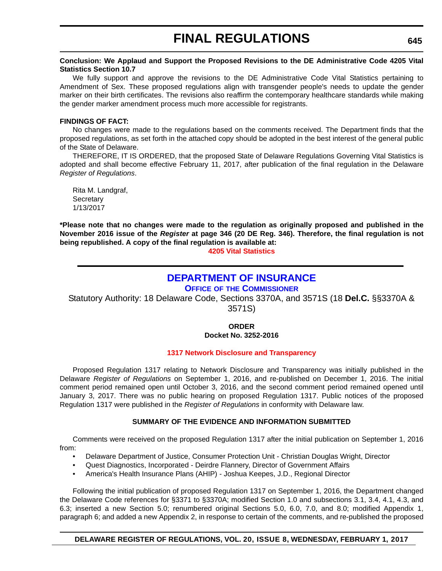#### **Conclusion: We Applaud and Support the Proposed Revisions to the DE Administrative Code 4205 Vital Statistics Section 10.7**

We fully support and approve the revisions to the DE Administrative Code Vital Statistics pertaining to Amendment of Sex. These proposed regulations align with transgender people's needs to update the gender marker on their birth certificates. The revisions also reaffirm the contemporary healthcare standards while making the gender marker amendment process much more accessible for registrants.

#### **FINDINGS OF FACT:**

No changes were made to the regulations based on the comments received. The Department finds that the proposed regulations, as set forth in the attached copy should be adopted in the best interest of the general public of the State of Delaware.

THEREFORE, IT IS ORDERED, that the proposed State of Delaware Regulations Governing Vital Statistics is adopted and shall become effective February 11, 2017, after publication of the final regulation in the Delaware *Register of Regulations*.

Rita M. Landgraf, **Secretary** 1/13/2017

**\*Please note that no changes were made to the regulation as originally proposed and published in the November 2016 issue of the** *Register* **at page 346 (20 DE Reg. 346). Therefore, the final regulation is not being republished. A copy of the final regulation is available at:**

**[4205 Vital Statistics](http://regulations.delaware.gov/register/february2017/final/20 DE Reg 641 02-01-17.htm)**

## **[DEPARTMENT OF INSURANCE](http://insurance.delaware.gov/)**

#### **OFFICE OF [THE COMMISSIONER](http://insurance.delaware.gov/divisions/)**

Statutory Authority: 18 Delaware Code, Sections 3370A, and 3571S (18 **Del.C.** §§3370A & 3571S)

#### **ORDER Docket No. 3252-2016**

#### **[1317 Network Disclosure and Transparency](#page-5-0)**

Proposed Regulation 1317 relating to Network Disclosure and Transparency was initially published in the Delaware *Register of Regulations* on September 1, 2016, and re-published on December 1, 2016. The initial comment period remained open until October 3, 2016, and the second comment period remained opened until January 3, 2017. There was no public hearing on proposed Regulation 1317. Public notices of the proposed Regulation 1317 were published in the *Register of Regulations* in conformity with Delaware law.

### **SUMMARY OF THE EVIDENCE AND INFORMATION SUBMITTED**

Comments were received on the proposed Regulation 1317 after the initial publication on September 1, 2016 from:

- Delaware Department of Justice, Consumer Protection Unit Christian Douglas Wright, Director
- Quest Diagnostics, Incorporated Deirdre Flannery, Director of Government Affairs
- America's Health Insurance Plans (AHIP) Joshua Keepes, J.D., Regional Director

Following the initial publication of proposed Regulation 1317 on September 1, 2016, the Department changed the Delaware Code references for §3371 to §3370A; modified Section 1.0 and subsections 3.1, 3.4, 4.1, 4.3, and 6.3; inserted a new Section 5.0; renumbered original Sections 5.0, 6.0, 7.0, and 8.0; modified Appendix 1, paragraph 6; and added a new Appendix 2, in response to certain of the comments, and re-published the proposed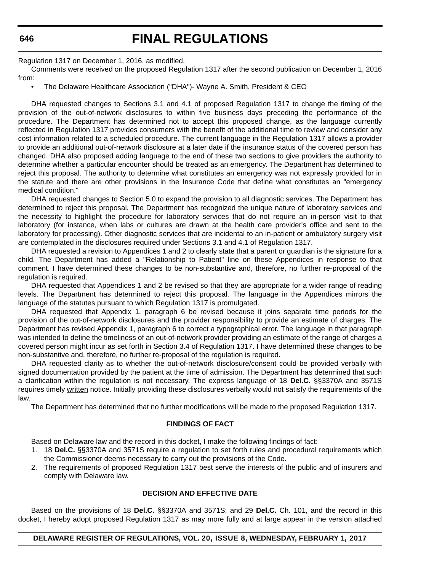## **FINAL REGULATIONS**

Regulation 1317 on December 1, 2016, as modified.

Comments were received on the proposed Regulation 1317 after the second publication on December 1, 2016 from:

• The Delaware Healthcare Association ("DHA")- Wayne A. Smith, President & CEO

DHA requested changes to Sections 3.1 and 4.1 of proposed Regulation 1317 to change the timing of the provision of the out-of-network disclosures to within five business days preceding the performance of the procedure. The Department has determined not to accept this proposed change, as the language currently reflected in Regulation 1317 provides consumers with the benefit of the additional time to review and consider any cost information related to a scheduled procedure. The current language in the Regulation 1317 allows a provider to provide an additional out-of-network disclosure at a later date if the insurance status of the covered person has changed. DHA also proposed adding language to the end of these two sections to give providers the authority to determine whether a particular encounter should be treated as an emergency. The Department has determined to reject this proposal. The authority to determine what constitutes an emergency was not expressly provided for in the statute and there are other provisions in the Insurance Code that define what constitutes an "emergency medical condition."

DHA requested changes to Section 5.0 to expand the provision to all diagnostic services. The Department has determined to reject this proposal. The Department has recognized the unique nature of laboratory services and the necessity to highlight the procedure for laboratory services that do not require an in-person visit to that laboratory (for instance, when labs or cultures are drawn at the health care provider's office and sent to the laboratory for processing). Other diagnostic services that are incidental to an in-patient or ambulatory surgery visit are contemplated in the disclosures required under Sections 3.1 and 4.1 of Regulation 1317.

DHA requested a revision to Appendices 1 and 2 to clearly state that a parent or guardian is the signature for a child. The Department has added a "Relationship to Patient" line on these Appendices in response to that comment. I have determined these changes to be non-substantive and, therefore, no further re-proposal of the regulation is required.

DHA requested that Appendices 1 and 2 be revised so that they are appropriate for a wider range of reading levels. The Department has determined to reject this proposal. The language in the Appendices mirrors the language of the statutes pursuant to which Regulation 1317 is promulgated.

DHA requested that Appendix 1, paragraph 6 be revised because it joins separate time periods for the provision of the out-of-network disclosures and the provider responsibility to provide an estimate of charges. The Department has revised Appendix 1, paragraph 6 to correct a typographical error. The language in that paragraph was intended to define the timeliness of an out-of-network provider providing an estimate of the range of charges a covered person might incur as set forth in Section 3.4 of Regulation 1317. I have determined these changes to be non-substantive and, therefore, no further re-proposal of the regulation is required.

DHA requested clarity as to whether the out-of-network disclosure/consent could be provided verbally with signed documentation provided by the patient at the time of admission. The Department has determined that such a clarification within the regulation is not necessary. The express language of 18 **Del.C.** §§3370A and 3571S requires timely written notice. Initially providing these disclosures verbally would not satisfy the requirements of the law.

The Department has determined that no further modifications will be made to the proposed Regulation 1317.

### **FINDINGS OF FACT**

Based on Delaware law and the record in this docket, I make the following findings of fact:

- 1. 18 **Del.C.** §§3370A and 3571S require a regulation to set forth rules and procedural requirements which the Commissioner deems necessary to carry out the provisions of the Code.
- 2. The requirements of proposed Regulation 1317 best serve the interests of the public and of insurers and comply with Delaware law.

#### **DECISION AND EFFECTIVE DATE**

Based on the provisions of 18 **Del.C.** §§3370A and 3571S; and 29 **Del.C.** Ch. 101, and the record in this docket, I hereby adopt proposed Regulation 1317 as may more fully and at large appear in the version attached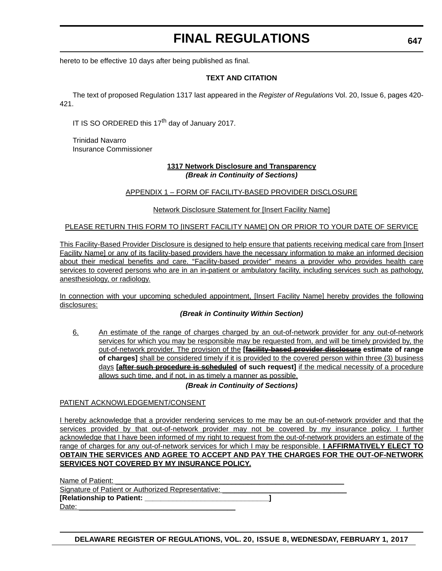hereto to be effective 10 days after being published as final.

### **TEXT AND CITATION**

The text of proposed Regulation 1317 last appeared in the *Register of Regulations* Vol. 20, Issue 6, pages 420- 421.

IT IS SO ORDERED this 17<sup>th</sup> day of January 2017.

Trinidad Navarro Insurance Commissioner

### **1317 Network Disclosure and Transparency** *(Break in Continuity of Sections)*

APPENDIX 1 – FORM OF FACILITY-BASED PROVIDER DISCLOSURE

### Network Disclosure Statement for [Insert Facility Name]

### PLEASE RETURN THIS FORM TO [INSERT FACILITY NAME] ON OR PRIOR TO YOUR DATE OF SERVICE

This Facility-Based Provider Disclosure is designed to help ensure that patients receiving medical care from [Insert Facility Name] or any of its facility-based providers have the necessary information to make an informed decision about their medical benefits and care. "Facility-based provider" means a provider who provides health care services to covered persons who are in an in-patient or ambulatory facility, including services such as pathology, anesthesiology, or radiology.

In connection with your upcoming scheduled appointment, [Insert Facility Name] hereby provides the following disclosures:

### *(Break in Continuity Within Section)*

6. An estimate of the range of charges charged by an out-of-network provider for any out-of-network services for which you may be responsible may be requested from, and will be timely provided by, the out-of-network provider. The provision of the **[facility-based provider disclosure estimate of range of charges]** shall be considered timely if it is provided to the covered person within three (3) business days **[after such procedure is scheduled of such request]** if the medical necessity of a procedure allows such time, and if not, in as timely a manner as possible.

*(Break in Continuity of Sections)*

### PATIENT ACKNOWLEDGEMENT/CONSENT

I hereby acknowledge that a provider rendering services to me may be an out-of-network provider and that the services provided by that out-of-network provider may not be covered by my insurance policy. I further acknowledge that I have been informed of my right to request from the out-of-network providers an estimate of the range of charges for any out-of-network services for which I may be responsible. **I AFFIRMATIVELY ELECT TO OBTAIN THE SERVICES AND AGREE TO ACCEPT AND PAY THE CHARGES FOR THE OUT-OF-NETWORK SERVICES NOT COVERED BY MY INSURANCE POLICY.**

| Name of Patient:                                   |  |
|----------------------------------------------------|--|
| Signature of Patient or Authorized Representative: |  |
| [Relationship to Patient:                          |  |
| Date:                                              |  |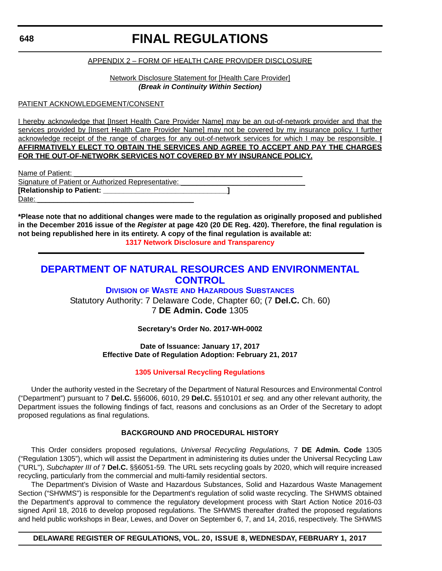#### APPENDIX 2 – FORM OF HEALTH CARE PROVIDER DISCLOSURE

Network Disclosure Statement for [Health Care Provider] *(Break in Continuity Within Section)*

#### PATIENT ACKNOWLEDGEMENT/CONSENT

I hereby acknowledge that [Insert Health Care Provider Name] may be an out-of-network provider and that the services provided by [Insert Health Care Provider Name] may not be covered by my insurance policy. I further acknowledge receipt of the range of charges for any out-of-network services for which I may be responsible. **I AFFIRMATIVELY ELECT TO OBTAIN THE SERVICES AND AGREE TO ACCEPT AND PAY THE CHARGES FOR THE OUT-OF-NETWORK SERVICES NOT COVERED BY MY INSURANCE POLICY.**

| Name of Patient:                                   |  |
|----------------------------------------------------|--|
| Signature of Patient or Authorized Representative: |  |
| [Relationship to Patient:                          |  |
| Date:                                              |  |

**\*Please note that no additional changes were made to the regulation as originally proposed and published in the December 2016 issue of the** *Register* **at page 420 (20 DE Reg. 420). Therefore, the final regulation is not being republished here in its entirety. A copy of the final regulation is available at: [1317 Network Disclosure and Transparency](http://regulations.delaware.gov/register/february2017/final/20 DE Reg 645 02-01-17.htm)**

## **[DEPARTMENT OF NATURAL RESOURCES AND ENVIRONMENTAL](http://www.dnrec.delaware.gov/Pages/Portal.aspx)  CONTROL**

**DIVISION OF WASTE [AND HAZARDOUS SUBSTANCES](http://www.dnrec.delaware.gov/dwhs/Pages/default.aspx)** Statutory Authority: 7 Delaware Code, Chapter 60; (7 **Del.C.** Ch. 60) 7 **DE Admin. Code** 1305

**Secretary's Order No. 2017-WH-0002**

**Date of Issuance: January 17, 2017 Effective Date of Regulation Adoption: February 21, 2017**

### **[1305 Universal Recycling Regulations](#page-5-0)**

Under the authority vested in the Secretary of the Department of Natural Resources and Environmental Control ("Department") pursuant to 7 **Del.C.** §§6006, 6010, 29 **Del.C.** §§10101 *et seq.* and any other relevant authority, the Department issues the following findings of fact, reasons and conclusions as an Order of the Secretary to adopt proposed regulations as final regulations.

#### **BACKGROUND AND PROCEDURAL HISTORY**

This Order considers proposed regulations, *Universal Recycling Regulations,* 7 **DE Admin. Code** 1305 ("Regulation 1305"), which will assist the Department in administering its duties under the Universal Recycling Law ("URL"), *Subchapter III of* 7 **Del.C.** §§6051-59*.* The URL sets recycling goals by 2020, which will require increased recycling, particularly from the commercial and multi-family residential sectors.

The Department's Division of Waste and Hazardous Substances, Solid and Hazardous Waste Management Section ("SHWMS") is responsible for the Department's regulation of solid waste recycling. The SHWMS obtained the Department's approval to commence the regulatory development process with Start Action Notice 2016-03 signed April 18, 2016 to develop proposed regulations. The SHWMS thereafter drafted the proposed regulations and held public workshops in Bear, Lewes, and Dover on September 6, 7, and 14, 2016, respectively. The SHWMS

### **DELAWARE REGISTER OF REGULATIONS, VOL. 20, ISSUE 8, WEDNESDAY, FEBRUARY 1, 2017**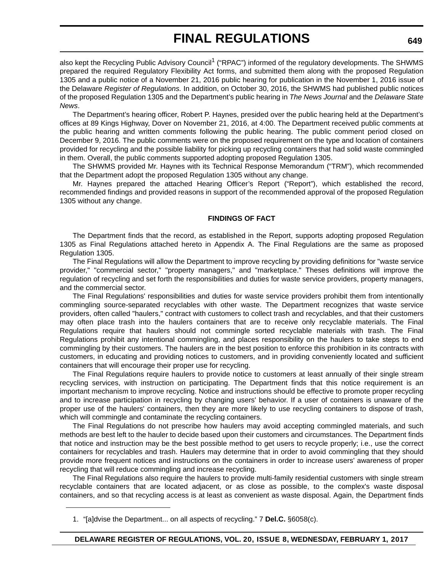also kept the Recycling Public Advisory Council<sup>1</sup> ("RPAC") informed of the regulatory developments. The SHWMS prepared the required Regulatory Flexibility Act forms, and submitted them along with the proposed Regulation 1305 and a public notice of a November 21, 2016 public hearing for publication in the November 1, 2016 issue of the Delaware *Register of Regulations.* In addition, on October 30, 2016, the SHWMS had published public notices of the proposed Regulation 1305 and the Department's public hearing in *The News Journal* and the *Delaware State News*.

The Department's hearing officer, Robert P. Haynes, presided over the public hearing held at the Department's offices at 89 Kings Highway, Dover on November 21, 2016, at 4:00. The Department received public comments at the public hearing and written comments following the public hearing. The public comment period closed on December 9, 2016. The public comments were on the proposed requirement on the type and location of containers provided for recycling and the possible liability for picking up recycling containers that had solid waste commingled in them. Overall, the public comments supported adopting proposed Regulation 1305.

The SHWMS provided Mr. Haynes with its Technical Response Memorandum ("TRM"), which recommended that the Department adopt the proposed Regulation 1305 without any change.

Mr. Haynes prepared the attached Hearing Officer's Report ("Report"), which established the record, recommended findings and provided reasons in support of the recommended approval of the proposed Regulation 1305 without any change.

#### **FINDINGS OF FACT**

The Department finds that the record, as established in the Report, supports adopting proposed Regulation 1305 as Final Regulations attached hereto in Appendix A. The Final Regulations are the same as proposed Regulation 1305.

The Final Regulations will allow the Department to improve recycling by providing definitions for "waste service provider," "commercial sector," "property managers," and "marketplace." Theses definitions will improve the regulation of recycling and set forth the responsibilities and duties for waste service providers, property managers, and the commercial sector.

The Final Regulations' responsibilities and duties for waste service providers prohibit them from intentionally commingling source-separated recyclables with other waste. The Department recognizes that waste service providers, often called "haulers," contract with customers to collect trash and recyclables, and that their customers may often place trash into the haulers containers that are to receive only recyclable materials. The Final Regulations require that haulers should not commingle sorted recyclable materials with trash. The Final Regulations prohibit any intentional commingling, and places responsibility on the haulers to take steps to end commingling by their customers. The haulers are in the best position to enforce this prohibition in its contracts with customers, in educating and providing notices to customers, and in providing conveniently located and sufficient containers that will encourage their proper use for recycling.

The Final Regulations require haulers to provide notice to customers at least annually of their single stream recycling services, with instruction on participating. The Department finds that this notice requirement is an important mechanism to improve recycling. Notice and instructions should be effective to promote proper recycling and to increase participation in recycling by changing users' behavior. If a user of containers is unaware of the proper use of the haulers' containers, then they are more likely to use recycling containers to dispose of trash, which will commingle and contaminate the recycling containers.

The Final Regulations do not prescribe how haulers may avoid accepting commingled materials, and such methods are best left to the hauler to decide based upon their customers and circumstances. The Department finds that notice and instruction may be the best possible method to get users to recycle properly; i.e., use the correct containers for recyclables and trash. Haulers may determine that in order to avoid commingling that they should provide more frequent notices and instructions on the containers in order to increase users' awareness of proper recycling that will reduce commingling and increase recycling.

The Final Regulations also require the haulers to provide multi-family residential customers with single stream recyclable containers that are located adjacent, or as close as possible, to the complex's waste disposal containers, and so that recycling access is at least as convenient as waste disposal. Again, the Department finds

<sup>1. &</sup>quot;[a]dvise the Department... on all aspects of recycling." 7 **Del.C.** §6058(c).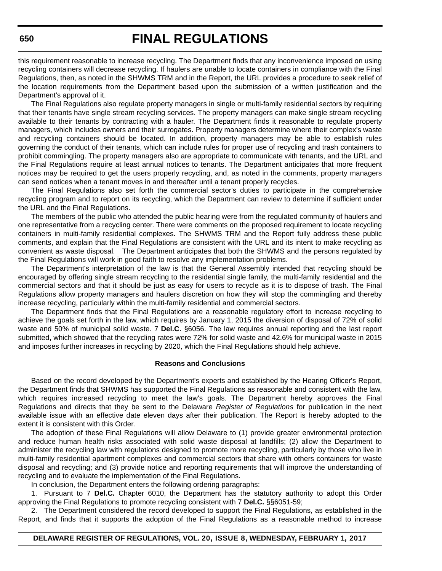this requirement reasonable to increase recycling. The Department finds that any inconvenience imposed on using recycling containers will decrease recycling. If haulers are unable to locate containers in compliance with the Final Regulations, then, as noted in the SHWMS TRM and in the Report, the URL provides a procedure to seek relief of the location requirements from the Department based upon the submission of a written justification and the Department's approval of it.

The Final Regulations also regulate property managers in single or multi-family residential sectors by requiring that their tenants have single stream recycling services. The property managers can make single stream recycling available to their tenants by contracting with a hauler. The Department finds it reasonable to regulate property managers, which includes owners and their surrogates. Property managers determine where their complex's waste and recycling containers should be located. In addition, property managers may be able to establish rules governing the conduct of their tenants, which can include rules for proper use of recycling and trash containers to prohibit commingling. The property managers also are appropriate to communicate with tenants, and the URL and the Final Regulations require at least annual notices to tenants. The Department anticipates that more frequent notices may be required to get the users properly recycling, and, as noted in the comments, property managers can send notices when a tenant moves in and thereafter until a tenant properly recycles.

The Final Regulations also set forth the commercial sector's duties to participate in the comprehensive recycling program and to report on its recycling, which the Department can review to determine if sufficient under the URL and the Final Regulations.

The members of the public who attended the public hearing were from the regulated community of haulers and one representative from a recycling center. There were comments on the proposed requirement to locate recycling containers in multi-family residential complexes. The SHWMS TRM and the Report fully address these public comments, and explain that the Final Regulations are consistent with the URL and its intent to make recycling as convenient as waste disposal. The Department anticipates that both the SHWMS and the persons regulated by the Final Regulations will work in good faith to resolve any implementation problems.

The Department's interpretation of the law is that the General Assembly intended that recycling should be encouraged by offering single stream recycling to the residential single family, the multi-family residential and the commercial sectors and that it should be just as easy for users to recycle as it is to dispose of trash. The Final Regulations allow property managers and haulers discretion on how they will stop the commingling and thereby increase recycling, particularly within the multi-family residential and commercial sectors.

The Department finds that the Final Regulations are a reasonable regulatory effort to increase recycling to achieve the goals set forth in the law, which requires by January 1, 2015 the diversion of disposal of 72% of solid waste and 50% of municipal solid waste. 7 **Del.C.** §6056. The law requires annual reporting and the last report submitted, which showed that the recycling rates were 72% for solid waste and 42.6% for municipal waste in 2015 and imposes further increases in recycling by 2020, which the Final Regulations should help achieve.

#### **Reasons and Conclusions**

Based on the record developed by the Department's experts and established by the Hearing Officer's Report, the Department finds that SHWMS has supported the Final Regulations as reasonable and consistent with the law, which requires increased recycling to meet the law's goals. The Department hereby approves the Final Regulations and directs that they be sent to the Delaware *Register of Regulations* for publication in the next available issue with an effective date eleven days after their publication. The Report is hereby adopted to the extent it is consistent with this Order.

The adoption of these Final Regulations will allow Delaware to (1) provide greater environmental protection and reduce human health risks associated with solid waste disposal at landfills; (2) allow the Department to administer the recycling law with regulations designed to promote more recycling, particularly by those who live in multi-family residential apartment complexes and commercial sectors that share with others containers for waste disposal and recycling; and (3) provide notice and reporting requirements that will improve the understanding of recycling and to evaluate the implementation of the Final Regulations.

In conclusion, the Department enters the following ordering paragraphs:

1. Pursuant to 7 **Del.C.** Chapter 6010, the Department has the statutory authority to adopt this Order approving the Final Regulations to promote recycling consistent with 7 **Del.C.** §§6051-59;

2. The Department considered the record developed to support the Final Regulations, as established in the Report, and finds that it supports the adoption of the Final Regulations as a reasonable method to increase

#### **DELAWARE REGISTER OF REGULATIONS, VOL. 20, ISSUE 8, WEDNESDAY, FEBRUARY 1, 2017**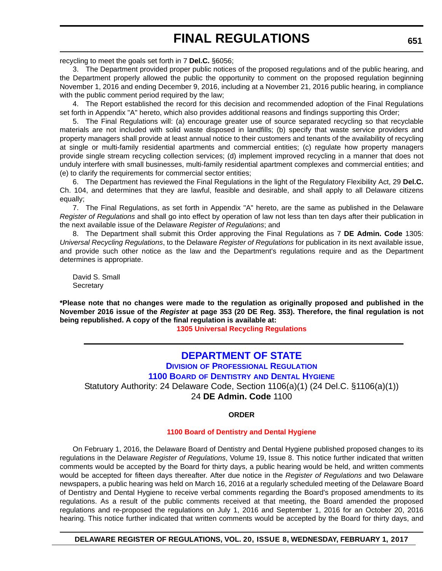recycling to meet the goals set forth in 7 **Del.C.** §6056;

3. The Department provided proper public notices of the proposed regulations and of the public hearing, and the Department properly allowed the public the opportunity to comment on the proposed regulation beginning November 1, 2016 and ending December 9, 2016, including at a November 21, 2016 public hearing, in compliance with the public comment period required by the law;

4. The Report established the record for this decision and recommended adoption of the Final Regulations set forth in Appendix "A" hereto, which also provides additional reasons and findings supporting this Order;

5. The Final Regulations will: (a) encourage greater use of source separated recycling so that recyclable materials are not included with solid waste disposed in landfills; (b) specify that waste service providers and property managers shall provide at least annual notice to their customers and tenants of the availability of recycling at single or multi-family residential apartments and commercial entities; (c) regulate how property managers provide single stream recycling collection services; (d) implement improved recycling in a manner that does not unduly interfere with small businesses, multi-family residential apartment complexes and commercial entities; and (e) to clarify the requirements for commercial sector entities;

6. The Department has reviewed the Final Regulations in the light of the Regulatory Flexibility Act, 29 **Del.C.** Ch. 104, and determines that they are lawful, feasible and desirable, and shall apply to all Delaware citizens equally;

7. The Final Regulations, as set forth in Appendix "A" hereto, are the same as published in the Delaware *Register of Regulations* and shall go into effect by operation of law not less than ten days after their publication in the next available issue of the Delaware *Register of Regulations*; and

8. The Department shall submit this Order approving the Final Regulations as 7 **DE Admin. Code** 1305: *Universal Recycling Regulations*, to the Delaware *Register of Regulations* for publication in its next available issue, and provide such other notice as the law and the Department's regulations require and as the Department determines is appropriate.

David S. Small **Secretary** 

**\*Please note that no changes were made to the regulation as originally proposed and published in the November 2016 issue of the** *Register* **at page 353 (20 DE Reg. 353). Therefore, the final regulation is not being republished. A copy of the final regulation is available at:**

**[1305 Universal Recycling Regulations](http://regulations.delaware.gov/register/february2017/final/20 DE Reg 648 02-01-17.htm)**

## **[DEPARTMENT OF STATE](http://sos.delaware.gov/)**

**DIVISION [OF PROFESSIONAL REGULATION](http://dpr.delaware.gov/) 1100 BOARD OF DENTISTRY [AND DENTAL HYGIENE](http://dpr.delaware.gov/boards/dental/index.shtml)** Statutory Authority: 24 Delaware Code, Section 1106(a)(1) (24 Del.C. §1106(a)(1)) 24 **DE Admin. Code** 1100

#### **ORDER**

#### **[1100 Board of Dentistry and Dental Hygiene](#page-5-0)**

On February 1, 2016, the Delaware Board of Dentistry and Dental Hygiene published proposed changes to its regulations in the Delaware *Register of Regulations*, Volume 19, Issue 8. This notice further indicated that written comments would be accepted by the Board for thirty days, a public hearing would be held, and written comments would be accepted for fifteen days thereafter. After due notice in the *Register of Regulations* and two Delaware newspapers, a public hearing was held on March 16, 2016 at a regularly scheduled meeting of the Delaware Board of Dentistry and Dental Hygiene to receive verbal comments regarding the Board's proposed amendments to its regulations. As a result of the public comments received at that meeting, the Board amended the proposed regulations and re-proposed the regulations on July 1, 2016 and September 1, 2016 for an October 20, 2016 hearing. This notice further indicated that written comments would be accepted by the Board for thirty days, and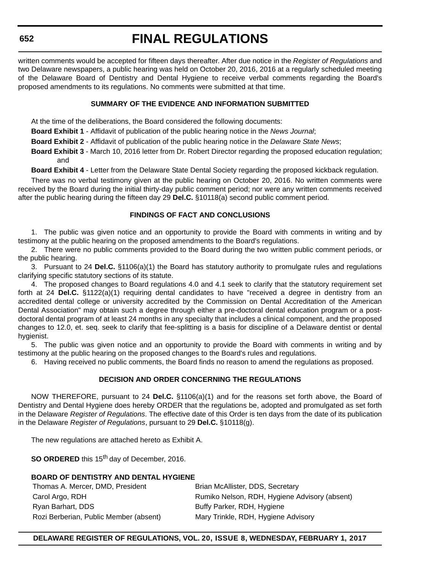written comments would be accepted for fifteen days thereafter. After due notice in the *Register of Regulations* and two Delaware newspapers, a public hearing was held on October 20, 2016, 2016 at a regularly scheduled meeting of the Delaware Board of Dentistry and Dental Hygiene to receive verbal comments regarding the Board's proposed amendments to its regulations. No comments were submitted at that time.

#### **SUMMARY OF THE EVIDENCE AND INFORMATION SUBMITTED**

At the time of the deliberations, the Board considered the following documents:

**Board Exhibit 1** - Affidavit of publication of the public hearing notice in the *News Journal*;

**Board Exhibit 2** - Affidavit of publication of the public hearing notice in the *Delaware State News*;

**Board Exhibit 3** - March 10, 2016 letter from Dr. Robert Director regarding the proposed education regulation; and

**Board Exhibit 4** - Letter from the Delaware State Dental Society regarding the proposed kickback regulation.

There was no verbal testimony given at the public hearing on October 20, 2016. No written comments were received by the Board during the initial thirty-day public comment period; nor were any written comments received after the public hearing during the fifteen day 29 **Del.C.** §10118(a) second public comment period.

#### **FINDINGS OF FACT AND CONCLUSIONS**

1. The public was given notice and an opportunity to provide the Board with comments in writing and by testimony at the public hearing on the proposed amendments to the Board's regulations.

2. There were no public comments provided to the Board during the two written public comment periods, or the public hearing.

3. Pursuant to 24 **Del.C.** §1106(a)(1) the Board has statutory authority to promulgate rules and regulations clarifying specific statutory sections of its statute.

4. The proposed changes to Board regulations 4.0 and 4.1 seek to clarify that the statutory requirement set forth at 24 **Del.C.** §1122(a)(1) requiring dental candidates to have "received a degree in dentistry from an accredited dental college or university accredited by the Commission on Dental Accreditation of the American Dental Association" may obtain such a degree through either a pre-doctoral dental education program or a postdoctoral dental program of at least 24 months in any specialty that includes a clinical component, and the proposed changes to 12.0, et. seq. seek to clarify that fee-splitting is a basis for discipline of a Delaware dentist or dental hygienist.

5. The public was given notice and an opportunity to provide the Board with comments in writing and by testimony at the public hearing on the proposed changes to the Board's rules and regulations.

6. Having received no public comments, the Board finds no reason to amend the regulations as proposed.

### **DECISION AND ORDER CONCERNING THE REGULATIONS**

NOW THEREFORE, pursuant to 24 **Del.C.** §1106(a)(1) and for the reasons set forth above, the Board of Dentistry and Dental Hygiene does hereby ORDER that the regulations be, adopted and promulgated as set forth in the Delaware *Register of Regulations*. The effective date of this Order is ten days from the date of its publication in the Delaware *Register of Regulations*, pursuant to 29 **Del.C.** §10118(g).

The new regulations are attached hereto as Exhibit A.

**SO ORDERED** this 15<sup>th</sup> day of December, 2016.

### **BOARD OF DENTISTRY AND DENTAL HYGIENE**

Thomas A. Mercer, DMD, President **Brian McAllister, DDS, Secretary** Ryan Barhart, DDS Buffy Parker, RDH, Hygiene Rozi Berberian, Public Member (absent) Mary Trinkle, RDH, Hygiene Advisory

Carol Argo, RDH **Rumiko Nelson, RDH, Hygiene Advisory (absent)** Rumiko Nelson, RDH, Hygiene Advisory (absent)

### **DELAWARE REGISTER OF REGULATIONS, VOL. 20, ISSUE 8, WEDNESDAY, FEBRUARY 1, 2017**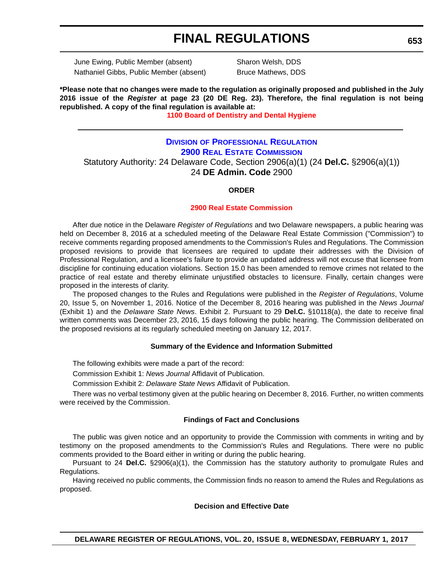June Ewing, Public Member (absent) Sharon Welsh, DDS Nathaniel Gibbs, Public Member (absent) Bruce Mathews, DDS

**\*Please note that no changes were made to the regulation as originally proposed and published in the July 2016 issue of the** *Register* **at page 23 (20 DE Reg. 23). Therefore, the final regulation is not being republished. A copy of the final regulation is available at:**

### **[1100 Board of Dentistry and Dental Hygiene](http://regulations.delaware.gov/register/february2017/final/20 DE Reg 651 02-01-17.htm)**

### **DIVISION [OF PROFESSIONAL REGULATION](http://dpr.delaware.gov/) [2900 REAL ESTATE COMMISSION](http://dpr.delaware.gov/boards/realestate/index.shtml)** Statutory Authority: 24 Delaware Code, Section 2906(a)(1) (24 **Del.C.** §2906(a)(1)) 24 **DE Admin. Code** 2900

### **ORDER**

### **[2900 Real Estate Commission](#page-5-0)**

After due notice in the Delaware *Register of Regulations* and two Delaware newspapers, a public hearing was held on December 8, 2016 at a scheduled meeting of the Delaware Real Estate Commission ("Commission") to receive comments regarding proposed amendments to the Commission's Rules and Regulations. The Commission proposed revisions to provide that licensees are required to update their addresses with the Division of Professional Regulation, and a licensee's failure to provide an updated address will not excuse that licensee from discipline for continuing education violations. Section 15.0 has been amended to remove crimes not related to the practice of real estate and thereby eliminate unjustified obstacles to licensure. Finally, certain changes were proposed in the interests of clarity.

The proposed changes to the Rules and Regulations were published in the *Register of Regulations*, Volume 20, Issue 5, on November 1, 2016. Notice of the December 8, 2016 hearing was published in the *News Journal* (Exhibit 1) and the *Delaware State News*. Exhibit 2. Pursuant to 29 **Del.C.** §10118(a), the date to receive final written comments was December 23, 2016, 15 days following the public hearing. The Commission deliberated on the proposed revisions at its regularly scheduled meeting on January 12, 2017.

### **Summary of the Evidence and Information Submitted**

The following exhibits were made a part of the record:

Commission Exhibit 1: *News Journal* Affidavit of Publication.

Commission Exhibit 2: *Delaware State News* Affidavit of Publication.

There was no verbal testimony given at the public hearing on December 8, 2016. Further, no written comments were received by the Commission.

### **Findings of Fact and Conclusions**

The public was given notice and an opportunity to provide the Commission with comments in writing and by testimony on the proposed amendments to the Commission's Rules and Regulations. There were no public comments provided to the Board either in writing or during the public hearing.

Pursuant to 24 **Del.C.** §2906(a)(1), the Commission has the statutory authority to promulgate Rules and Regulations.

Having received no public comments, the Commission finds no reason to amend the Rules and Regulations as proposed.

### **Decision and Effective Date**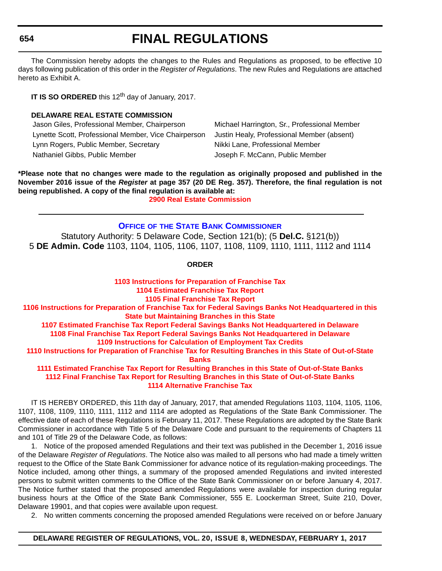## **FINAL REGULATIONS**

The Commission hereby adopts the changes to the Rules and Regulations as proposed, to be effective 10 days following publication of this order in the *Register of Regulations*. The new Rules and Regulations are attached hereto as Exhibit A.

**IT IS SO ORDERED** this 12<sup>th</sup> day of January, 2017.

### **DELAWARE REAL ESTATE COMMISSION**

Jason Giles, Professional Member, Chairperson Michael Harrington, Sr., Professional Member Lynette Scott, Professional Member, Vice Chairperson Justin Healy, Professional Member (absent) Lynn Rogers, Public Member, Secretary Nikki Lane, Professional Member Nathaniel Gibbs, Public Member **Joseph F. McCann, Public Member** Joseph F. McCann, Public Member

**\*Please note that no changes were made to the regulation as originally proposed and published in the November 2016 issue of the** *Register* **at page 357 (20 DE Reg. 357). Therefore, the final regulation is not being republished. A copy of the final regulation is available at:**

**[2900 Real Estate Commission](http://regulations.delaware.gov/register/february2017/final/20 DE Reg 653 02-01-17.htm)**

#### **OFFICE OF [THE STATE BANK COMMISSIONER](http://banking.delaware.gov/)**

Statutory Authority: 5 Delaware Code, Section 121(b); (5 **Del.C.** §121(b)) 5 **DE Admin. Code** 1103, 1104, 1105, 1106, 1107, 1108, 1109, 1110, 1111, 1112 and 1114

**ORDER**

#### **1103 Instructions for Preparation of Franchise Tax 1104 Estimated Franchise Tax Report 1105 Final Franchise Tax Report [1106 Instructions for Preparation of Franchise Tax for Federal Savings Banks Not Headquartered in this](#page-5-0)  State but Maintaining Branches in this State 1107 Estimated Franchise Tax Report Federal Savings Banks Not Headquartered in Delaware 1108 Final Franchise Tax Report Federal Savings Banks Not Headquartered in Delaware 1109 Instructions for Calculation of Employment Tax Credits 1110 Instructions for Preparation of Franchise Tax for Resulting Branches in this State of Out-of-State Banks 1111 Estimated Franchise Tax Report for Resulting Branches in this State of Out-of-State Banks 1112 Final Franchise Tax Report for Resulting Branches in this State of Out-of-State Banks 1114 Alternative Franchise Tax**

IT IS HEREBY ORDERED, this 11th day of January, 2017, that amended Regulations 1103, 1104, 1105, 1106, 1107, 1108, 1109, 1110, 1111, 1112 and 1114 are adopted as Regulations of the State Bank Commissioner. The effective date of each of these Regulations is February 11, 2017. These Regulations are adopted by the State Bank Commissioner in accordance with Title 5 of the Delaware Code and pursuant to the requirements of Chapters 11 and 101 of Title 29 of the Delaware Code, as follows:

1. Notice of the proposed amended Regulations and their text was published in the December 1, 2016 issue of the Delaware *Register of Regulations*. The Notice also was mailed to all persons who had made a timely written request to the Office of the State Bank Commissioner for advance notice of its regulation-making proceedings. The Notice included, among other things, a summary of the proposed amended Regulations and invited interested persons to submit written comments to the Office of the State Bank Commissioner on or before January 4, 2017. The Notice further stated that the proposed amended Regulations were available for inspection during regular business hours at the Office of the State Bank Commissioner, 555 E. Loockerman Street, Suite 210, Dover, Delaware 19901, and that copies were available upon request.

2. No written comments concerning the proposed amended Regulations were received on or before January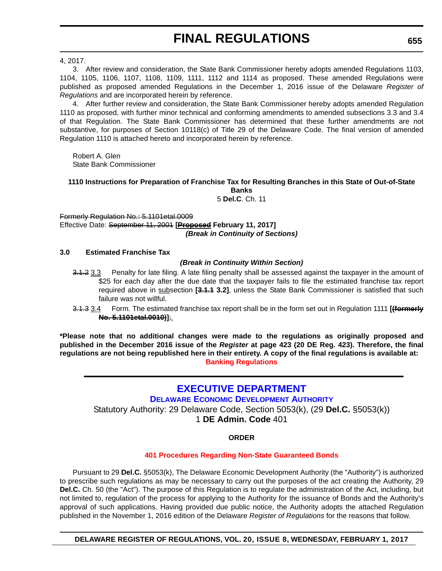4, 2017.

3. After review and consideration, the State Bank Commissioner hereby adopts amended Regulations 1103, 1104, 1105, 1106, 1107, 1108, 1109, 1111, 1112 and 1114 as proposed. These amended Regulations were published as proposed amended Regulations in the December 1, 2016 issue of the Delaware *Register of Regulations* and are incorporated herein by reference.

4. After further review and consideration, the State Bank Commissioner hereby adopts amended Regulation 1110 as proposed, with further minor technical and conforming amendments to amended subsections 3.3 and 3.4 of that Regulation. The State Bank Commissioner has determined that these further amendments are not substantive, for purposes of Section 10118(c) of Title 29 of the Delaware Code. The final version of amended Regulation 1110 is attached hereto and incorporated herein by reference.

Robert A. Glen State Bank Commissioner

#### **1110 Instructions for Preparation of Franchise Tax for Resulting Branches in this State of Out-of-State Banks**

5 **Del.C**. Ch. 11

Formerly Regulation No.: 5.1101etal.0009 Effective Date: September 11, 2001 **[Proposed February 11, 2017]** *(Break in Continuity of Sections)*

#### **3.0 Estimated Franchise Tax**

#### *(Break in Continuity Within Section)*

- 3.1.2 3.3 Penalty for late filing. A late filing penalty shall be assessed against the taxpayer in the amount of \$25 for each day after the due date that the taxpayer fails to file the estimated franchise tax report required above in subsection **[3.1.1 3.2]**, unless the State Bank Commissioner is satisfied that such failure was not willful.
- 3.1.3 3.4 Form. The estimated franchise tax report shall be in the form set out in Regulation 1111 **[(formerly No. 5.1101etal.0010)]**;.

**\*Please note that no additional changes were made to the regulations as originally proposed and published in the December 2016 issue of the** *Register* **at page 423 (20 DE Reg. 423). Therefore, the final regulations are not being republished here in their entirety. A copy of the final regulations is available at: [Banking Regulations](http://regulations.delaware.gov/register/february2017/final/20 DE Reg 654 02-01-17.htm)**

## **[EXECUTIVE DEPARTMENT](http://dedo.delaware.gov/)**

**[DELAWARE ECONOMIC DEVELOPMENT AUTHORITY](http://dedo.delaware.gov/)**

Statutory Authority: 29 Delaware Code, Section 5053(k), (29 **Del.C.** §5053(k)) 1 **DE Admin. Code** 401

**ORDER**

### **[401 Procedures Regarding Non-State Guaranteed Bonds](#page-5-0)**

Pursuant to 29 **Del.C.** §5053(k), The Delaware Economic Development Authority (the "Authority") is authorized to prescribe such regulations as may be necessary to carry out the purposes of the act creating the Authority, 29 **Del.C.** Ch. 50 (the "Act"). The purpose of this Regulation is to regulate the administration of the Act, including, but not limited to, regulation of the process for applying to the Authority for the issuance of Bonds and the Authority's approval of such applications. Having provided due public notice, the Authority adopts the attached Regulation published in the November 1, 2016 edition of the Delaware *Register of Regulations* for the reasons that follow.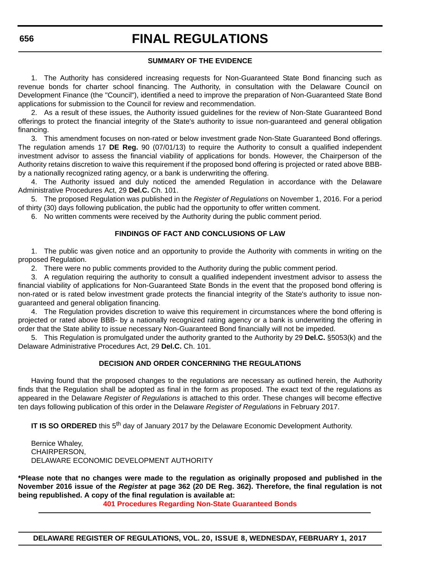#### **SUMMARY OF THE EVIDENCE**

1. The Authority has considered increasing requests for Non-Guaranteed State Bond financing such as revenue bonds for charter school financing. The Authority, in consultation with the Delaware Council on Development Finance (the "Council"), identified a need to improve the preparation of Non-Guaranteed State Bond applications for submission to the Council for review and recommendation.

2. As a result of these issues, the Authority issued guidelines for the review of Non-State Guaranteed Bond offerings to protect the financial integrity of the State's authority to issue non-guaranteed and general obligation financing.

3. This amendment focuses on non-rated or below investment grade Non-State Guaranteed Bond offerings. The regulation amends 17 **DE Reg.** 90 (07/01/13) to require the Authority to consult a qualified independent investment advisor to assess the financial viability of applications for bonds. However, the Chairperson of the Authority retains discretion to waive this requirement if the proposed bond offering is projected or rated above BBBby a nationally recognized rating agency, or a bank is underwriting the offering.

4. The Authority issued and duly noticed the amended Regulation in accordance with the Delaware Administrative Procedures Act, 29 **Del.C.** Ch. 101.

5. The proposed Regulation was published in the *Register of Regulations* on November 1, 2016. For a period of thirty (30) days following publication, the public had the opportunity to offer written comment.

6. No written comments were received by the Authority during the public comment period.

#### **FINDINGS OF FACT AND CONCLUSIONS OF LAW**

1. The public was given notice and an opportunity to provide the Authority with comments in writing on the proposed Regulation.

2. There were no public comments provided to the Authority during the public comment period.

3. A regulation requiring the authority to consult a qualified independent investment advisor to assess the financial viability of applications for Non-Guaranteed State Bonds in the event that the proposed bond offering is non-rated or is rated below investment grade protects the financial integrity of the State's authority to issue nonguaranteed and general obligation financing.

4. The Regulation provides discretion to waive this requirement in circumstances where the bond offering is projected or rated above BBB- by a nationally recognized rating agency or a bank is underwriting the offering in order that the State ability to issue necessary Non-Guaranteed Bond financially will not be impeded.

5. This Regulation is promulgated under the authority granted to the Authority by 29 **Del.C.** §5053(k) and the Delaware Administrative Procedures Act, 29 **Del.C.** Ch. 101.

#### **DECISION AND ORDER CONCERNING THE REGULATIONS**

Having found that the proposed changes to the regulations are necessary as outlined herein, the Authority finds that the Regulation shall be adopted as final in the form as proposed. The exact text of the regulations as appeared in the Delaware *Register of Regulations* is attached to this order. These changes will become effective ten days following publication of this order in the Delaware *Register of Regulations* in February 2017.

**IT IS SO ORDERED** this 5<sup>th</sup> day of January 2017 by the Delaware Economic Development Authority.

Bernice Whaley, CHAIRPERSON, DELAWARE ECONOMIC DEVELOPMENT AUTHORITY

**\*Please note that no changes were made to the regulation as originally proposed and published in the November 2016 issue of the** *Register* **at page 362 (20 DE Reg. 362). Therefore, the final regulation is not being republished. A copy of the final regulation is available at:**

**[401 Procedures Regarding Non-State Guaranteed Bonds](http://regulations.delaware.gov/register/february2017/final/20 DE Reg 655 02-01-17.htm)**

**DELAWARE REGISTER OF REGULATIONS, VOL. 20, ISSUE 8, WEDNESDAY, FEBRUARY 1, 2017**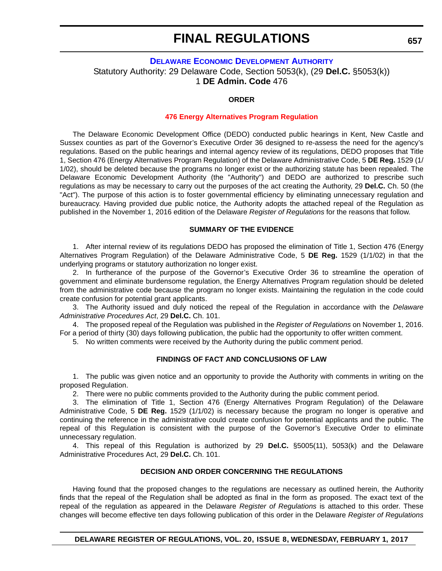### **[DELAWARE ECONOMIC DEVELOPMENT AUTHORITY](http://dedo.delaware.gov/)** Statutory Authority: 29 Delaware Code, Section 5053(k), (29 **Del.C.** §5053(k)) 1 **DE Admin. Code** 476

### **ORDER**

#### **[476 Energy Alternatives Program Regulation](#page-5-0)**

The Delaware Economic Development Office (DEDO) conducted public hearings in Kent, New Castle and Sussex counties as part of the Governor's Executive Order 36 designed to re-assess the need for the agency's regulations. Based on the public hearings and internal agency review of its regulations, DEDO proposes that Title 1, Section 476 (Energy Alternatives Program Regulation) of the Delaware Administrative Code, 5 **DE Reg.** 1529 (1/ 1/02), should be deleted because the programs no longer exist or the authorizing statute has been repealed. The Delaware Economic Development Authority (the "Authority") and DEDO are authorized to prescribe such regulations as may be necessary to carry out the purposes of the act creating the Authority, 29 **Del.C.** Ch. 50 (the "Act"). The purpose of this action is to foster governmental efficiency by eliminating unnecessary regulation and bureaucracy. Having provided due public notice, the Authority adopts the attached repeal of the Regulation as published in the November 1, 2016 edition of the Delaware *Register of Regulations* for the reasons that follow.

#### **SUMMARY OF THE EVIDENCE**

1. After internal review of its regulations DEDO has proposed the elimination of Title 1, Section 476 (Energy Alternatives Program Regulation) of the Delaware Administrative Code, 5 **DE Reg.** 1529 (1/1/02) in that the underlying programs or statutory authorization no longer exist.

2. In furtherance of the purpose of the Governor's Executive Order 36 to streamline the operation of government and eliminate burdensome regulation, the Energy Alternatives Program regulation should be deleted from the administrative code because the program no longer exists. Maintaining the regulation in the code could create confusion for potential grant applicants.

3. The Authority issued and duly noticed the repeal of the Regulation in accordance with the *Delaware Administrative Procedures Act*, 29 **Del.C.** Ch. 101.

4. The proposed repeal of the Regulation was published in the *Register of Regulations* on November 1, 2016.

For a period of thirty (30) days following publication, the public had the opportunity to offer written comment. 5. No written comments were received by the Authority during the public comment period.

### **FINDINGS OF FACT AND CONCLUSIONS OF LAW**

1. The public was given notice and an opportunity to provide the Authority with comments in writing on the proposed Regulation.

2. There were no public comments provided to the Authority during the public comment period.

3. The elimination of Title 1, Section 476 (Energy Alternatives Program Regulation) of the Delaware Administrative Code, 5 **DE Reg.** 1529 (1/1/02) is necessary because the program no longer is operative and continuing the reference in the administrative could create confusion for potential applicants and the public. The repeal of this Regulation is consistent with the purpose of the Governor's Executive Order to eliminate unnecessary regulation.

4. This repeal of this Regulation is authorized by 29 **Del.C.** §5005(11), 5053(k) and the Delaware Administrative Procedures Act, 29 **Del.C.** Ch. 101.

### **DECISION AND ORDER CONCERNING THE REGULATIONS**

Having found that the proposed changes to the regulations are necessary as outlined herein, the Authority finds that the repeal of the Regulation shall be adopted as final in the form as proposed. The exact text of the repeal of the regulation as appeared in the Delaware *Register of Regulations* is attached to this order. These changes will become effective ten days following publication of this order in the Delaware *Register of Regulations*

**DELAWARE REGISTER OF REGULATIONS, VOL. 20, ISSUE 8, WEDNESDAY, FEBRUARY 1, 2017**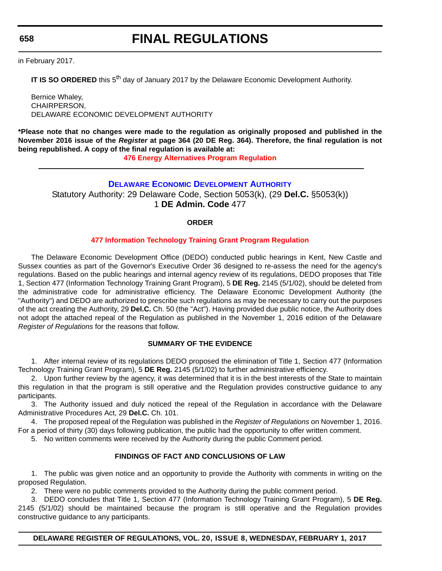## **FINAL REGULATIONS**

in February 2017.

**IT IS SO ORDERED** this 5<sup>th</sup> day of January 2017 by the Delaware Economic Development Authority.

Bernice Whaley, CHAIRPERSON, DELAWARE ECONOMIC DEVELOPMENT AUTHORITY

**\*Please note that no changes were made to the regulation as originally proposed and published in the November 2016 issue of the** *Register* **at page 364 (20 DE Reg. 364). Therefore, the final regulation is not being republished. A copy of the final regulation is available at:**

**[476 Energy Alternatives Program Regulation](http://regulations.delaware.gov/register/february2017/final/20 DE Reg 657 02-01-17.htm)**

### **[DELAWARE ECONOMIC DEVELOPMENT AUTHORITY](http://dedo.delaware.gov/)**

Statutory Authority: 29 Delaware Code, Section 5053(k), (29 **Del.C.** §5053(k)) 1 **DE Admin. Code** 477

### **ORDER**

### **[477 Information Technology Training Grant Program Regulation](#page-5-0)**

The Delaware Economic Development Office (DEDO) conducted public hearings in Kent, New Castle and Sussex counties as part of the Governor's Executive Order 36 designed to re-assess the need for the agency's regulations. Based on the public hearings and internal agency review of its regulations, DEDO proposes that Title 1, Section 477 (Information Technology Training Grant Program), 5 **DE Reg.** 2145 (5/1/02), should be deleted from the administrative code for administrative efficiency. The Delaware Economic Development Authority (the "Authority") and DEDO are authorized to prescribe such regulations as may be necessary to carry out the purposes of the act creating the Authority, 29 **Del.C.** Ch. 50 (the "Act"). Having provided due public notice, the Authority does not adopt the attached repeal of the Regulation as published in the November 1, 2016 edition of the Delaware *Register of Regulations* for the reasons that follow.

### **SUMMARY OF THE EVIDENCE**

1. After internal review of its regulations DEDO proposed the elimination of Title 1, Section 477 (Information Technology Training Grant Program), 5 **DE Reg.** 2145 (5/1/02) to further administrative efficiency.

2. Upon further review by the agency, it was determined that it is in the best interests of the State to maintain this regulation in that the program is still operative and the Regulation provides constructive guidance to any participants.

3. The Authority issued and duly noticed the repeal of the Regulation in accordance with the Delaware Administrative Procedures Act, 29 **Del.C.** Ch. 101.

4. The proposed repeal of the Regulation was published in the *Register of Regulations* on November 1, 2016.

For a period of thirty (30) days following publication, the public had the opportunity to offer written comment.

5. No written comments were received by the Authority during the public Comment period.

### **FINDINGS OF FACT AND CONCLUSIONS OF LAW**

1. The public was given notice and an opportunity to provide the Authority with comments in writing on the proposed Regulation.

2. There were no public comments provided to the Authority during the public comment period.

3. DEDO concludes that Title 1, Section 477 (Information Technology Training Grant Program), 5 **DE Reg.** 2145 (5/1/02) should be maintained because the program is still operative and the Regulation provides constructive guidance to any participants.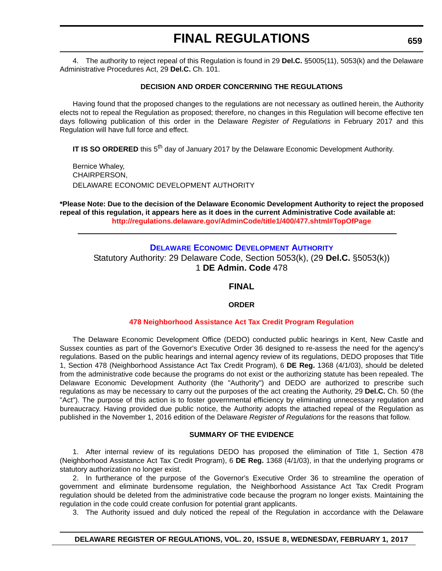4. The authority to reject repeal of this Regulation is found in 29 **Del.C.** §5005(11), 5053(k) and the Delaware Administrative Procedures Act, 29 **Del.C.** Ch. 101.

#### **DECISION AND ORDER CONCERNING THE REGULATIONS**

Having found that the proposed changes to the regulations are not necessary as outlined herein, the Authority elects not to repeal the Regulation as proposed; therefore, no changes in this Regulation will become effective ten days following publication of this order in the Delaware *Register of Regulations* in February 2017 and this Regulation will have full force and effect.

**IT IS SO ORDERED** this 5<sup>th</sup> day of January 2017 by the Delaware Economic Development Authority.

Bernice Whaley, CHAIRPERSON, DELAWARE ECONOMIC DEVELOPMENT AUTHORITY

**\*Please Note: Due to the decision of the Delaware Economic Development Authority to reject the proposed repeal of this regulation, it appears here as it does in the current Administrative Code available at: http://regulations.delaware.gov/AdminCode/title1/400/477.shtml#TopOfPage**

### **[DELAWARE ECONOMIC DEVELOPMENT AUTHORITY](http://dedo.delaware.gov/)**

Statutory Authority: 29 Delaware Code, Section 5053(k), (29 **Del.C.** §5053(k)) 1 **DE Admin. Code** 478

### **FINAL**

#### **ORDER**

#### **[478 Neighborhood Assistance Act Tax Credit Program Regulation](#page-5-0)**

The Delaware Economic Development Office (DEDO) conducted public hearings in Kent, New Castle and Sussex counties as part of the Governor's Executive Order 36 designed to re-assess the need for the agency's regulations. Based on the public hearings and internal agency review of its regulations, DEDO proposes that Title 1, Section 478 (Neighborhood Assistance Act Tax Credit Program), 6 **DE Reg.** 1368 (4/1/03), should be deleted from the administrative code because the programs do not exist or the authorizing statute has been repealed. The Delaware Economic Development Authority (the "Authority") and DEDO are authorized to prescribe such regulations as may be necessary to carry out the purposes of the act creating the Authority, 29 **Del.C.** Ch. 50 (the "Act"). The purpose of this action is to foster governmental efficiency by eliminating unnecessary regulation and bureaucracy. Having provided due public notice, the Authority adopts the attached repeal of the Regulation as published in the November 1, 2016 edition of the Delaware *Register of Regulations* for the reasons that follow.

#### **SUMMARY OF THE EVIDENCE**

1. After internal review of its regulations DEDO has proposed the elimination of Title 1, Section 478 (Neighborhood Assistance Act Tax Credit Program), 6 **DE Reg.** 1368 (4/1/03), in that the underlying programs or statutory authorization no longer exist.

2. In furtherance of the purpose of the Governor's Executive Order 36 to streamline the operation of government and eliminate burdensome regulation, the Neighborhood Assistance Act Tax Credit Program regulation should be deleted from the administrative code because the program no longer exists. Maintaining the regulation in the code could create confusion for potential grant applicants.

3. The Authority issued and duly noticed the repeal of the Regulation in accordance with the Delaware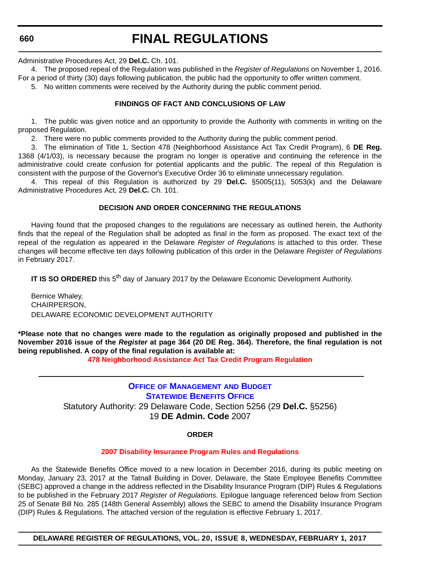## **FINAL REGULATIONS**

Administrative Procedures Act, 29 **Del.C.** Ch. 101.

4. The proposed repeal of the Regulation was published in the *Register of Regulations* on November 1, 2016. For a period of thirty (30) days following publication, the public had the opportunity to offer written comment.

5. No written comments were received by the Authority during the public comment period.

### **FINDINGS OF FACT AND CONCLUSIONS OF LAW**

1. The public was given notice and an opportunity to provide the Authority with comments in writing on the proposed Regulation.

2. There were no public comments provided to the Authority during the public comment period.

3. The elimination of Title 1, Section 478 (Neighborhood Assistance Act Tax Credit Program), 6 **DE Reg.** 1368 (4/1/03), is necessary because the program no longer is operative and continuing the reference in the administrative could create confusion for potential applicants and the public. The repeal of this Regulation is consistent with the purpose of the Governor's Executive Order 36 to eliminate unnecessary regulation.

4. This repeal of this Regulation is authorized by 29 **Del.C.** §5005(11), 5053(k) and the Delaware Administrative Procedures Act, 29 **Del.C.** Ch. 101.

### **DECISION AND ORDER CONCERNING THE REGULATIONS**

Having found that the proposed changes to the regulations are necessary as outlined herein, the Authority finds that the repeal of the Regulation shall be adopted as final in the form as proposed. The exact text of the repeal of the regulation as appeared in the Delaware *Register of Regulations* is attached to this order. These changes will become effective ten days following publication of this order in the Delaware *Register of Regulations* in February 2017.

**IT IS SO ORDERED** this 5<sup>th</sup> day of January 2017 by the Delaware Economic Development Authority.

Bernice Whaley, CHAIRPERSON, DELAWARE ECONOMIC DEVELOPMENT AUTHORITY

**\*Please note that no changes were made to the regulation as originally proposed and published in the November 2016 issue of the** *Register* **at page 364 (20 DE Reg. 364). Therefore, the final regulation is not being republished. A copy of the final regulation is available at:**

**[478 Neighborhood Assistance Act Tax Credit Program Regulation](http://regulations.delaware.gov/register/february2017/final/20 DE Reg 659 02-01-17.htm)**

## **OFFICE [OF MANAGEMENT](http://omb.delaware.gov/) AND BUDGET STATEWIDE BENEFITS OFFICE** Statutory Authority: 29 Delaware Code, Section 5256 (29 **Del.C.** §5256) 19 **DE Admin. Code** 2007

### **ORDER**

### **[2007 Disability Insurance Program Rules and Regulations](#page-5-0)**

As the Statewide Benefits Office moved to a new location in December 2016, during its public meeting on Monday, January 23, 2017 at the Tatnall Building in Dover, Delaware, the State Employee Benefits Committee (SEBC) approved a change in the address reflected in the Disability Insurance Program (DIP) Rules & Regulations to be published in the February 2017 *Register of Regulations*. Epilogue language referenced below from Section 25 of Senate Bill No. 285 (148th General Assembly) allows the SEBC to amend the Disability Insurance Program (DIP) Rules & Regulations. The attached version of the regulation is effective February 1, 2017.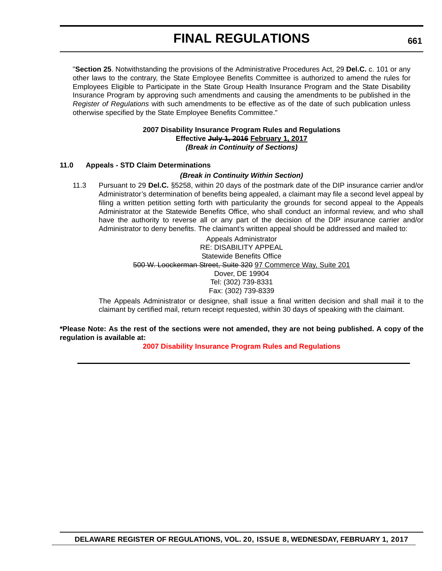"**Section 25**. Notwithstanding the provisions of the Administrative Procedures Act, 29 **Del.C.** c. 101 or any other laws to the contrary, the State Employee Benefits Committee is authorized to amend the rules for Employees Eligible to Participate in the State Group Health Insurance Program and the State Disability Insurance Program by approving such amendments and causing the amendments to be published in the *Register of Regulations* with such amendments to be effective as of the date of such publication unless otherwise specified by the State Employee Benefits Committee."

#### **2007 Disability Insurance Program Rules and Regulations Effective July 1, 2016 February 1, 2017** *(Break in Continuity of Sections)*

#### **11.0 Appeals - STD Claim Determinations**

#### *(Break in Continuity Within Section)*

11.3 Pursuant to 29 **Del.C.** §5258, within 20 days of the postmark date of the DIP insurance carrier and/or Administrator's determination of benefits being appealed, a claimant may file a second level appeal by filing a written petition setting forth with particularity the grounds for second appeal to the Appeals Administrator at the Statewide Benefits Office, who shall conduct an informal review, and who shall have the authority to reverse all or any part of the decision of the DIP insurance carrier and/or Administrator to deny benefits. The claimant's written appeal should be addressed and mailed to:

> Appeals Administrator RE: DISABILITY APPEAL Statewide Benefits Office 500 W. Loockerman Street, Suite 320 97 Commerce Way, Suite 201 Dover, DE 19904 Tel: (302) 739-8331 Fax: (302) 739-8339

The Appeals Administrator or designee, shall issue a final written decision and shall mail it to the claimant by certified mail, return receipt requested, within 30 days of speaking with the claimant.

**\*Please Note: As the rest of the sections were not amended, they are not being published. A copy of the regulation is available at:**

**[2007 Disability Insurance Program Rules and Regulations](http://regulations.delaware.gov/register/february2017/final/20 DE Reg 660 02-01-17.htm)**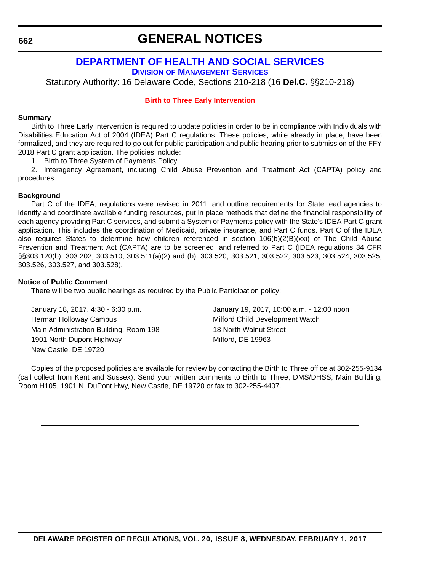## **GENERAL NOTICES**

## **[DEPARTMENT OF HEALTH AND SOCIAL SERVICES](http://www.dhss.delaware.gov/dhss/dms/index.html)**

**DIVISION OF MANAGEMENT SERVICES**

Statutory Authority: 16 Delaware Code, Sections 210-218 (16 **Del.C.** §§210-218)

### **[Birth to Three Early Intervention](#page-5-0)**

#### **Summary**

Birth to Three Early Intervention is required to update policies in order to be in compliance with Individuals with Disabilities Education Act of 2004 (IDEA) Part C regulations. These policies, while already in place, have been formalized, and they are required to go out for public participation and public hearing prior to submission of the FFY 2018 Part C grant application. The policies include:

1. Birth to Three System of Payments Policy

2. Interagency Agreement, including Child Abuse Prevention and Treatment Act (CAPTA) policy and procedures.

#### **Background**

Part C of the IDEA, regulations were revised in 2011, and outline requirements for State lead agencies to identify and coordinate available funding resources, put in place methods that define the financial responsibility of each agency providing Part C services, and submit a System of Payments policy with the State's IDEA Part C grant application. This includes the coordination of Medicaid, private insurance, and Part C funds. Part C of the IDEA also requires States to determine how children referenced in section 106(b)(2)B)(xxi) of The Child Abuse Prevention and Treatment Act (CAPTA) are to be screened, and referred to Part C (IDEA regulations 34 CFR §§303.120(b), 303.202, 303.510, 303.511(a)(2) and (b), 303.520, 303.521, 303.522, 303.523, 303.524, 303,525, 303.526, 303.527, and 303.528).

#### **Notice of Public Comment**

There will be two public hearings as required by the Public Participation policy:

Herman Holloway Campus Milford Child Development Watch Main Administration Building, Room 198 18 North Walnut Street 1901 North Dupont Highway Milford, DE 19963 New Castle, DE 19720

January 18, 2017, 4:30 - 6:30 p.m. January 19, 2017, 10:00 a.m. - 12:00 noon

Copies of the proposed policies are available for review by contacting the Birth to Three office at 302-255-9134 (call collect from Kent and Sussex). Send your written comments to Birth to Three, DMS/DHSS, Main Building, Room H105, 1901 N. DuPont Hwy, New Castle, DE 19720 or fax to 302-255-4407.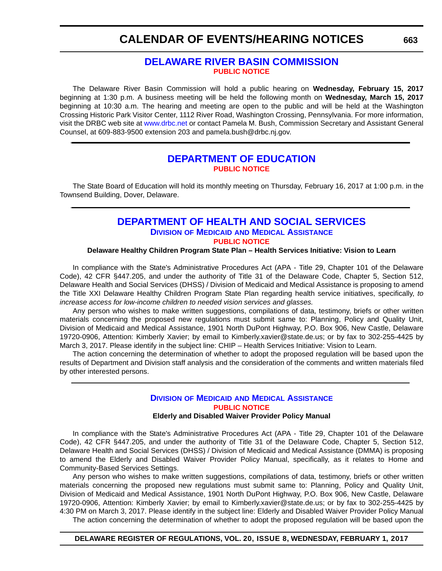## **CALENDAR OF EVENTS/HEARING NOTICES**

## **[DELAWARE RIVER BASIN COMMISSION](http://www.state.nj.us/drbc/) [PUBLIC NOTICE](#page-5-0)**

The Delaware River Basin Commission will hold a public hearing on **Wednesday, February 15, 2017** beginning at 1:30 p.m. A business meeting will be held the following month on **Wednesday, March 15, 2017** beginning at 10:30 a.m. The hearing and meeting are open to the public and will be held at the Washington Crossing Historic Park Visitor Center, 1112 River Road, Washington Crossing, Pennsylvania. For more information, visit the DRBC web site at www.drbc.net or contact Pamela M. Bush, Commission Secretary and Assistant General Counsel, at 609-883-9500 extension 203 and pamela.bush@drbc.nj.gov.

### **[DEPARTMENT OF EDUCATION](http://www.doe.k12.de.us/) [PUBLIC NOTICE](#page-5-0)**

The State Board of Education will hold its monthly meeting on Thursday, February 16, 2017 at 1:00 p.m. in the Townsend Building, Dover, Delaware.

## **[DEPARTMENT OF HEALTH AND SOCIAL SERVICES](http://www.dhss.delaware.gov/dhss/dmma/) DIVISION OF MEDICAID AND MEDICAL ASSISTANCE [PUBLIC NOTICE](#page-5-0)**

### **Delaware Healthy Children Program State Plan – Health Services Initiative: Vision to Learn**

In compliance with the State's Administrative Procedures Act (APA - Title 29, Chapter 101 of the Delaware Code), 42 CFR §447.205, and under the authority of Title 31 of the Delaware Code, Chapter 5, Section 512, Delaware Health and Social Services (DHSS) / Division of Medicaid and Medical Assistance is proposing to amend the Title XXI Delaware Healthy Children Program State Plan regarding health service initiatives, specifically, *to increase access for low-income children to needed vision services and glasses.*

Any person who wishes to make written suggestions, compilations of data, testimony, briefs or other written materials concerning the proposed new regulations must submit same to: Planning, Policy and Quality Unit, Division of Medicaid and Medical Assistance, 1901 North DuPont Highway, P.O. Box 906, New Castle, Delaware 19720-0906, Attention: Kimberly Xavier; by email to Kimberly.xavier@state.de.us; or by fax to 302-255-4425 by March 3, 2017. Please identify in the subject line: CHIP – Health Services Initiative: Vision to Learn.

The action concerning the determination of whether to adopt the proposed regulation will be based upon the results of Department and Division staff analysis and the consideration of the comments and written materials filed by other interested persons.

#### **DIVISION OF MEDICAID [AND MEDICAL ASSISTANCE](http://www.dhss.delaware.gov/dhss/dmma/) [PUBLIC NOTICE](#page-5-0)**

#### **Elderly and Disabled Waiver Provider Policy Manual**

In compliance with the State's Administrative Procedures Act (APA - Title 29, Chapter 101 of the Delaware Code), 42 CFR §447.205, and under the authority of Title 31 of the Delaware Code, Chapter 5, Section 512, Delaware Health and Social Services (DHSS) / Division of Medicaid and Medical Assistance (DMMA) is proposing to amend the Elderly and Disabled Waiver Provider Policy Manual, specifically, as it relates to Home and Community-Based Services Settings.

Any person who wishes to make written suggestions, compilations of data, testimony, briefs or other written materials concerning the proposed new regulations must submit same to: Planning, Policy and Quality Unit, Division of Medicaid and Medical Assistance, 1901 North DuPont Highway, P.O. Box 906, New Castle, Delaware 19720-0906, Attention: Kimberly Xavier; by email to Kimberly.xavier@state.de.us; or by fax to 302-255-4425 by 4:30 PM on March 3, 2017. Please identify in the subject line: Elderly and Disabled Waiver Provider Policy Manual

The action concerning the determination of whether to adopt the proposed regulation will be based upon the

#### **DELAWARE REGISTER OF REGULATIONS, VOL. 20, ISSUE 8, WEDNESDAY, FEBRUARY 1, 2017**

**663**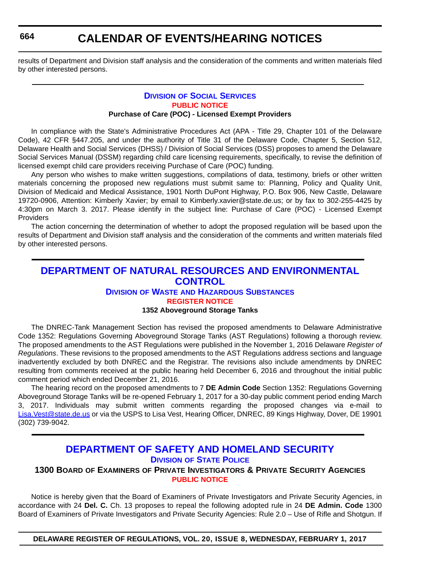**664**

# **CALENDAR OF EVENTS/HEARING NOTICES**

results of Department and Division staff analysis and the consideration of the comments and written materials filed by other interested persons.

#### **DIVISION [OF SOCIAL SERVICES](http://www.dhss.delaware.gov/dhss/dss/) [PUBLIC NOTICE](#page-5-0) Purchase of Care (POC) - Licensed Exempt Providers**

In compliance with the State's Administrative Procedures Act (APA - Title 29, Chapter 101 of the Delaware Code), 42 CFR §447.205, and under the authority of Title 31 of the Delaware Code, Chapter 5, Section 512, Delaware Health and Social Services (DHSS) / Division of Social Services (DSS) proposes to amend the Delaware Social Services Manual (DSSM) regarding child care licensing requirements, specifically, to revise the definition of licensed exempt child care providers receiving Purchase of Care (POC) funding.

Any person who wishes to make written suggestions, compilations of data, testimony, briefs or other written materials concerning the proposed new regulations must submit same to: Planning, Policy and Quality Unit, Division of Medicaid and Medical Assistance, 1901 North DuPont Highway, P.O. Box 906, New Castle, Delaware 19720-0906, Attention: Kimberly Xavier; by email to Kimberly.xavier@state.de.us; or by fax to 302-255-4425 by 4:30pm on March 3. 2017. Please identify in the subject line: Purchase of Care (POC) - Licensed Exempt **Providers** 

The action concerning the determination of whether to adopt the proposed regulation will be based upon the results of Department and Division staff analysis and the consideration of the comments and written materials filed by other interested persons.

## **[DEPARTMENT OF NATURAL RESOURCES AND ENVIRONMENTAL](http://www.dnrec.delaware.gov/dwhs/Pages/default.aspx)  CONTROL**

## **DIVISION OF WASTE AND HAZARDOUS SUBSTANCES**

## **[REGISTER NOTICE](#page-5-0)**

#### **1352 Aboveground Storage Tanks**

The DNREC-Tank Management Section has revised the proposed amendments to Delaware Administrative Code 1352: Regulations Governing Aboveground Storage Tanks (AST Regulations) following a thorough review. The proposed amendments to the AST Regulations were published in the November 1, 2016 Delaware *Register of Regulations*. These revisions to the proposed amendments to the AST Regulations address sections and language inadvertently excluded by both DNREC and the Registrar. The revisions also include amendments by DNREC resulting from comments received at the public hearing held December 6, 2016 and throughout the initial public comment period which ended December 21, 2016.

The hearing record on the proposed amendments to 7 **DE Admin Code** Section 1352: Regulations Governing Aboveground Storage Tanks will be re-opened February 1, 2017 for a 30-day public comment period ending March 3, 2017. Individuals may submit written comments regarding the proposed changes via e-mail to [Lisa.Vest@state.de.us](mailto:Lisa.Vest@state.de.us) or via the USPS to Lisa Vest, Hearing Officer, DNREC, 89 Kings Highway, Dover, DE 19901 (302) 739-9042.

## **[DEPARTMENT OF SAFETY AND HOMELAND SECURITY](http://dsp.delaware.gov/) DIVISION OF STATE POLICE**

#### **1300 BOARD OF EXAMINERS OF PRIVATE INVESTIGATORS & PRIVATE SECURITY AGENCIES [PUBLIC NOTICE](#page-5-0)**

Notice is hereby given that the Board of Examiners of Private Investigators and Private Security Agencies, in accordance with 24 **Del. C.** Ch. 13 proposes to repeal the following adopted rule in 24 **DE Admin. Code** 1300 Board of Examiners of Private Investigators and Private Security Agencies: Rule 2.0 – Use of Rifle and Shotgun. If

**DELAWARE REGISTER OF REGULATIONS, VOL. 20, ISSUE 8, WEDNESDAY, FEBRUARY 1, 2017**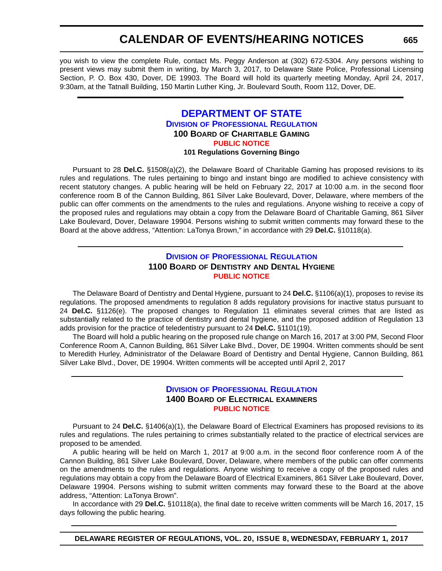# **CALENDAR OF EVENTS/HEARING NOTICES**

you wish to view the complete Rule, contact Ms. Peggy Anderson at (302) 672-5304. Any persons wishing to present views may submit them in writing, by March 3, 2017, to Delaware State Police, Professional Licensing Section, P. O. Box 430, Dover, DE 19903. The Board will hold its quarterly meeting Monday, April 24, 2017, 9:30am, at the Tatnall Building, 150 Martin Luther King, Jr. Boulevard South, Room 112, Dover, DE.

### **[DEPARTMENT OF STATE](http://dpr.delaware.gov/) DIVISION OF PROFESSIONAL REGULATION 100 BOARD OF CHARITABLE GAMING [PUBLIC NOTICE](#page-5-0) 101 Regulations Governing Bingo**

Pursuant to 28 **Del.C.** §1508(a)(2), the Delaware Board of Charitable Gaming has proposed revisions to its rules and regulations. The rules pertaining to bingo and instant bingo are modified to achieve consistency with recent statutory changes. A public hearing will be held on February 22, 2017 at 10:00 a.m. in the second floor conference room B of the Cannon Building, 861 Silver Lake Boulevard, Dover, Delaware, where members of the public can offer comments on the amendments to the rules and regulations. Anyone wishing to receive a copy of the proposed rules and regulations may obtain a copy from the Delaware Board of Charitable Gaming, 861 Silver Lake Boulevard, Dover, Delaware 19904. Persons wishing to submit written comments may forward these to the Board at the above address, "Attention: LaTonya Brown," in accordance with 29 **Del.C.** §10118(a).

### **DIVISION [OF PROFESSIONAL REGULATION](http://dpr.delaware.gov/) 1100 BOARD OF DENTISTRY AND DENTAL HYGIENE [PUBLIC NOTICE](#page-5-0)**

The Delaware Board of Dentistry and Dental Hygiene, pursuant to 24 **Del.C.** §1106(a)(1), proposes to revise its regulations. The proposed amendments to regulation 8 adds regulatory provisions for inactive status pursuant to 24 **Del.C.** §1126(e). The proposed changes to Regulation 11 eliminates several crimes that are listed as substantially related to the practice of dentistry and dental hygiene, and the proposed addition of Regulation 13 adds provision for the practice of teledentistry pursuant to 24 **Del.C.** §1101(19).

The Board will hold a public hearing on the proposed rule change on March 16, 2017 at 3:00 PM, Second Floor Conference Room A, Cannon Building, 861 Silver Lake Blvd., Dover, DE 19904. Written comments should be sent to Meredith Hurley, Administrator of the Delaware Board of Dentistry and Dental Hygiene, Cannon Building, 861 Silver Lake Blvd., Dover, DE 19904. Written comments will be accepted until April 2, 2017

### **DIVISION [OF PROFESSIONAL REGULATION](http://dpr.delaware.gov/) 1400 BOARD OF ELECTRICAL EXAMINERS [PUBLIC NOTICE](#page-5-0)**

Pursuant to 24 **Del.C.** §1406(a)(1), the Delaware Board of Electrical Examiners has proposed revisions to its rules and regulations. The rules pertaining to crimes substantially related to the practice of electrical services are proposed to be amended.

A public hearing will be held on March 1, 2017 at 9:00 a.m. in the second floor conference room A of the Cannon Building, 861 Silver Lake Boulevard, Dover, Delaware, where members of the public can offer comments on the amendments to the rules and regulations. Anyone wishing to receive a copy of the proposed rules and regulations may obtain a copy from the Delaware Board of Electrical Examiners, 861 Silver Lake Boulevard, Dover, Delaware 19904. Persons wishing to submit written comments may forward these to the Board at the above address, "Attention: LaTonya Brown".

In accordance with 29 **Del.C.** §10118(a), the final date to receive written comments will be March 16, 2017, 15 days following the public hearing.

**DELAWARE REGISTER OF REGULATIONS, VOL. 20, ISSUE 8, WEDNESDAY, FEBRUARY 1, 2017**